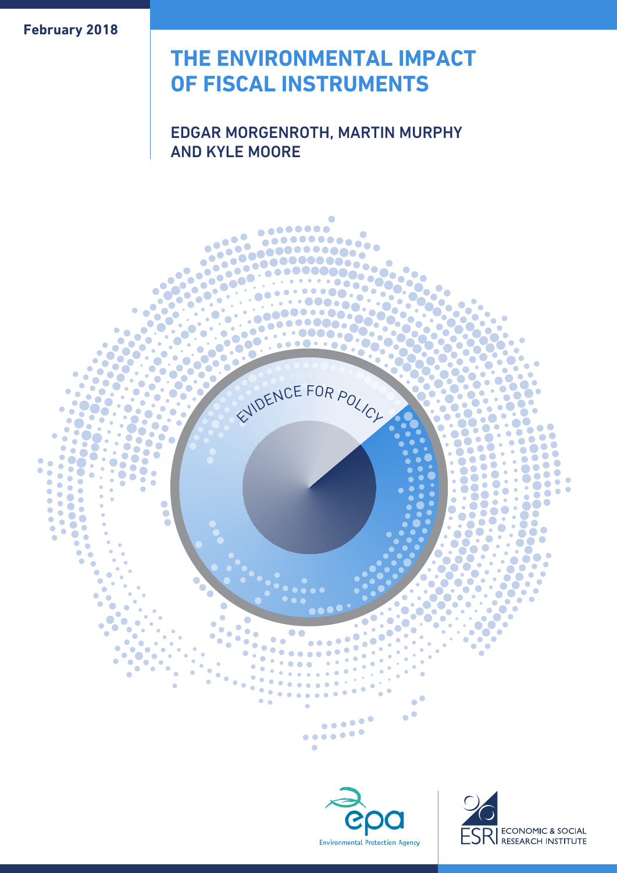**February 2018**

# **THE ENVIRONMENTAL IMPACT OF FISCAL INSTRUMENTS**

# EDGAR MORGENROTH, MARTIN MURPHY AND KYLE MOORE





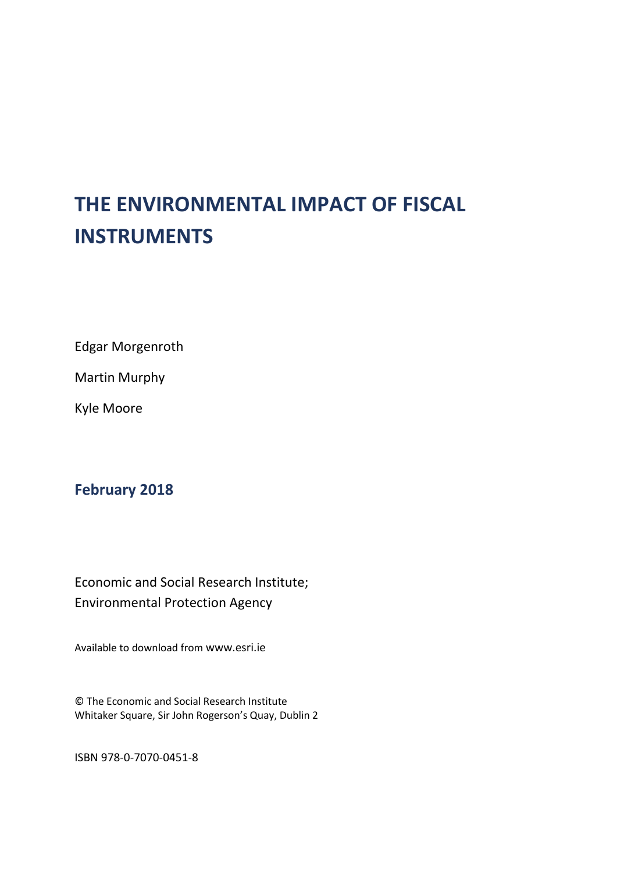# **THE ENVIRONMENTAL IMPACT OF FISCAL INSTRUMENTS**

Edgar Morgenroth

Martin Murphy

Kyle Moore

# **February 2018**

Economic and Social Research Institute; Environmental Protection Agency

Available to download from [www.esri.ie](http://www.esri.ie/)

© The Economic and Social Research Institute Whitaker Square, Sir John Rogerson's Quay, Dublin 2

ISBN 978-0-7070-0451-8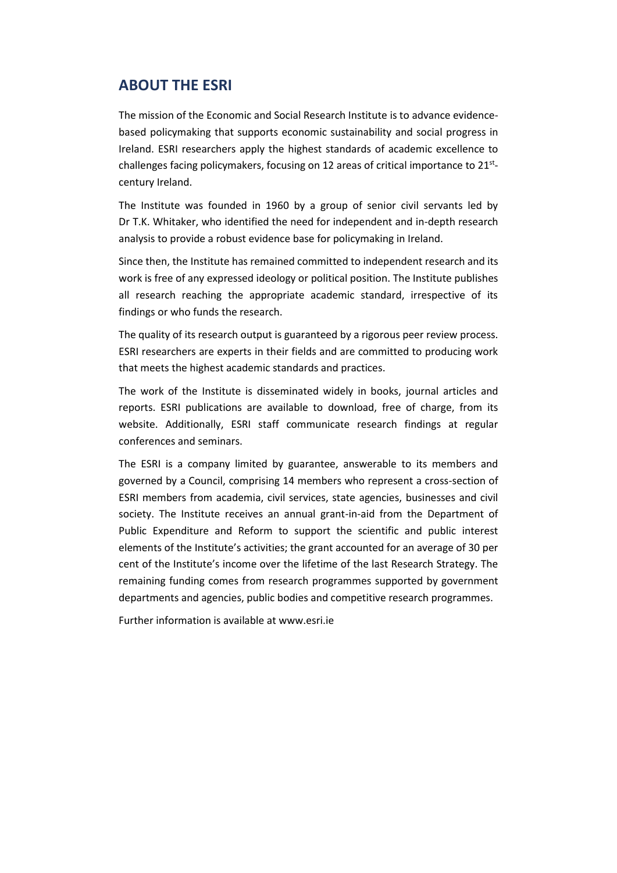# **ABOUT THE ESRI**

The mission of the Economic and Social Research Institute is to advance evidencebased policymaking that supports economic sustainability and social progress in Ireland. ESRI researchers apply the highest standards of academic excellence to challenges facing policymakers, focusing on 12 areas of critical importance to 21<sup>st</sup>century Ireland.

The Institute was founded in 1960 by a group of senior civil servants led by Dr T.K. Whitaker, who identified the need for independent and in-depth research analysis to provide a robust evidence base for policymaking in Ireland.

Since then, the Institute has remained committed to independent research and its work is free of any expressed ideology or political position. The Institute publishes all research reaching the appropriate academic standard, irrespective of its findings or who funds the research.

The quality of its research output is guaranteed by a rigorous peer review process. ESRI researchers are experts in their fields and are committed to producing work that meets the highest academic standards and practices.

The work of the Institute is disseminated widely in books, journal articles and reports. ESRI publications are available to download, free of charge, from its website. Additionally, ESRI staff communicate research findings at regular conferences and seminars.

The ESRI is a company limited by guarantee, answerable to its members and governed by a Council, comprising 14 members who represent a cross-section of ESRI members from academia, civil services, state agencies, businesses and civil society. The Institute receives an annual grant-in-aid from the Department of Public Expenditure and Reform to support the scientific and public interest elements of the Institute's activities; the grant accounted for an average of 30 per cent of the Institute's income over the lifetime of the last Research Strategy. The remaining funding comes from research programmes supported by government departments and agencies, public bodies and competitive research programmes.

Further information is available at www.esri.ie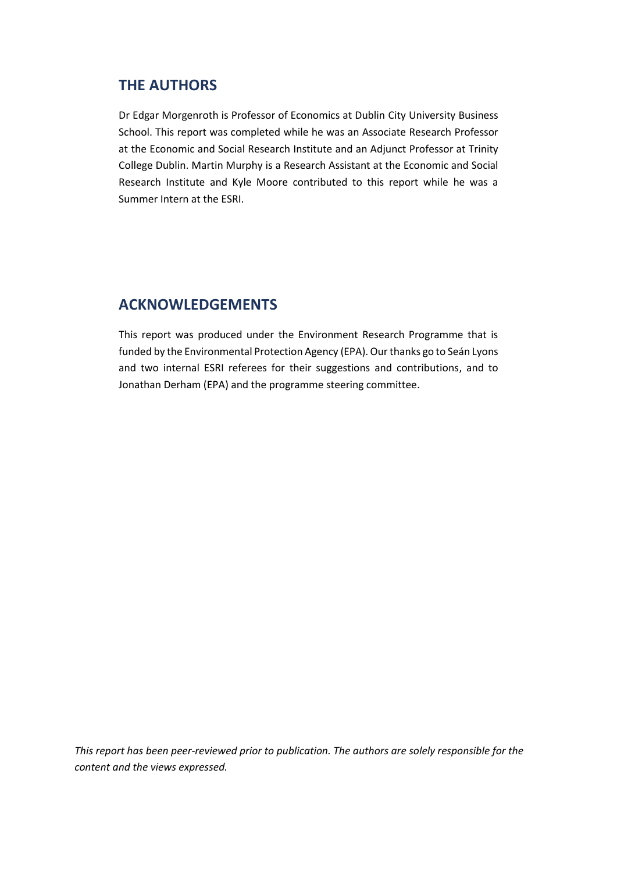# **THE AUTHORS**

Dr Edgar Morgenroth is Professor of Economics at Dublin City University Business School. This report was completed while he was an Associate Research Professor at the Economic and Social Research Institute and an Adjunct Professor at Trinity College Dublin. Martin Murphy is a Research Assistant at the Economic and Social Research Institute and Kyle Moore contributed to this report while he was a Summer Intern at the ESRI.

# **ACKNOWLEDGEMENTS**

This report was produced under the Environment Research Programme that is funded by the Environmental Protection Agency (EPA). Our thanks go to Seán Lyons and two internal ESRI referees for their suggestions and contributions, and to Jonathan Derham (EPA) and the programme steering committee.

*This report has been peer-reviewed prior to publication. The authors are solely responsible for the content and the views expressed.*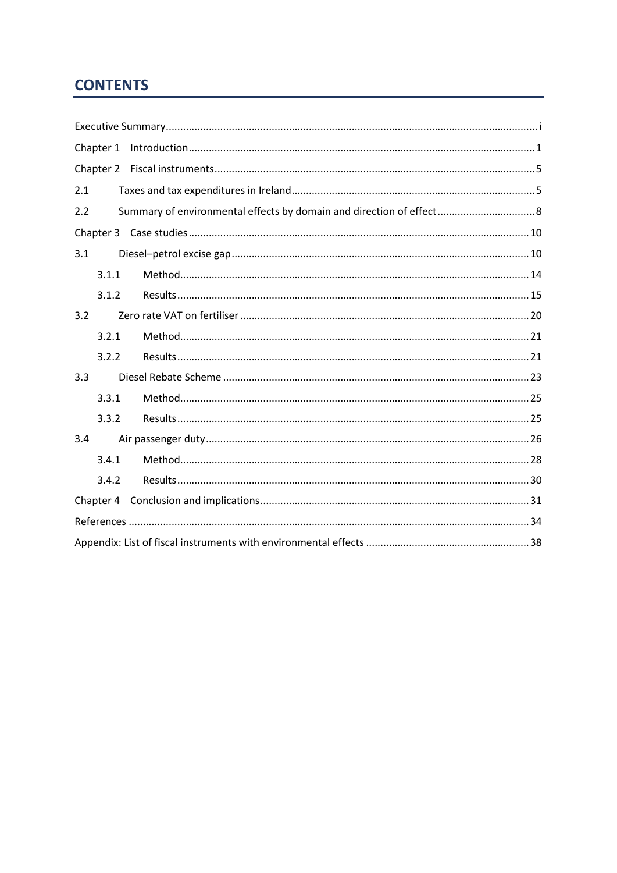# **CONTENTS**

| Chapter 1 |
|-----------|
|           |
| 2.1       |
| 2.2       |
|           |
| 3.1       |
| 3.1.1     |
| 3.1.2     |
| 3.2       |
| 3.2.1     |
| 3.2.2     |
| 3.3       |
| 3.3.1     |
| 3.3.2     |
| 3.4       |
| 3.4.1     |
| 3.4.2     |
|           |
|           |
|           |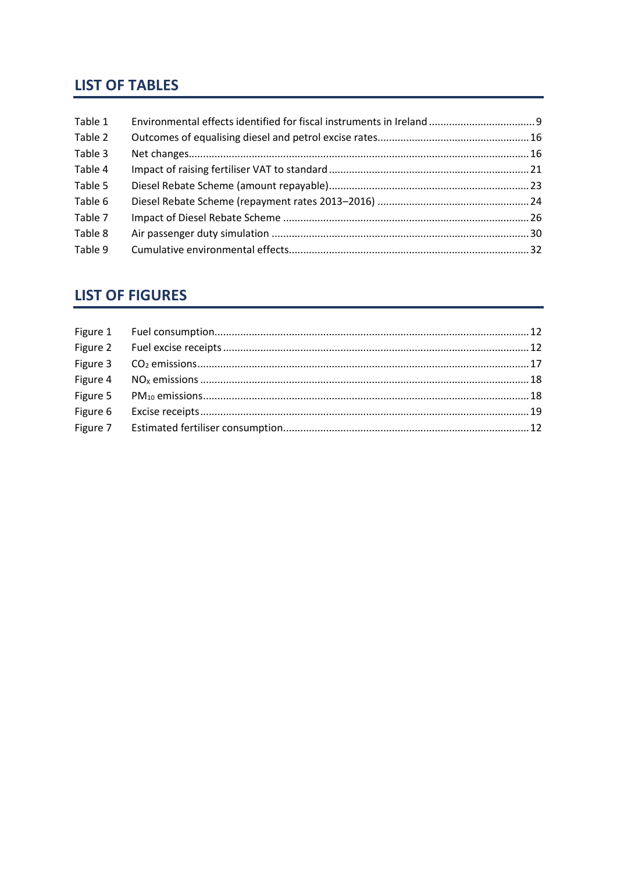# **LIST OF TABLES**

| Table 1 |  |
|---------|--|
| Table 2 |  |
| Table 3 |  |
| Table 4 |  |
| Table 5 |  |
| Table 6 |  |
| Table 7 |  |
| Table 8 |  |
| Table 9 |  |

# **LIST OF FIGURES**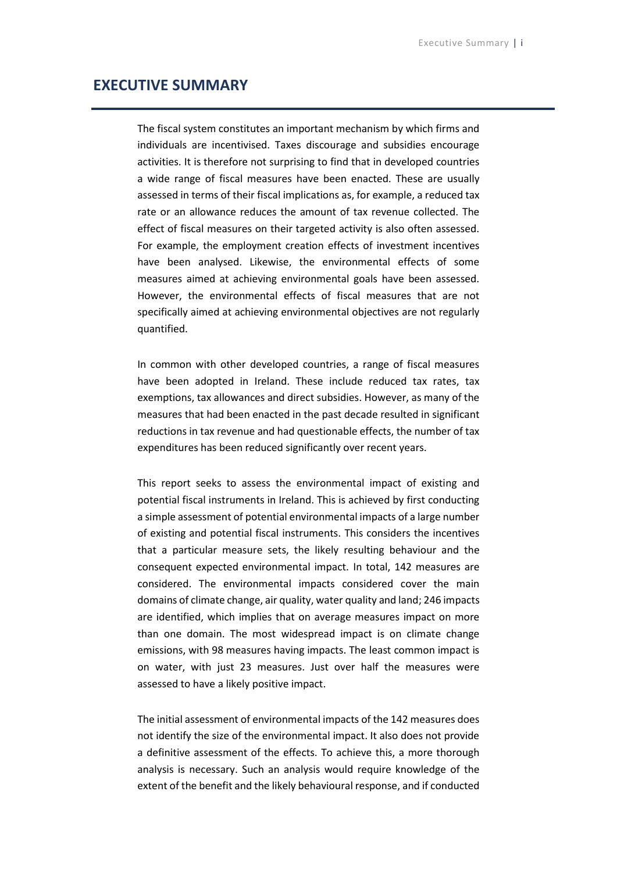### <span id="page-7-0"></span>**EXECUTIVE SUMMARY**

The fiscal system constitutes an important mechanism by which firms and individuals are incentivised. Taxes discourage and subsidies encourage activities. It is therefore not surprising to find that in developed countries a wide range of fiscal measures have been enacted. These are usually assessed in terms of their fiscal implications as, for example, a reduced tax rate or an allowance reduces the amount of tax revenue collected. The effect of fiscal measures on their targeted activity is also often assessed. For example, the employment creation effects of investment incentives have been analysed. Likewise, the environmental effects of some measures aimed at achieving environmental goals have been assessed. However, the environmental effects of fiscal measures that are not specifically aimed at achieving environmental objectives are not regularly quantified.

In common with other developed countries, a range of fiscal measures have been adopted in Ireland. These include reduced tax rates, tax exemptions, tax allowances and direct subsidies. However, as many of the measures that had been enacted in the past decade resulted in significant reductions in tax revenue and had questionable effects, the number of tax expenditures has been reduced significantly over recent years.

This report seeks to assess the environmental impact of existing and potential fiscal instruments in Ireland. This is achieved by first conducting a simple assessment of potential environmental impacts of a large number of existing and potential fiscal instruments. This considers the incentives that a particular measure sets, the likely resulting behaviour and the consequent expected environmental impact. In total, 142 measures are considered. The environmental impacts considered cover the main domains of climate change, air quality, water quality and land; 246 impacts are identified, which implies that on average measures impact on more than one domain. The most widespread impact is on climate change emissions, with 98 measures having impacts. The least common impact is on water, with just 23 measures. Just over half the measures were assessed to have a likely positive impact.

The initial assessment of environmental impacts of the 142 measures does not identify the size of the environmental impact. It also does not provide a definitive assessment of the effects. To achieve this, a more thorough analysis is necessary. Such an analysis would require knowledge of the extent of the benefit and the likely behavioural response, and if conducted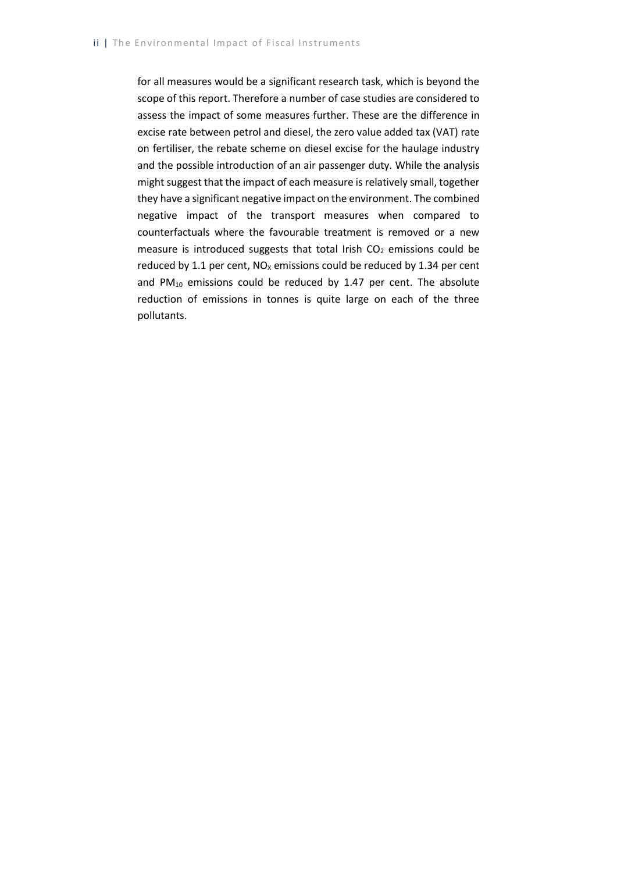for all measures would be a significant research task, which is beyond the scope of this report. Therefore a number of case studies are considered to assess the impact of some measures further. These are the difference in excise rate between petrol and diesel, the zero value added tax (VAT) rate on fertiliser, the rebate scheme on diesel excise for the haulage industry and the possible introduction of an air passenger duty. While the analysis might suggest that the impact of each measure is relatively small, together they have a significant negative impact on the environment. The combined negative impact of the transport measures when compared to counterfactuals where the favourable treatment is removed or a new measure is introduced suggests that total Irish  $CO<sub>2</sub>$  emissions could be reduced by 1.1 per cent,  $NO<sub>x</sub>$  emissions could be reduced by 1.34 per cent and  $PM_{10}$  emissions could be reduced by 1.47 per cent. The absolute reduction of emissions in tonnes is quite large on each of the three pollutants.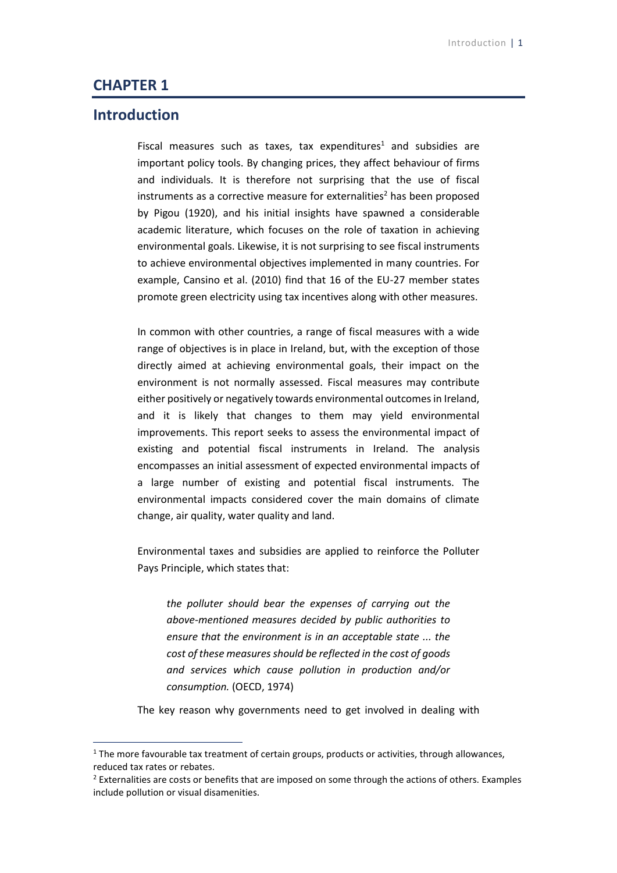### <span id="page-9-0"></span>**CHAPTER 1**

# **Introduction**

1

Fiscal measures such as taxes, tax expenditures<sup>1</sup> and subsidies are important policy tools. By changing prices, they affect behaviour of firms and individuals. It is therefore not surprising that the use of fiscal instruments as a corrective measure for externalities<sup>2</sup> has been proposed by Pigou (1920), and his initial insights have spawned a considerable academic literature, which focuses on the role of taxation in achieving environmental goals. Likewise, it is not surprising to see fiscal instruments to achieve environmental objectives implemented in many countries. For example, Cansino et al. (2010) find that 16 of the EU-27 member states promote green electricity using tax incentives along with other measures.

In common with other countries, a range of fiscal measures with a wide range of objectives is in place in Ireland, but, with the exception of those directly aimed at achieving environmental goals, their impact on the environment is not normally assessed. Fiscal measures may contribute either positively or negatively towards environmental outcomes in Ireland, and it is likely that changes to them may yield environmental improvements. This report seeks to assess the environmental impact of existing and potential fiscal instruments in Ireland. The analysis encompasses an initial assessment of expected environmental impacts of a large number of existing and potential fiscal instruments. The environmental impacts considered cover the main domains of climate change, air quality, water quality and land.

Environmental taxes and subsidies are applied to reinforce the Polluter Pays Principle, which states that:

*the polluter should bear the expenses of carrying out the above-mentioned measures decided by public authorities to ensure that the environment is in an acceptable state ... the cost of these measures should be reflected in the cost of goods and services which cause pollution in production and/or consumption.* (OECD, 1974)

The key reason why governments need to get involved in dealing with

 $1$  The more favourable tax treatment of certain groups, products or activities, through allowances, reduced tax rates or rebates.

 $<sup>2</sup>$  Externalities are costs or benefits that are imposed on some through the actions of others. Examples</sup> include pollution or visual disamenities.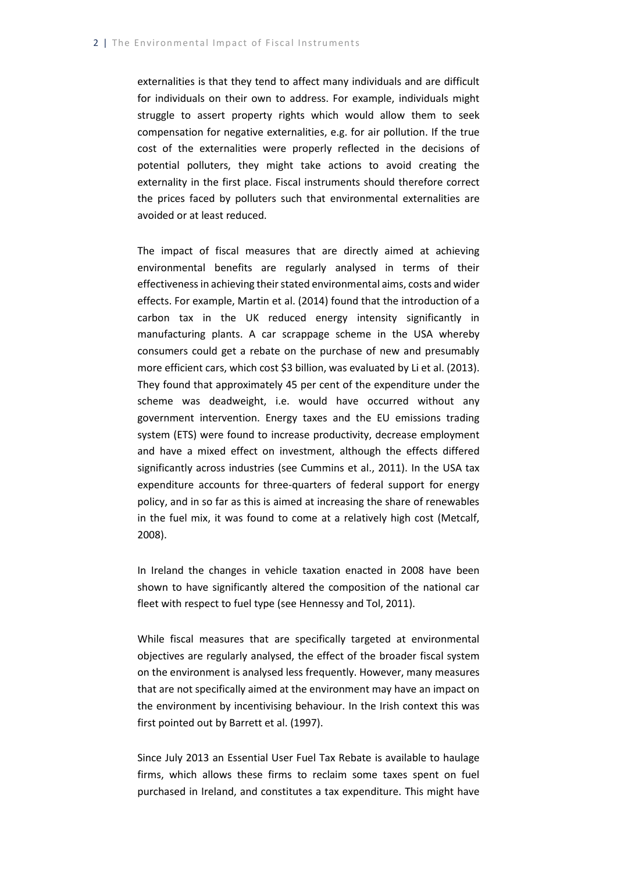externalities is that they tend to affect many individuals and are difficult for individuals on their own to address. For example, individuals might struggle to assert property rights which would allow them to seek compensation for negative externalities, e.g. for air pollution. If the true cost of the externalities were properly reflected in the decisions of potential polluters, they might take actions to avoid creating the externality in the first place. Fiscal instruments should therefore correct the prices faced by polluters such that environmental externalities are avoided or at least reduced.

The impact of fiscal measures that are directly aimed at achieving environmental benefits are regularly analysed in terms of their effectiveness in achieving their stated environmental aims, costs and wider effects. For example, Martin et al. (2014) found that the introduction of a carbon tax in the UK reduced energy intensity significantly in manufacturing plants. A car scrappage scheme in the USA whereby consumers could get a rebate on the purchase of new and presumably more efficient cars, which cost \$3 billion, was evaluated by Li et al. (2013). They found that approximately 45 per cent of the expenditure under the scheme was deadweight, i.e. would have occurred without any government intervention. Energy taxes and the EU emissions trading system (ETS) were found to increase productivity, decrease employment and have a mixed effect on investment, although the effects differed significantly across industries (see Cummins et al., 2011). In the USA tax expenditure accounts for three-quarters of federal support for energy policy, and in so far as this is aimed at increasing the share of renewables in the fuel mix, it was found to come at a relatively high cost (Metcalf, 2008).

In Ireland the changes in vehicle taxation enacted in 2008 have been shown to have significantly altered the composition of the national car fleet with respect to fuel type (see Hennessy and Tol, 2011).

While fiscal measures that are specifically targeted at environmental objectives are regularly analysed, the effect of the broader fiscal system on the environment is analysed less frequently. However, many measures that are not specifically aimed at the environment may have an impact on the environment by incentivising behaviour. In the Irish context this was first pointed out by Barrett et al. (1997).

Since July 2013 an Essential User Fuel Tax Rebate is available to haulage firms, which allows these firms to reclaim some taxes spent on fuel purchased in Ireland, and constitutes a tax expenditure. This might have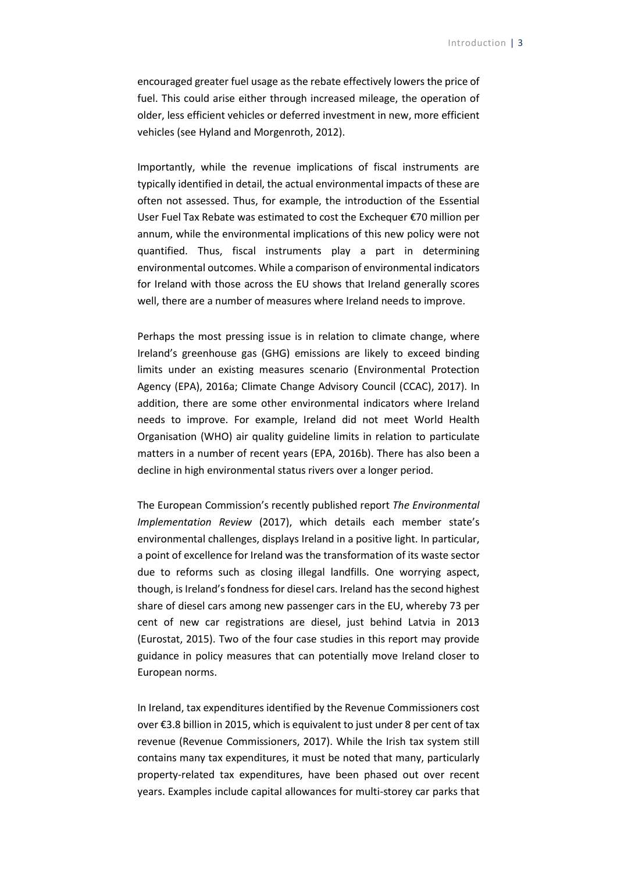encouraged greater fuel usage as the rebate effectively lowers the price of fuel. This could arise either through increased mileage, the operation of older, less efficient vehicles or deferred investment in new, more efficient vehicles (see Hyland and Morgenroth, 2012).

Importantly, while the revenue implications of fiscal instruments are typically identified in detail, the actual environmental impacts of these are often not assessed. Thus, for example, the introduction of the Essential User Fuel Tax Rebate was estimated to cost the Exchequer €70 million per annum, while the environmental implications of this new policy were not quantified. Thus, fiscal instruments play a part in determining environmental outcomes. While a comparison of environmental indicators for Ireland with those across the EU shows that Ireland generally scores well, there are a number of measures where Ireland needs to improve.

Perhaps the most pressing issue is in relation to climate change, where Ireland's greenhouse gas (GHG) emissions are likely to exceed binding limits under an existing measures scenario (Environmental Protection Agency (EPA), 2016a; Climate Change Advisory Council (CCAC), 2017). In addition, there are some other environmental indicators where Ireland needs to improve. For example, Ireland did not meet World Health Organisation (WHO) air quality guideline limits in relation to particulate matters in a number of recent years (EPA, 2016b). There has also been a decline in high environmental status rivers over a longer period.

The European Commission's recently published report *The Environmental Implementation Review* (2017), which details each member state's environmental challenges, displays Ireland in a positive light. In particular, a point of excellence for Ireland was the transformation of its waste sector due to reforms such as closing illegal landfills. One worrying aspect, though, is Ireland's fondness for diesel cars. Ireland has the second highest share of diesel cars among new passenger cars in the EU, whereby 73 per cent of new car registrations are diesel, just behind Latvia in 2013 (Eurostat, 2015). Two of the four case studies in this report may provide guidance in policy measures that can potentially move Ireland closer to European norms.

In Ireland, tax expenditures identified by the Revenue Commissioners cost over €3.8 billion in 2015, which is equivalent to just under 8 per cent of tax revenue (Revenue Commissioners, 2017). While the Irish tax system still contains many tax expenditures, it must be noted that many, particularly property-related tax expenditures, have been phased out over recent years. Examples include capital allowances for multi-storey car parks that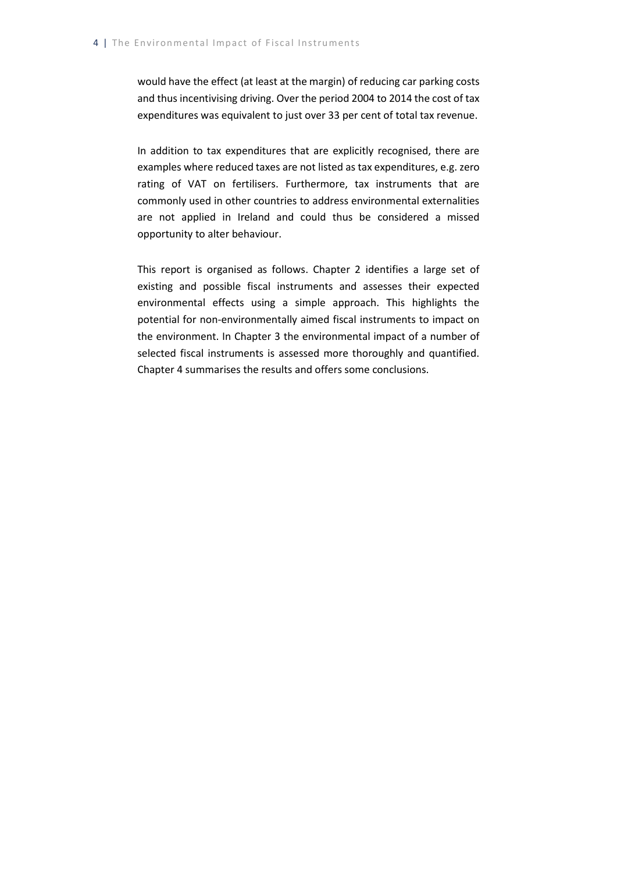would have the effect (at least at the margin) of reducing car parking costs and thus incentivising driving. Over the period 2004 to 2014 the cost of tax expenditures was equivalent to just over 33 per cent of total tax revenue.

In addition to tax expenditures that are explicitly recognised, there are examples where reduced taxes are not listed as tax expenditures, e.g. zero rating of VAT on fertilisers. Furthermore, tax instruments that are commonly used in other countries to address environmental externalities are not applied in Ireland and could thus be considered a missed opportunity to alter behaviour.

This report is organised as follows. Chapter 2 identifies a large set of existing and possible fiscal instruments and assesses their expected environmental effects using a simple approach. This highlights the potential for non-environmentally aimed fiscal instruments to impact on the environment. In Chapter 3 the environmental impact of a number of selected fiscal instruments is assessed more thoroughly and quantified. Chapter 4 summarises the results and offers some conclusions.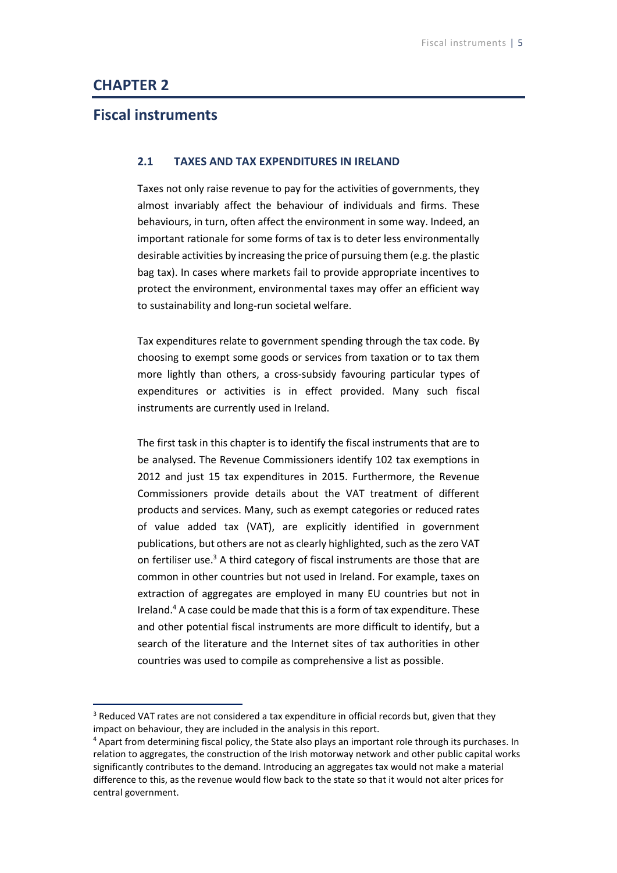## <span id="page-13-0"></span>**CHAPTER 2**

-

# <span id="page-13-1"></span>**Fiscal instruments**

#### **2.1 TAXES AND TAX EXPENDITURES IN IRELAND**

Taxes not only raise revenue to pay for the activities of governments, they almost invariably affect the behaviour of individuals and firms. These behaviours, in turn, often affect the environment in some way. Indeed, an important rationale for some forms of tax is to deter less environmentally desirable activities by increasing the price of pursuing them (e.g. the plastic bag tax). In cases where markets fail to provide appropriate incentives to protect the environment, environmental taxes may offer an efficient way to sustainability and long-run societal welfare.

Tax expenditures relate to government spending through the tax code. By choosing to exempt some goods or services from taxation or to tax them more lightly than others, a cross-subsidy favouring particular types of expenditures or activities is in effect provided. Many such fiscal instruments are currently used in Ireland.

The first task in this chapter is to identify the fiscal instruments that are to be analysed. The Revenue Commissioners identify 102 tax exemptions in 2012 and just 15 tax expenditures in 2015. Furthermore, the Revenue Commissioners provide details about the VAT treatment of different products and services. Many, such as exempt categories or reduced rates of value added tax (VAT), are explicitly identified in government publications, but others are not as clearly highlighted, such as the zero VAT on fertiliser use.<sup>3</sup> A third category of fiscal instruments are those that are common in other countries but not used in Ireland. For example, taxes on extraction of aggregates are employed in many EU countries but not in Ireland. <sup>4</sup> A case could be made that this is a form of tax expenditure. These and other potential fiscal instruments are more difficult to identify, but a search of the literature and the Internet sites of tax authorities in other countries was used to compile as comprehensive a list as possible.

 $3$  Reduced VAT rates are not considered a tax expenditure in official records but, given that they impact on behaviour, they are included in the analysis in this report.

<sup>4</sup> Apart from determining fiscal policy, the State also plays an important role through its purchases. In relation to aggregates, the construction of the Irish motorway network and other public capital works significantly contributes to the demand. Introducing an aggregates tax would not make a material difference to this, as the revenue would flow back to the state so that it would not alter prices for central government.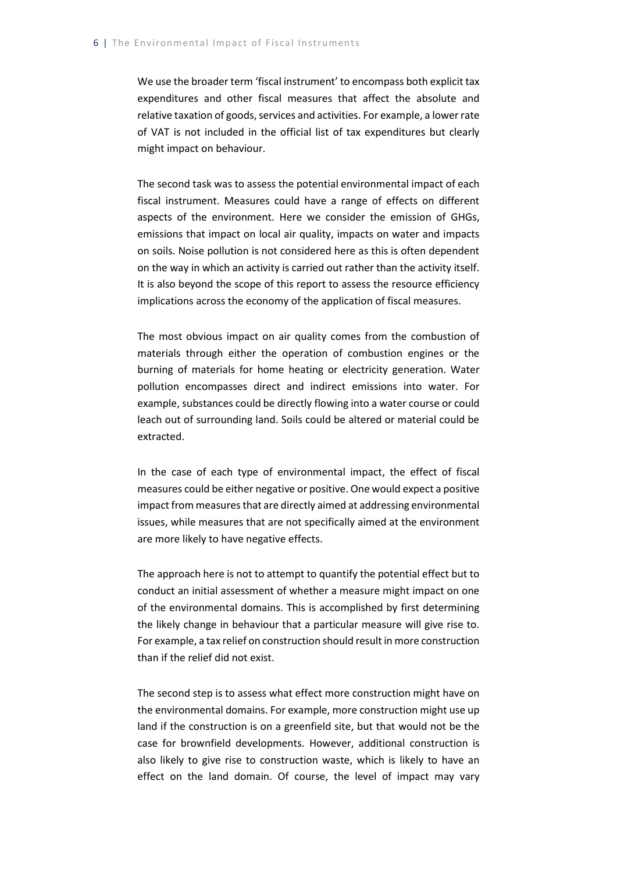We use the broader term 'fiscal instrument' to encompass both explicit tax expenditures and other fiscal measures that affect the absolute and relative taxation of goods, services and activities. For example, a lower rate of VAT is not included in the official list of tax expenditures but clearly might impact on behaviour.

The second task was to assess the potential environmental impact of each fiscal instrument. Measures could have a range of effects on different aspects of the environment. Here we consider the emission of GHGs, emissions that impact on local air quality, impacts on water and impacts on soils. Noise pollution is not considered here as this is often dependent on the way in which an activity is carried out rather than the activity itself. It is also beyond the scope of this report to assess the resource efficiency implications across the economy of the application of fiscal measures.

The most obvious impact on air quality comes from the combustion of materials through either the operation of combustion engines or the burning of materials for home heating or electricity generation. Water pollution encompasses direct and indirect emissions into water. For example, substances could be directly flowing into a water course or could leach out of surrounding land. Soils could be altered or material could be extracted.

In the case of each type of environmental impact, the effect of fiscal measures could be either negative or positive. One would expect a positive impact from measures that are directly aimed at addressing environmental issues, while measures that are not specifically aimed at the environment are more likely to have negative effects.

The approach here is not to attempt to quantify the potential effect but to conduct an initial assessment of whether a measure might impact on one of the environmental domains. This is accomplished by first determining the likely change in behaviour that a particular measure will give rise to. For example, a tax relief on construction should result in more construction than if the relief did not exist.

The second step is to assess what effect more construction might have on the environmental domains. For example, more construction might use up land if the construction is on a greenfield site, but that would not be the case for brownfield developments. However, additional construction is also likely to give rise to construction waste, which is likely to have an effect on the land domain. Of course, the level of impact may vary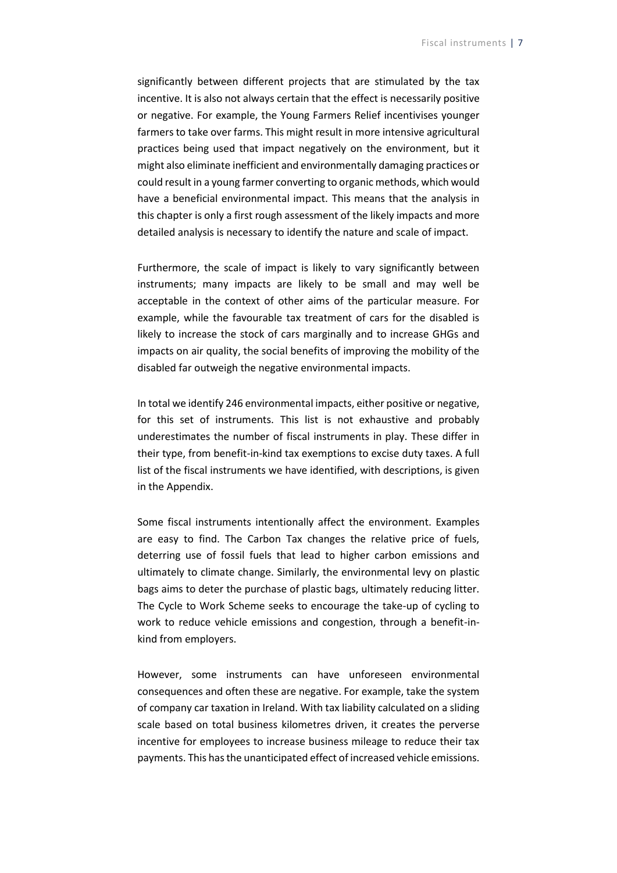significantly between different projects that are stimulated by the tax incentive. It is also not always certain that the effect is necessarily positive or negative. For example, the Young Farmers Relief incentivises younger farmers to take over farms. This might result in more intensive agricultural practices being used that impact negatively on the environment, but it might also eliminate inefficient and environmentally damaging practices or could result in a young farmer converting to organic methods, which would have a beneficial environmental impact. This means that the analysis in this chapter is only a first rough assessment of the likely impacts and more detailed analysis is necessary to identify the nature and scale of impact.

Furthermore, the scale of impact is likely to vary significantly between instruments; many impacts are likely to be small and may well be acceptable in the context of other aims of the particular measure. For example, while the favourable tax treatment of cars for the disabled is likely to increase the stock of cars marginally and to increase GHGs and impacts on air quality, the social benefits of improving the mobility of the disabled far outweigh the negative environmental impacts.

In total we identify 246 environmental impacts, either positive or negative, for this set of instruments. This list is not exhaustive and probably underestimates the number of fiscal instruments in play. These differ in their type, from benefit-in-kind tax exemptions to excise duty taxes. A full list of the fiscal instruments we have identified, with descriptions, is given in the Appendix.

Some fiscal instruments intentionally affect the environment. Examples are easy to find. The Carbon Tax changes the relative price of fuels, deterring use of fossil fuels that lead to higher carbon emissions and ultimately to climate change. Similarly, the environmental levy on plastic bags aims to deter the purchase of plastic bags, ultimately reducing litter. The Cycle to Work Scheme seeks to encourage the take-up of cycling to work to reduce vehicle emissions and congestion, through a benefit-inkind from employers.

However, some instruments can have unforeseen environmental consequences and often these are negative. For example, take the system of company car taxation in Ireland. With tax liability calculated on a sliding scale based on total business kilometres driven, it creates the perverse incentive for employees to increase business mileage to reduce their tax payments. This has the unanticipated effect of increased vehicle emissions.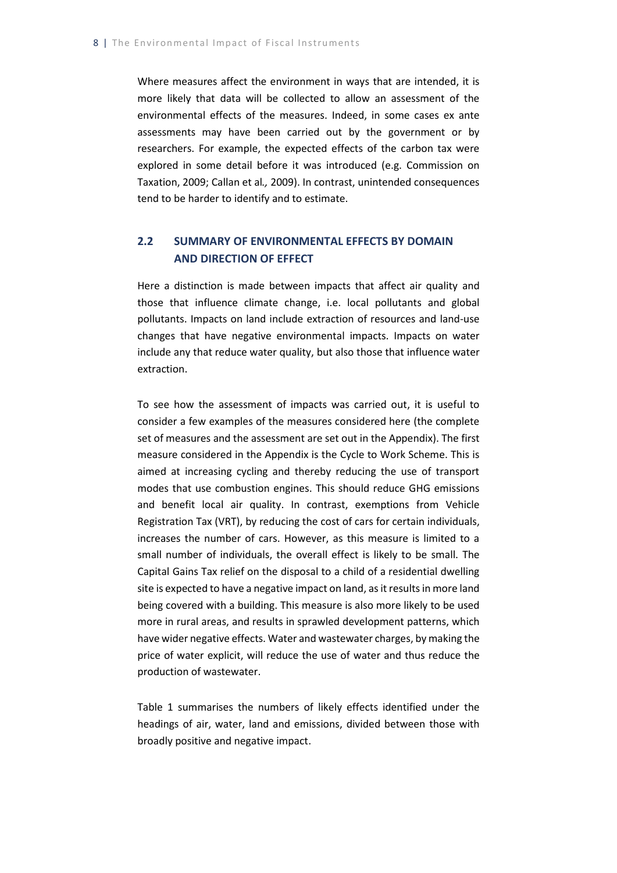Where measures affect the environment in ways that are intended, it is more likely that data will be collected to allow an assessment of the environmental effects of the measures. Indeed, in some cases ex ante assessments may have been carried out by the government or by researchers. For example, the expected effects of the carbon tax were explored in some detail before it was introduced (e.g. Commission on Taxation, 2009; Callan et al*.,* 2009). In contrast, unintended consequences tend to be harder to identify and to estimate.

### <span id="page-16-0"></span>**2.2 SUMMARY OF ENVIRONMENTAL EFFECTS BY DOMAIN AND DIRECTION OF EFFECT**

Here a distinction is made between impacts that affect air quality and those that influence climate change, i.e. local pollutants and global pollutants. Impacts on land include extraction of resources and land-use changes that have negative environmental impacts. Impacts on water include any that reduce water quality, but also those that influence water extraction.

To see how the assessment of impacts was carried out, it is useful to consider a few examples of the measures considered here (the complete set of measures and the assessment are set out in the Appendix). The first measure considered in the Appendix is the Cycle to Work Scheme. This is aimed at increasing cycling and thereby reducing the use of transport modes that use combustion engines. This should reduce GHG emissions and benefit local air quality. In contrast, exemptions from Vehicle Registration Tax (VRT), by reducing the cost of cars for certain individuals, increases the number of cars. However, as this measure is limited to a small number of individuals, the overall effect is likely to be small. The Capital Gains Tax relief on the disposal to a child of a residential dwelling site is expected to have a negative impact on land, as it results in more land being covered with a building. This measure is also more likely to be used more in rural areas, and results in sprawled development patterns, which have wider negative effects. Water and wastewater charges, by making the price of water explicit, will reduce the use of water and thus reduce the production of wastewater.

Table 1 summarises the numbers of likely effects identified under the headings of air, water, land and emissions, divided between those with broadly positive and negative impact.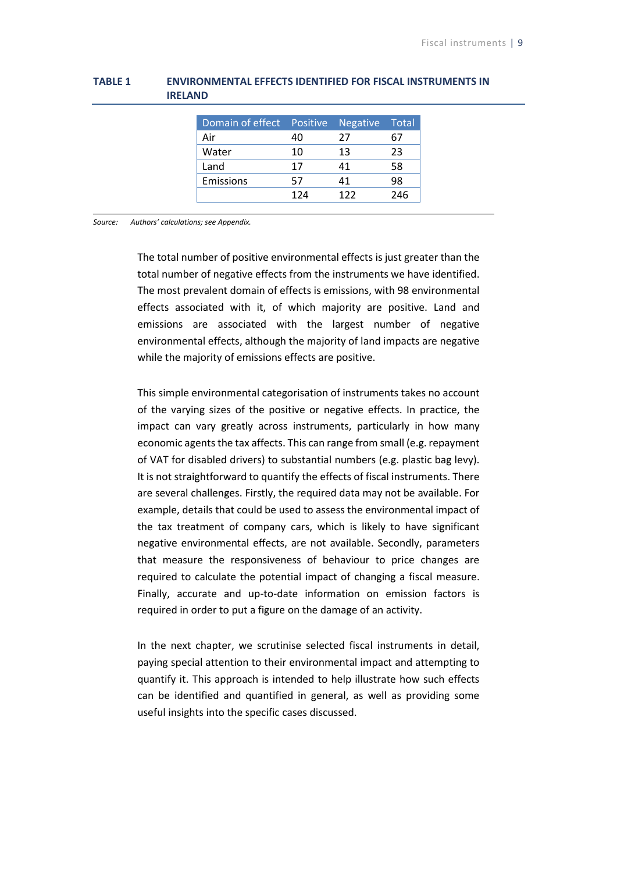| Domain of effect Positive Negative |     |     | Total |
|------------------------------------|-----|-----|-------|
| Air                                | 40  | 27  |       |
| Water                              | 10  | 13  | 23    |
| Land                               | 17  | 41  | 58    |
| Emissions                          | 57  |     | 98    |
|                                    | 124 | 177 | 246   |

#### <span id="page-17-0"></span>**TABLE 1 ENVIRONMENTAL EFFECTS IDENTIFIED FOR FISCAL INSTRUMENTS IN IRELAND**

*Source: Authors' calculations; see Appendix.*

The total number of positive environmental effects is just greater than the total number of negative effects from the instruments we have identified. The most prevalent domain of effects is emissions, with 98 environmental effects associated with it, of which majority are positive. Land and emissions are associated with the largest number of negative environmental effects, although the majority of land impacts are negative while the majority of emissions effects are positive.

This simple environmental categorisation of instruments takes no account of the varying sizes of the positive or negative effects. In practice, the impact can vary greatly across instruments, particularly in how many economic agents the tax affects. This can range from small (e.g. repayment of VAT for disabled drivers) to substantial numbers (e.g. plastic bag levy). It is not straightforward to quantify the effects of fiscal instruments. There are several challenges. Firstly, the required data may not be available. For example, details that could be used to assess the environmental impact of the tax treatment of company cars, which is likely to have significant negative environmental effects, are not available. Secondly, parameters that measure the responsiveness of behaviour to price changes are required to calculate the potential impact of changing a fiscal measure. Finally, accurate and up-to-date information on emission factors is required in order to put a figure on the damage of an activity.

In the next chapter, we scrutinise selected fiscal instruments in detail, paying special attention to their environmental impact and attempting to quantify it. This approach is intended to help illustrate how such effects can be identified and quantified in general, as well as providing some useful insights into the specific cases discussed.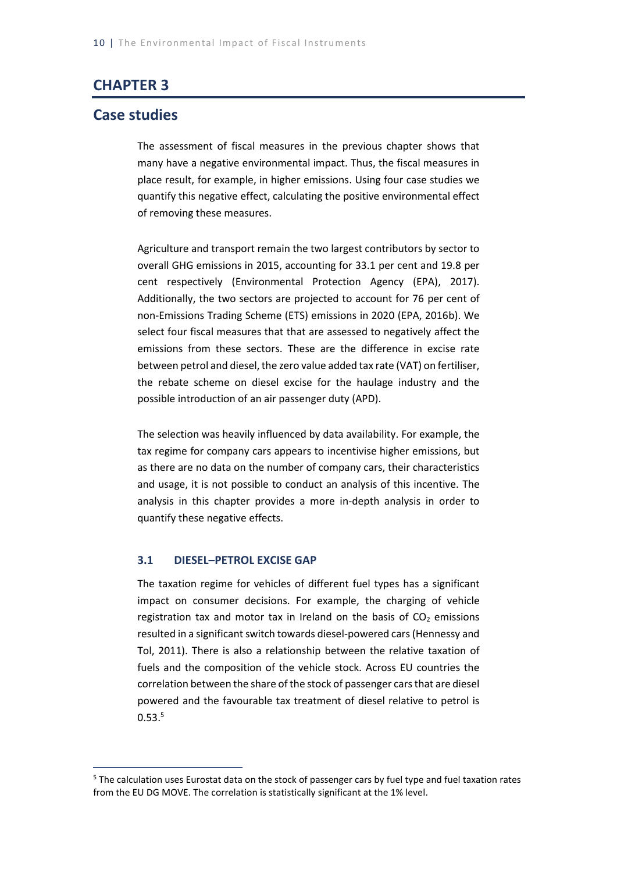# <span id="page-18-0"></span>**CHAPTER 3**

### **Case studies**

1

The assessment of fiscal measures in the previous chapter shows that many have a negative environmental impact. Thus, the fiscal measures in place result, for example, in higher emissions. Using four case studies we quantify this negative effect, calculating the positive environmental effect of removing these measures.

Agriculture and transport remain the two largest contributors by sector to overall GHG emissions in 2015, accounting for 33.1 per cent and 19.8 per cent respectively (Environmental Protection Agency (EPA), 2017). Additionally, the two sectors are projected to account for 76 per cent of non-Emissions Trading Scheme (ETS) emissions in 2020 (EPA, 2016b). We select four fiscal measures that that are assessed to negatively affect the emissions from these sectors. These are the difference in excise rate between petrol and diesel, the zero value added tax rate (VAT) on fertiliser, the rebate scheme on diesel excise for the haulage industry and the possible introduction of an air passenger duty (APD).

The selection was heavily influenced by data availability. For example, the tax regime for company cars appears to incentivise higher emissions, but as there are no data on the number of company cars, their characteristics and usage, it is not possible to conduct an analysis of this incentive. The analysis in this chapter provides a more in-depth analysis in order to quantify these negative effects.

#### <span id="page-18-1"></span>**3.1 DIESEL–PETROL EXCISE GAP**

The taxation regime for vehicles of different fuel types has a significant impact on consumer decisions. For example, the charging of vehicle registration tax and motor tax in Ireland on the basis of  $CO<sub>2</sub>$  emissions resulted in a significant switch towards diesel-powered cars (Hennessy and Tol, 2011). There is also a relationship between the relative taxation of fuels and the composition of the vehicle stock. Across EU countries the correlation between the share of the stock of passenger cars that are diesel powered and the favourable tax treatment of diesel relative to petrol is  $0.53.<sup>5</sup>$ 

<sup>5</sup> The calculation uses Eurostat data on the stock of passenger cars by fuel type and fuel taxation rates from the EU DG MOVE. The correlation is statistically significant at the 1% level.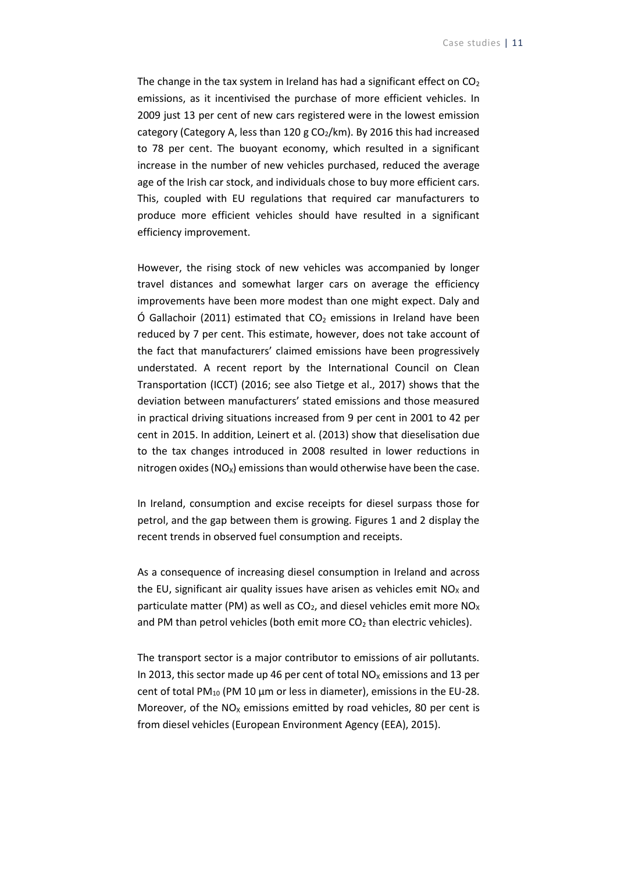The change in the tax system in Ireland has had a significant effect on  $CO<sub>2</sub>$ emissions, as it incentivised the purchase of more efficient vehicles. In 2009 just 13 per cent of new cars registered were in the lowest emission category (Category A, less than 120 g  $CO<sub>2</sub>/km$ ). By 2016 this had increased to 78 per cent. The buoyant economy, which resulted in a significant increase in the number of new vehicles purchased, reduced the average age of the Irish car stock, and individuals chose to buy more efficient cars. This, coupled with EU regulations that required car manufacturers to produce more efficient vehicles should have resulted in a significant efficiency improvement.

However, the rising stock of new vehicles was accompanied by longer travel distances and somewhat larger cars on average the efficiency improvements have been more modest than one might expect. Daly and Ó Gallachoir (2011) estimated that  $CO<sub>2</sub>$  emissions in Ireland have been reduced by 7 per cent. This estimate, however, does not take account of the fact that manufacturers' claimed emissions have been progressively understated. A recent report by the International Council on Clean Transportation (ICCT) (2016; see also Tietge et al., 2017) shows that the deviation between manufacturers' stated emissions and those measured in practical driving situations increased from 9 per cent in 2001 to 42 per cent in 2015. In addition, Leinert et al. (2013) show that dieselisation due to the tax changes introduced in 2008 resulted in lower reductions in nitrogen oxides ( $NO<sub>x</sub>$ ) emissions than would otherwise have been the case.

In Ireland, consumption and excise receipts for diesel surpass those for petrol, and the gap between them is growing. Figures 1 and 2 display the recent trends in observed fuel consumption and receipts.

As a consequence of increasing diesel consumption in Ireland and across the EU, significant air quality issues have arisen as vehicles emit  $NO<sub>x</sub>$  and particulate matter (PM) as well as  $CO<sub>2</sub>$ , and diesel vehicles emit more NO<sub>x</sub> and PM than petrol vehicles (both emit more  $CO<sub>2</sub>$  than electric vehicles).

The transport sector is a major contributor to emissions of air pollutants. In 2013, this sector made up 46 per cent of total  $NO<sub>x</sub>$  emissions and 13 per cent of total PM<sub>10</sub> (PM 10  $\mu$ m or less in diameter), emissions in the EU-28. Moreover, of the  $NO<sub>x</sub>$  emissions emitted by road vehicles, 80 per cent is from diesel vehicles (European Environment Agency (EEA), 2015).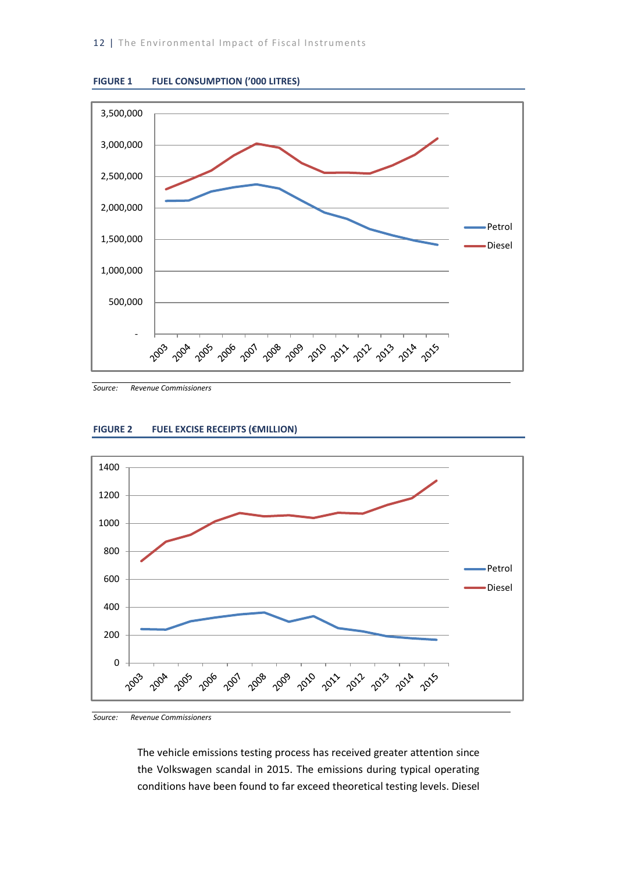

<span id="page-20-0"></span>

*Source: Revenue Commissioners* 

#### <span id="page-20-1"></span>**FIGURE 2 FUEL EXCISE RECEIPTS (€MILLION)**



*Source: Revenue Commissioners*

The vehicle emissions testing process has received greater attention since the Volkswagen scandal in 2015. The emissions during typical operating conditions have been found to far exceed theoretical testing levels. Diesel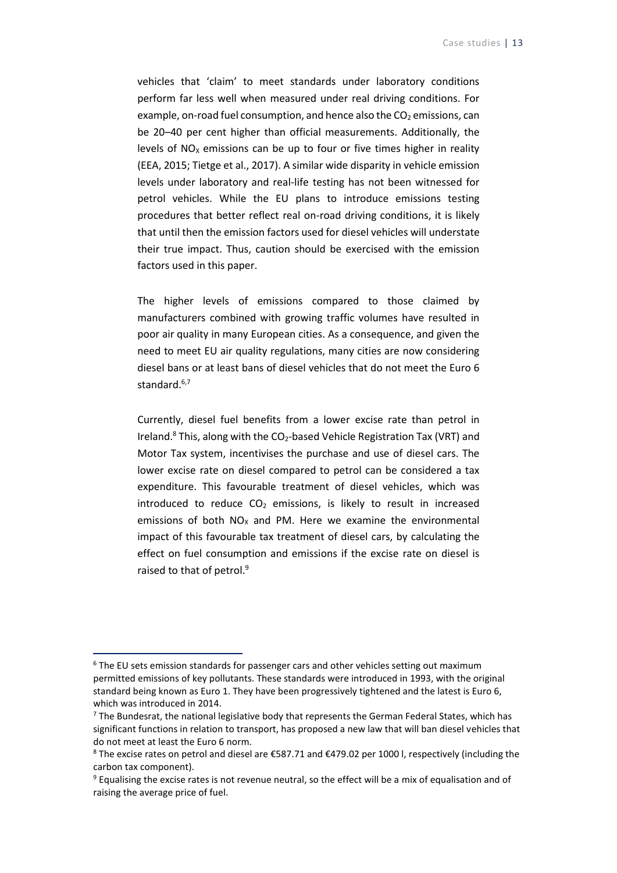vehicles that 'claim' to meet standards under laboratory conditions perform far less well when measured under real driving conditions. For example, on-road fuel consumption, and hence also the  $CO<sub>2</sub>$  emissions, can be 20–40 per cent higher than official measurements. Additionally, the levels of  $NO<sub>x</sub>$  emissions can be up to four or five times higher in reality (EEA, 2015; Tietge et al., 2017). A similar wide disparity in vehicle emission levels under laboratory and real-life testing has not been witnessed for petrol vehicles. While the EU plans to introduce emissions testing procedures that better reflect real on-road driving conditions, it is likely that until then the emission factors used for diesel vehicles will understate their true impact. Thus, caution should be exercised with the emission factors used in this paper.

The higher levels of emissions compared to those claimed by manufacturers combined with growing traffic volumes have resulted in poor air quality in many European cities. As a consequence, and given the need to meet EU air quality regulations, many cities are now considering diesel bans or at least bans of diesel vehicles that do not meet the Euro 6 standard.<sup>6,7</sup>

Currently, diesel fuel benefits from a lower excise rate than petrol in Ireland.<sup>8</sup> This, along with the CO<sub>2</sub>-based Vehicle Registration Tax (VRT) and Motor Tax system, incentivises the purchase and use of diesel cars. The lower excise rate on diesel compared to petrol can be considered a tax expenditure. This favourable treatment of diesel vehicles, which was introduced to reduce  $CO<sub>2</sub>$  emissions, is likely to result in increased emissions of both  $NO<sub>x</sub>$  and PM. Here we examine the environmental impact of this favourable tax treatment of diesel cars, by calculating the effect on fuel consumption and emissions if the excise rate on diesel is raised to that of petrol.<sup>9</sup>

 $\overline{a}$ 

<sup>&</sup>lt;sup>6</sup> The EU sets emission standards for passenger cars and other vehicles setting out maximum permitted emissions of key pollutants. These standards were introduced in 1993, with the original standard being known as Euro 1. They have been progressively tightened and the latest is Euro 6, which was introduced in 2014.

 $<sup>7</sup>$  The Bundesrat, the national legislative body that represents the German Federal States, which has</sup> significant functions in relation to transport, has proposed a new law that will ban diesel vehicles that do not meet at least the Euro 6 norm.

<sup>8</sup> The excise rates on petrol and diesel are €587.71 and €479.02 per 1000 l, respectively (including the carbon tax component).

<sup>&</sup>lt;sup>9</sup> Equalising the excise rates is not revenue neutral, so the effect will be a mix of equalisation and of raising the average price of fuel.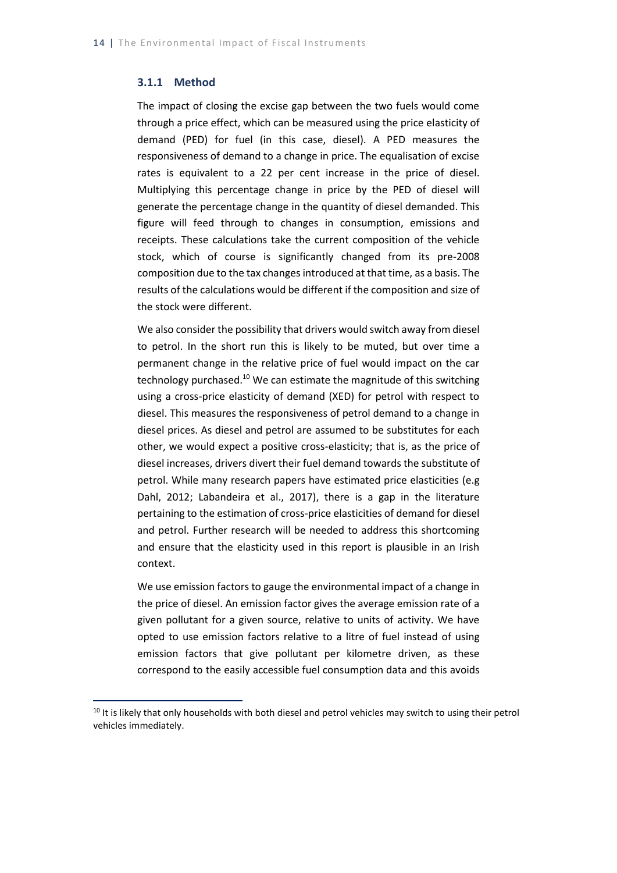#### <span id="page-22-0"></span>**3.1.1 Method**

-

The impact of closing the excise gap between the two fuels would come through a price effect, which can be measured using the price elasticity of demand (PED) for fuel (in this case, diesel). A PED measures the responsiveness of demand to a change in price. The equalisation of excise rates is equivalent to a 22 per cent increase in the price of diesel. Multiplying this percentage change in price by the PED of diesel will generate the percentage change in the quantity of diesel demanded. This figure will feed through to changes in consumption, emissions and receipts. These calculations take the current composition of the vehicle stock, which of course is significantly changed from its pre-2008 composition due to the tax changes introduced at that time, as a basis. The results of the calculations would be different if the composition and size of the stock were different.

We also consider the possibility that drivers would switch away from diesel to petrol. In the short run this is likely to be muted, but over time a permanent change in the relative price of fuel would impact on the car technology purchased.<sup>10</sup> We can estimate the magnitude of this switching using a cross-price elasticity of demand (XED) for petrol with respect to diesel. This measures the responsiveness of petrol demand to a change in diesel prices. As diesel and petrol are assumed to be substitutes for each other, we would expect a positive cross-elasticity; that is, as the price of diesel increases, drivers divert their fuel demand towards the substitute of petrol. While many research papers have estimated price elasticities (e.g Dahl, 2012; Labandeira et al., 2017), there is a gap in the literature pertaining to the estimation of cross-price elasticities of demand for diesel and petrol. Further research will be needed to address this shortcoming and ensure that the elasticity used in this report is plausible in an Irish context.

We use emission factors to gauge the environmental impact of a change in the price of diesel. An emission factor gives the average emission rate of a given pollutant for a given source, relative to units of activity. We have opted to use emission factors relative to a litre of fuel instead of using emission factors that give pollutant per kilometre driven, as these correspond to the easily accessible fuel consumption data and this avoids

 $10$  It is likely that only households with both diesel and petrol vehicles may switch to using their petrol vehicles immediately.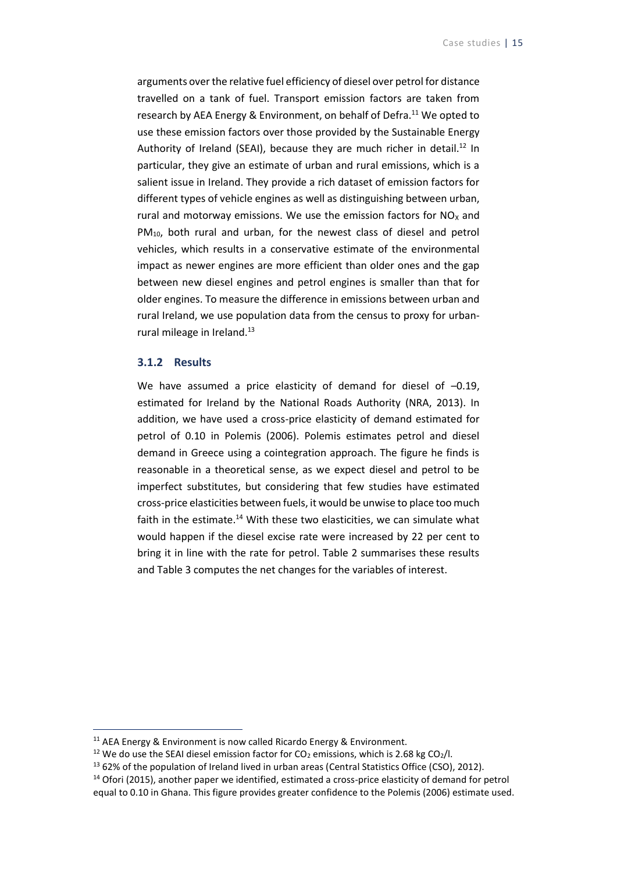arguments over the relative fuel efficiency of diesel over petrol for distance travelled on a tank of fuel. Transport emission factors are taken from research by AEA Energy & Environment, on behalf of Defra.<sup>11</sup> We opted to use these emission factors over those provided by the Sustainable Energy Authority of Ireland (SEAI), because they are much richer in detail.<sup>12</sup> In particular, they give an estimate of urban and rural emissions, which is a salient issue in Ireland. They provide a rich dataset of emission factors for different types of vehicle engines as well as distinguishing between urban, rural and motorway emissions. We use the emission factors for  $NO<sub>x</sub>$  and PM<sub>10</sub>, both rural and urban, for the newest class of diesel and petrol vehicles, which results in a conservative estimate of the environmental impact as newer engines are more efficient than older ones and the gap between new diesel engines and petrol engines is smaller than that for older engines. To measure the difference in emissions between urban and rural Ireland, we use population data from the census to proxy for urbanrural mileage in Ireland.<sup>13</sup>

#### <span id="page-23-0"></span>**3.1.2 Results**

<span id="page-23-1"></span>-

We have assumed a price elasticity of demand for diesel of -0.19, estimated for Ireland by the National Roads Authority (NRA, 2013). In addition, we have used a cross-price elasticity of demand estimated for petrol of 0.10 in Polemis (2006). Polemis estimates petrol and diesel demand in Greece using a cointegration approach. The figure he finds is reasonable in a theoretical sense, as we expect diesel and petrol to be imperfect substitutes, but considering that few studies have estimated cross-price elasticities between fuels, it would be unwise to place too much faith in the estimate. $14$  With these two elasticities, we can simulate what would happen if the diesel excise rate were increased by 22 per cent to bring it in line with the rate for petrol. Table 2 summarises these results and Table 3 computes the net changes for the variables of interest.

<sup>&</sup>lt;sup>11</sup> AEA Energy & Environment is now called Ricardo Energy & Environment.

<sup>&</sup>lt;sup>12</sup> We do use the SEAI diesel emission factor for CO<sub>2</sub> emissions, which is 2.68 kg CO<sub>2</sub>/l.

<sup>&</sup>lt;sup>13</sup> 62% of the population of Ireland lived in urban areas (Central Statistics Office (CSO), 2012).

<sup>&</sup>lt;sup>14</sup> Ofori (2015), another paper we identified, estimated a cross-price elasticity of demand for petrol equal to 0.10 in Ghana. This figure provides greater confidence to the Polemis (2006) estimate used.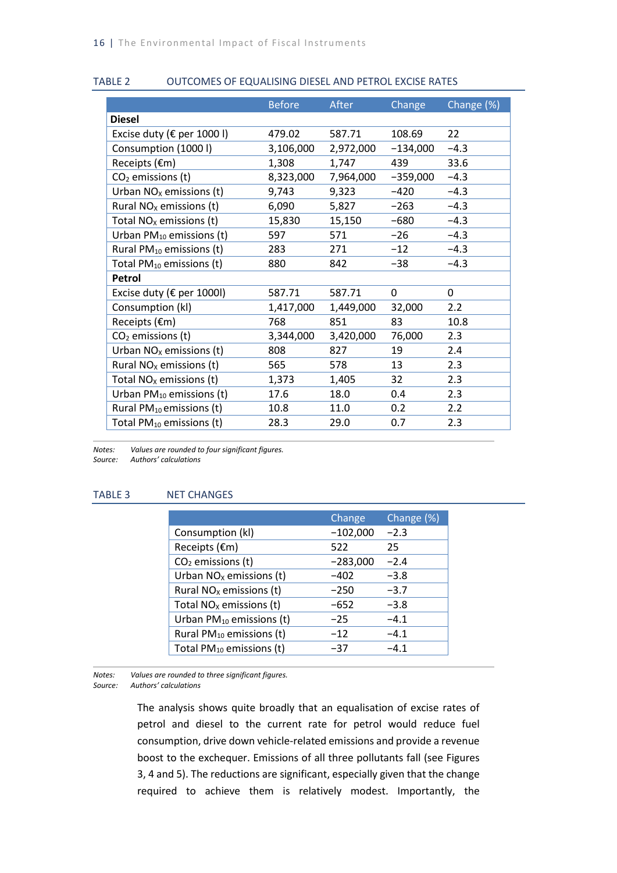#### TABLE 2 OUTCOMES OF EQUALISING DIESEL AND PETROL EXCISE RATES

|                                      | <b>Before</b> | After     | Change     | Change (%) |
|--------------------------------------|---------------|-----------|------------|------------|
| <b>Diesel</b>                        |               |           |            |            |
| Excise duty ( $\epsilon$ per 1000 l) | 479.02        | 587.71    | 108.69     | 22         |
| Consumption (1000 l)                 | 3,106,000     | 2,972,000 | $-134,000$ | $-4.3$     |
| Receipts (€m)                        | 1,308         | 1,747     | 439        | 33.6       |
| $CO2$ emissions (t)                  | 8,323,000     | 7,964,000 | $-359,000$ | $-4.3$     |
| Urban $NOx$ emissions (t)            | 9,743         | 9,323     | $-420$     | $-4.3$     |
| Rural $NOx$ emissions (t)            | 6,090         | 5,827     | $-263$     | $-4.3$     |
| Total $NOx$ emissions (t)            | 15,830        | 15,150    | $-680$     | $-4.3$     |
| Urban $PM_{10}$ emissions (t)        | 597           | 571       | $-26$      | $-4.3$     |
| Rural $PM_{10}$ emissions (t)        | 283           | 271       | $-12$      | $-4.3$     |
| Total PM <sub>10</sub> emissions (t) | 880           | 842       | $-38$      | $-4.3$     |
| Petrol                               |               |           |            |            |
| Excise duty ( $\epsilon$ per 1000l)  | 587.71        | 587.71    | 0          | 0          |
| Consumption (kl)                     | 1,417,000     | 1,449,000 | 32,000     | 2.2        |
| Receipts $(\epsilon m)$              | 768           | 851       | 83         | 10.8       |
| $CO2$ emissions (t)                  | 3,344,000     | 3,420,000 | 76,000     | 2.3        |
| Urban $NOx$ emissions (t)            | 808           | 827       | 19         | 2.4        |
| Rural $NOx$ emissions (t)            | 565           | 578       | 13         | 2.3        |
| Total $NOx$ emissions (t)            | 1,373         | 1,405     | 32         | 2.3        |
| Urban $PM_{10}$ emissions (t)        | 17.6          | 18.0      | 0.4        | 2.3        |
| Rural $PM_{10}$ emissions (t)        | 10.8          | 11.0      | 0.2        | 2.2        |
| Total $PM_{10}$ emissions (t)        | 28.3          | 29.0      | 0.7        | 2.3        |

*Notes: Values are rounded to four significant figures.*

*Source: Authors' calculations*

#### <span id="page-24-0"></span>TABLE 3 NET CHANGES

|                                      | Change     | Change (%) |
|--------------------------------------|------------|------------|
| Consumption (kl)                     | $-102,000$ | $-2.3$     |
| Receipts (€m)                        | 522        | 25         |
| $CO2$ emissions (t)                  | $-283,000$ | $-2.4$     |
| Urban $NOx$ emissions (t)            | $-402$     | $-3.8$     |
| Rural $NOx$ emissions (t)            | $-250$     | $-3.7$     |
| Total $NOx$ emissions (t)            | $-652$     | $-3.8$     |
| Urban $PM_{10}$ emissions (t)        | $-25$      | $-4.1$     |
| Rural $PM_{10}$ emissions (t)        | $-12$      | $-4.1$     |
| Total PM <sub>10</sub> emissions (t) | $-37$      | $-4.1$     |

*Notes: Values are rounded to three significant figures.*

*Source: Authors' calculations*

The analysis shows quite broadly that an equalisation of excise rates of petrol and diesel to the current rate for petrol would reduce fuel consumption, drive down vehicle-related emissions and provide a revenue boost to the exchequer. Emissions of all three pollutants fall (see Figures 3, 4 and 5). The reductions are significant, especially given that the change required to achieve them is relatively modest. Importantly, the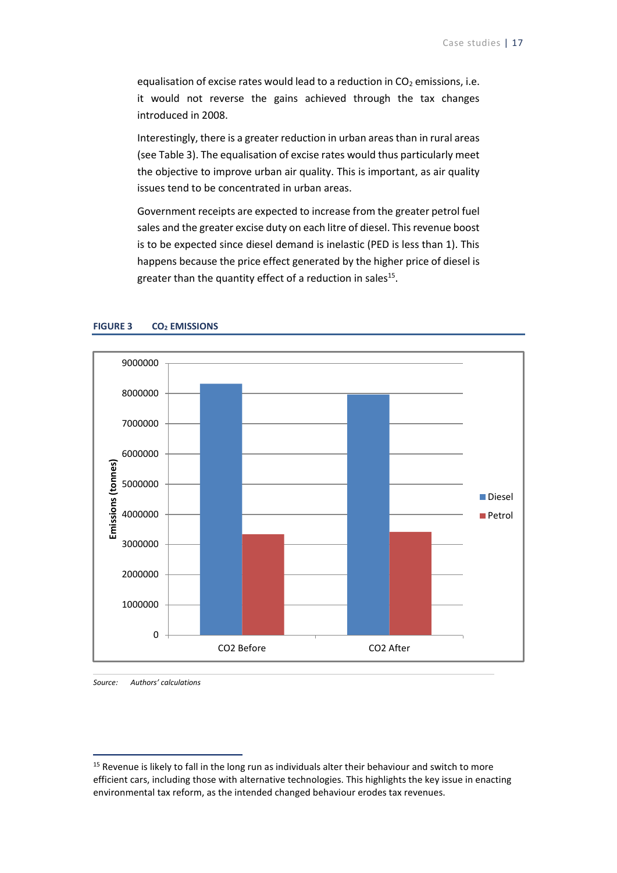equalisation of excise rates would lead to a reduction in  $CO<sub>2</sub>$  emissions, i.e. it would not reverse the gains achieved through the tax changes introduced in 2008.

Interestingly, there is a greater reduction in urban areas than in rural areas (see Table 3). The equalisation of excise rates would thus particularly meet the objective to improve urban air quality. This is important, as air quality issues tend to be concentrated in urban areas.

Government receipts are expected to increase from the greater petrol fuel sales and the greater excise duty on each litre of diesel. This revenue boost is to be expected since diesel demand is inelastic (PED is less than 1). This happens because the price effect generated by the higher price of diesel is greater than the quantity effect of a reduction in sales<sup>15</sup>.



#### <span id="page-25-0"></span>**FIGURE 3 CO<sup>2</sup> EMISSIONS**

*Source: Authors' calculations*

-

<sup>&</sup>lt;sup>15</sup> Revenue is likely to fall in the long run as individuals alter their behaviour and switch to more efficient cars, including those with alternative technologies. This highlights the key issue in enacting environmental tax reform, as the intended changed behaviour erodes tax revenues.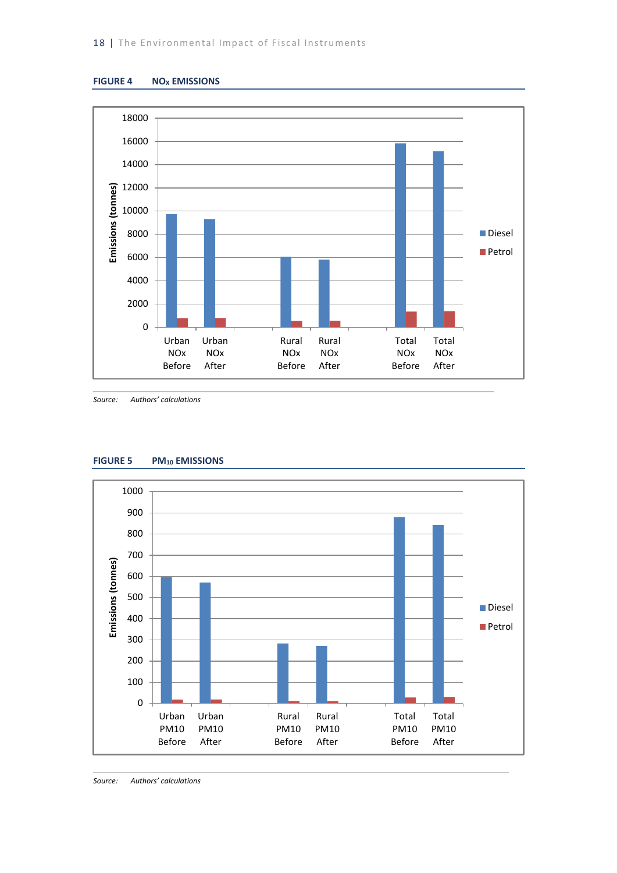<span id="page-26-0"></span>



*Source: Authors' calculations*



#### <span id="page-26-1"></span>**FIGURE 5 PM<sup>10</sup> EMISSIONS**

*Source: Authors' calculations*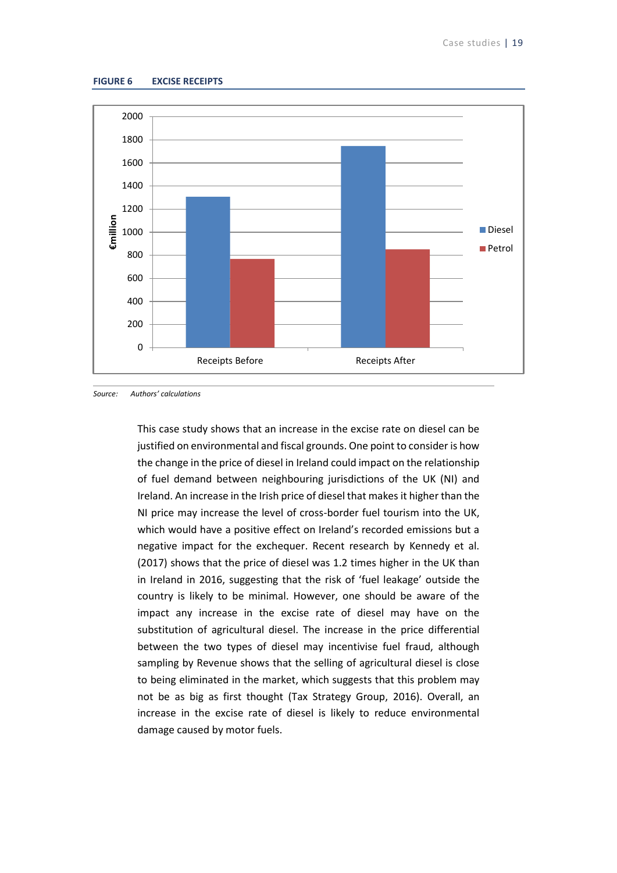#### <span id="page-27-0"></span>**FIGURE 6 EXCISE RECEIPTS**



*Source: Authors' calculations*

This case study shows that an increase in the excise rate on diesel can be justified on environmental and fiscal grounds. One point to consider is how the change in the price of diesel in Ireland could impact on the relationship of fuel demand between neighbouring jurisdictions of the UK (NI) and Ireland. An increase in the Irish price of diesel that makes it higher than the NI price may increase the level of cross-border fuel tourism into the UK, which would have a positive effect on Ireland's recorded emissions but a negative impact for the exchequer. Recent research by Kennedy et al. (2017) shows that the price of diesel was 1.2 times higher in the UK than in Ireland in 2016, suggesting that the risk of 'fuel leakage' outside the country is likely to be minimal. However, one should be aware of the impact any increase in the excise rate of diesel may have on the substitution of agricultural diesel. The increase in the price differential between the two types of diesel may incentivise fuel fraud, although sampling by Revenue shows that the selling of agricultural diesel is close to being eliminated in the market, which suggests that this problem may not be as big as first thought (Tax Strategy Group, 2016). Overall, an increase in the excise rate of diesel is likely to reduce environmental damage caused by motor fuels.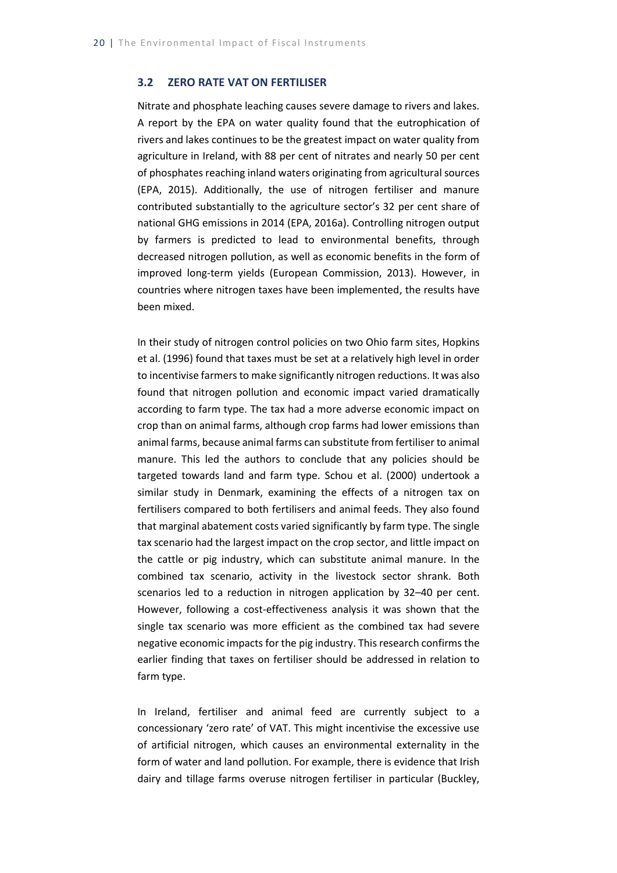#### <span id="page-28-0"></span>**3.2 ZERO RATE VAT ON FERTILISER**

Nitrate and phosphate leaching causes severe damage to rivers and lakes. A report by the EPA on water quality found that the eutrophication of rivers and lakes continues to be the greatest impact on water quality from agriculture in Ireland, with 88 per cent of nitrates and nearly 50 per cent of phosphates reaching inland waters originating from agricultural sources (EPA, 2015). Additionally, the use of nitrogen fertiliser and manure contributed substantially to the agriculture sector's 32 per cent share of national GHG emissions in 2014 (EPA, 2016a). Controlling nitrogen output by farmers is predicted to lead to environmental benefits, through decreased nitrogen pollution, as well as economic benefits in the form of improved long-term yields (European Commission, 2013). However, in countries where nitrogen taxes have been implemented, the results have been mixed.

In their study of nitrogen control policies on two Ohio farm sites, Hopkins et al. (1996) found that taxes must be set at a relatively high level in order to incentivise farmers to make significantly nitrogen reductions. It was also found that nitrogen pollution and economic impact varied dramatically according to farm type. The tax had a more adverse economic impact on crop than on animal farms, although crop farms had lower emissions than animal farms, because animal farms can substitute from fertiliser to animal manure. This led the authors to conclude that any policies should be targeted towards land and farm type. Schou et al. (2000) undertook a similar study in Denmark, examining the effects of a nitrogen tax on fertilisers compared to both fertilisers and animal feeds. They also found that marginal abatement costs varied significantly by farm type. The single tax scenario had the largest impact on the crop sector, and little impact on the cattle or pig industry, which can substitute animal manure. In the combined tax scenario, activity in the livestock sector shrank. Both scenarios led to a reduction in nitrogen application by 32–40 per cent. However, following a cost-effectiveness analysis it was shown that the single tax scenario was more efficient as the combined tax had severe negative economic impacts for the pig industry. This research confirms the earlier finding that taxes on fertiliser should be addressed in relation to farm type.

In Ireland, fertiliser and animal feed are currently subject to a concessionary 'zero rate' of VAT. This might incentivise the excessive use of artificial nitrogen, which causes an environmental externality in the form of water and land pollution. For example, there is evidence that Irish dairy and tillage farms overuse nitrogen fertiliser in particular (Buckley,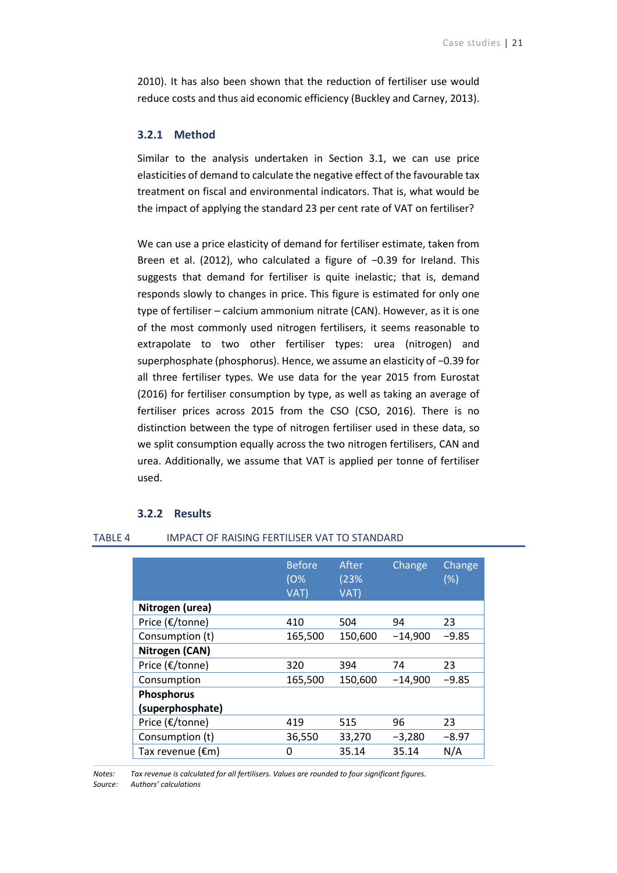2010). It has also been shown that the reduction of fertiliser use would reduce costs and thus aid economic efficiency (Buckley and Carney, 2013).

#### <span id="page-29-0"></span>**3.2.1 Method**

Similar to the analysis undertaken in Section 3.1, we can use price elasticities of demand to calculate the negative effect of the favourable tax treatment on fiscal and environmental indicators. That is, what would be the impact of applying the standard 23 per cent rate of VAT on fertiliser?

We can use a price elasticity of demand for fertiliser estimate, taken from Breen et al. (2012), who calculated a figure of −0.39 for Ireland. This suggests that demand for fertiliser is quite inelastic; that is, demand responds slowly to changes in price. This figure is estimated for only one type of fertiliser – calcium ammonium nitrate (CAN). However, as it is one of the most commonly used nitrogen fertilisers, it seems reasonable to extrapolate to two other fertiliser types: urea (nitrogen) and superphosphate (phosphorus). Hence, we assume an elasticity of −0.39 for all three fertiliser types. We use data for the year 2015 from Eurostat (2016) for fertiliser consumption by type, as well as taking an average of fertiliser prices across 2015 from the CSO (CSO, 2016). There is no distinction between the type of nitrogen fertiliser used in these data, so we split consumption equally across the two nitrogen fertilisers, CAN and urea. Additionally, we assume that VAT is applied per tonne of fertiliser used.

#### **3.2.2 Results**

#### <span id="page-29-2"></span><span id="page-29-1"></span>TABLE 4 IMPACT OF RAISING FERTILISER VAT TO STANDARD

|                   | <b>Before</b><br>10%<br>VAT) | After<br>(23%<br>VAT) | Change    | Change<br>(%) |
|-------------------|------------------------------|-----------------------|-----------|---------------|
| Nitrogen (urea)   |                              |                       |           |               |
| Price (€/tonne)   | 410                          | 504                   | 94        | 23            |
| Consumption (t)   | 165,500                      | 150,600               | $-14,900$ | $-9.85$       |
| Nitrogen (CAN)    |                              |                       |           |               |
| Price (€/tonne)   | 320                          | 394                   | 74        | 23            |
| Consumption       | 165,500                      | 150,600               | $-14,900$ | $-9.85$       |
| <b>Phosphorus</b> |                              |                       |           |               |
| (superphosphate)  |                              |                       |           |               |
| Price (€/tonne)   | 419                          | 515                   | 96        | 23            |
| Consumption (t)   | 36,550                       | 33,270                | $-3,280$  | $-8.97$       |
| Tax revenue (€m)  | 0                            | 35.14                 | 35.14     | N/A           |

*Notes: Tax revenue is calculated for all fertilisers. Values are rounded to four significant figures. Source: Authors' calculations*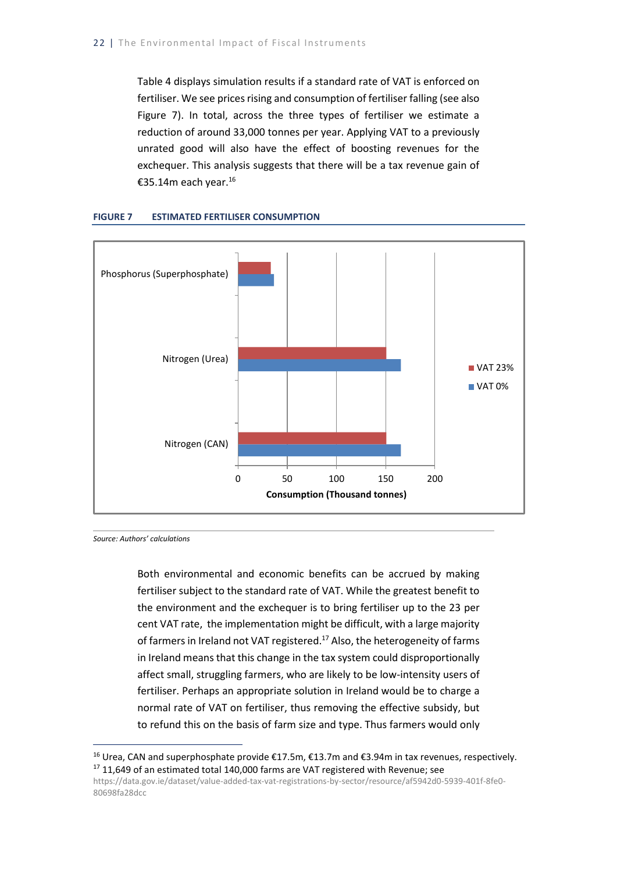Table 4 displays simulation results if a standard rate of VAT is enforced on fertiliser. We see prices rising and consumption of fertiliser falling (see also Figure 7). In total, across the three types of fertiliser we estimate a reduction of around 33,000 tonnes per year. Applying VAT to a previously unrated good will also have the effect of boosting revenues for the exchequer. This analysis suggests that there will be a tax revenue gain of €35.14m each year.<sup>16</sup>



#### **FIGURE 7 ESTIMATED FERTILISER CONSUMPTION**

*Source: Authors' calculations*

-

Both environmental and economic benefits can be accrued by making fertiliser subject to the standard rate of VAT. While the greatest benefit to the environment and the exchequer is to bring fertiliser up to the 23 per cent VAT rate, the implementation might be difficult, with a large majority of farmers in Ireland not VAT registered.<sup>17</sup> Also, the heterogeneity of farms in Ireland means that this change in the tax system could disproportionally affect small, struggling farmers, who are likely to be low-intensity users of fertiliser. Perhaps an appropriate solution in Ireland would be to charge a normal rate of VAT on fertiliser, thus removing the effective subsidy, but to refund this on the basis of farm size and type. Thus farmers would only

<sup>&</sup>lt;sup>16</sup> Urea, CAN and superphosphate provide €17.5m, €13.7m and €3.94m in tax revenues, respectively.  $17$  11,649 of an estimated total 140,000 farms are VAT registered with Revenue; see

[https://data.gov.ie/dataset/value-added-tax-vat-registrations-by-sector/resource/af5942d0-5939-401f-8fe0-](https://data.gov.ie/dataset/value-added-tax-vat-registrations-by-sector/resource/af5942d0-5939-401f-8fe0-80698fa28dcc) [80698fa28dcc](https://data.gov.ie/dataset/value-added-tax-vat-registrations-by-sector/resource/af5942d0-5939-401f-8fe0-80698fa28dcc)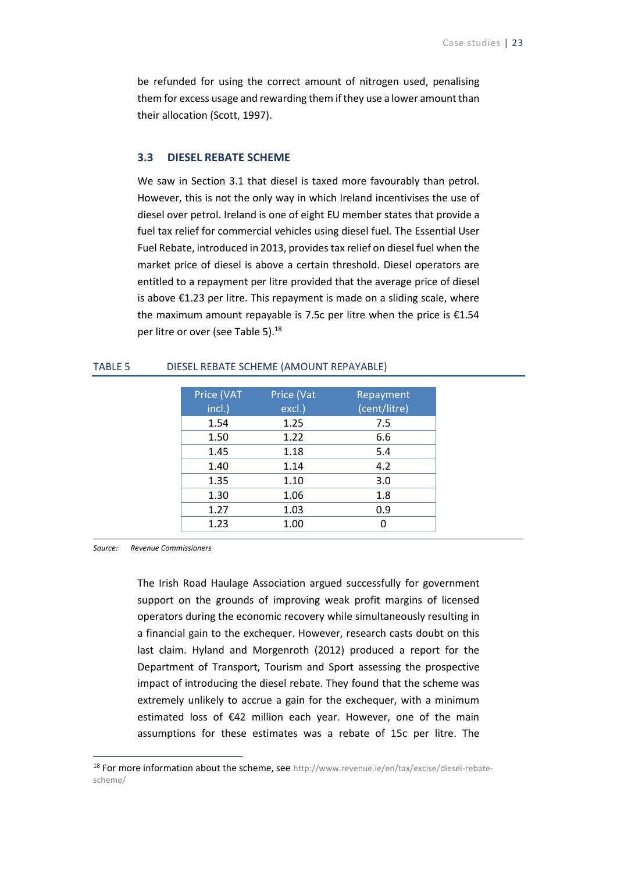be refunded for using the correct amount of nitrogen used, penalising them for excess usage and rewarding them if they use a lower amount than their allocation (Scott, 1997).

#### <span id="page-31-0"></span>**3.3 DIESEL REBATE SCHEME**

We saw in Section 3.1 that diesel is taxed more favourably than petrol. However, this is not the only way in which Ireland incentivises the use of diesel over petrol. Ireland is one of eight EU member states that provide a fuel tax relief for commercial vehicles using diesel fuel. The Essential User Fuel Rebate, introduced in 2013, provides tax relief on diesel fuel when the market price of diesel is above a certain threshold. Diesel operators are entitled to a repayment per litre provided that the average price of diesel is above €1.23 per litre. This repayment is made on a sliding scale, where the maximum amount repayable is 7.5c per litre when the price is €1.54 per litre or over (see Table 5).<sup>18</sup>

| Price (VAT | Price (Vat | Repayment    |
|------------|------------|--------------|
| incl.)     | excl.)     | (cent/litre) |
| 1.54       | 1.25       | 7.5          |
| 1.50       | 1.22       | 6.6          |
| 1.45       | 1.18       | 5.4          |
| 1.40       | 1.14       | 4.2          |
| 1.35       | 1.10       | 3.0          |
| 1.30       | 1.06       | 1.8          |
| 1.27       | 1.03       | 0.9          |
| 1.23       | 1.00       |              |

#### <span id="page-31-1"></span>TABLE 5 DIESEL REBATE SCHEME (AMOUNT REPAYABLE)

*Source: Revenue Commissioners*

1

The Irish Road Haulage Association argued successfully for government support on the grounds of improving weak profit margins of licensed operators during the economic recovery while simultaneously resulting in a financial gain to the exchequer. However, research casts doubt on this last claim. Hyland and Morgenroth (2012) produced a report for the Department of Transport, Tourism and Sport assessing the prospective impact of introducing the diesel rebate. They found that the scheme was extremely unlikely to accrue a gain for the exchequer, with a minimum estimated loss of €42 million each year. However, one of the main assumptions for these estimates was a rebate of 15c per litre. The

<sup>&</sup>lt;sup>18</sup> For more information about the scheme, see [http://www.revenue.ie/en/tax/excise/diesel-rebate](http://www.revenue.ie/en/tax/excise/diesel-rebate-scheme/)[scheme/](http://www.revenue.ie/en/tax/excise/diesel-rebate-scheme/)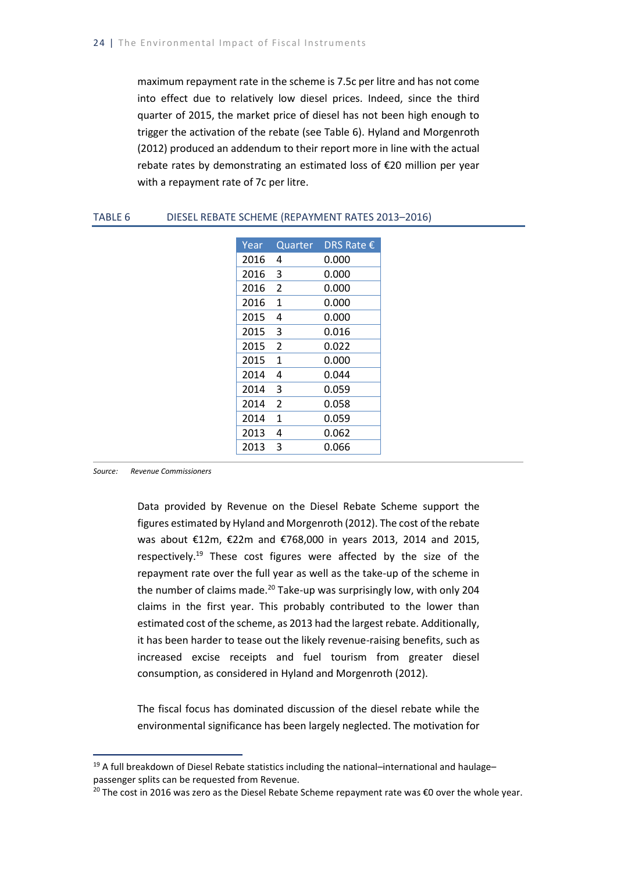maximum repayment rate in the scheme is 7.5c per litre and has not come into effect due to relatively low diesel prices. Indeed, since the third quarter of 2015, the market price of diesel has not been high enough to trigger the activation of the rebate (see Table 6). Hyland and Morgenroth (2012) produced an addendum to their report more in line with the actual rebate rates by demonstrating an estimated loss of €20 million per year with a repayment rate of 7c per litre.

<span id="page-32-0"></span>

| TABLE 6 | DIESEL REBATE SCHEME (REPAYMENT RATES 2013-2016) |
|---------|--------------------------------------------------|
|---------|--------------------------------------------------|

| Year | Quarter        | DRS Rate € |
|------|----------------|------------|
| 2016 | 4              | 0.000      |
| 2016 | 3              | 0.000      |
| 2016 | 2              | 0.000      |
| 2016 | 1              | 0.000      |
| 2015 | 4              | 0.000      |
| 2015 | 3              | 0.016      |
| 2015 | $\mathfrak{p}$ | 0.022      |
| 2015 | $\mathbf{1}$   | 0.000      |
| 2014 | 4              | 0.044      |
| 2014 | 3              | 0.059      |
| 2014 | $\mathfrak{p}$ | 0.058      |
| 2014 | 1              | 0.059      |
| 2013 | 4              | 0.062      |
| 2013 | 3              | 0.066      |

*Source: Revenue Commissioners*

-

Data provided by Revenue on the Diesel Rebate Scheme support the figures estimated by Hyland and Morgenroth (2012). The cost of the rebate was about €12m, €22m and €768,000 in years 2013, 2014 and 2015, respectively.<sup>19</sup> These cost figures were affected by the size of the repayment rate over the full year as well as the take-up of the scheme in the number of claims made.<sup>20</sup> Take-up was surprisingly low, with only 204 claims in the first year. This probably contributed to the lower than estimated cost of the scheme, as 2013 had the largest rebate. Additionally, it has been harder to tease out the likely revenue-raising benefits, such as increased excise receipts and fuel tourism from greater diesel consumption, as considered in Hyland and Morgenroth (2012).

The fiscal focus has dominated discussion of the diesel rebate while the environmental significance has been largely neglected. The motivation for

 $19$  A full breakdown of Diesel Rebate statistics including the national–international and haulage– passenger splits can be requested from Revenue.

<sup>&</sup>lt;sup>20</sup> The cost in 2016 was zero as the Diesel Rebate Scheme repayment rate was  $\epsilon$ 0 over the whole year.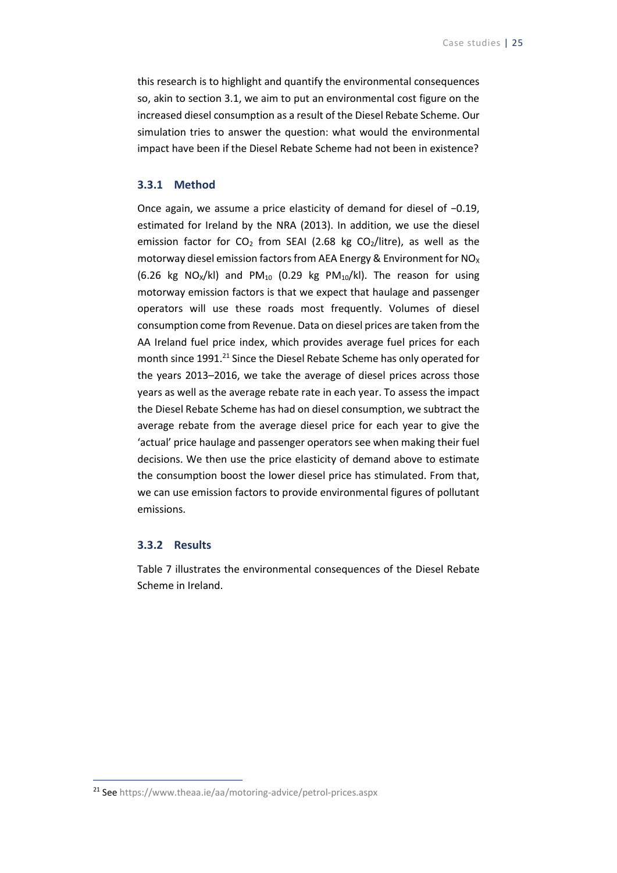this research is to highlight and quantify the environmental consequences so, akin to section 3.1, we aim to put an environmental cost figure on the increased diesel consumption as a result of the Diesel Rebate Scheme. Our simulation tries to answer the question: what would the environmental impact have been if the Diesel Rebate Scheme had not been in existence?

#### <span id="page-33-0"></span>**3.3.1 Method**

Once again, we assume a price elasticity of demand for diesel of −0.19, estimated for Ireland by the NRA (2013). In addition, we use the diesel emission factor for  $CO<sub>2</sub>$  from SEAI (2.68 kg  $CO<sub>2</sub>/$ litre), as well as the motorway diesel emission factors from AEA Energy & Environment for  $NO<sub>X</sub>$ (6.26 kg NO<sub>X</sub>/kl) and PM<sub>10</sub> (0.29 kg PM<sub>10</sub>/kl). The reason for using motorway emission factors is that we expect that haulage and passenger operators will use these roads most frequently. Volumes of diesel consumption come from Revenue. Data on diesel prices are taken from the AA Ireland fuel price index, which provides average fuel prices for each month since 1991.<sup>21</sup> Since the Diesel Rebate Scheme has only operated for the years 2013–2016, we take the average of diesel prices across those years as well as the average rebate rate in each year. To assess the impact the Diesel Rebate Scheme has had on diesel consumption, we subtract the average rebate from the average diesel price for each year to give the 'actual' price haulage and passenger operators see when making their fuel decisions. We then use the price elasticity of demand above to estimate the consumption boost the lower diesel price has stimulated. From that, we can use emission factors to provide environmental figures of pollutant emissions.

#### <span id="page-33-1"></span>**3.3.2 Results**

-

<span id="page-33-2"></span>Table 7 illustrates the environmental consequences of the Diesel Rebate Scheme in Ireland.

<sup>&</sup>lt;sup>21</sup> Se[e https://www.theaa.ie/aa/motoring-advice/petrol-prices.aspx](https://www.theaa.ie/aa/motoring-advice/petrol-prices.aspx)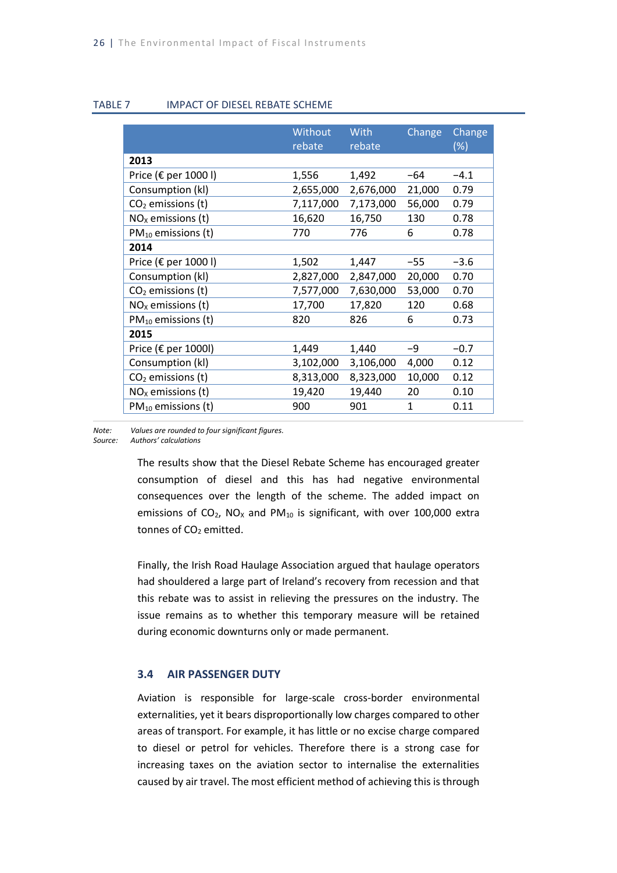#### TABLE 7 IMPACT OF DIESEL REBATE SCHEME

|                                | Without   | <b>With</b> | Change | Change |
|--------------------------------|-----------|-------------|--------|--------|
|                                | rebate    | rebate      |        | (% )   |
| 2013                           |           |             |        |        |
| Price ( $\epsilon$ per 1000 l) | 1,556     | 1,492       | -64    | $-4.1$ |
| Consumption (kl)               | 2,655,000 | 2,676,000   | 21,000 | 0.79   |
| $CO2$ emissions (t)            | 7,117,000 | 7,173,000   | 56,000 | 0.79   |
| $NOx$ emissions (t)            | 16,620    | 16,750      | 130    | 0.78   |
| $PM_{10}$ emissions (t)        | 770       | 776         | 6      | 0.78   |
| 2014                           |           |             |        |        |
| Price ( $\epsilon$ per 1000 l) | 1,502     | 1,447       | $-55$  | $-3.6$ |
| Consumption (kl)               | 2,827,000 | 2,847,000   | 20,000 | 0.70   |
| $CO2$ emissions (t)            | 7,577,000 | 7,630,000   | 53,000 | 0.70   |
| $NOx$ emissions (t)            | 17,700    | 17,820      | 120    | 0.68   |
| $PM_{10}$ emissions (t)        | 820       | 826         | 6      | 0.73   |
| 2015                           |           |             |        |        |
| Price ( $\epsilon$ per 1000l)  | 1,449     | 1,440       | -9     | $-0.7$ |
| Consumption (kl)               | 3,102,000 | 3,106,000   | 4,000  | 0.12   |
| $CO2$ emissions (t)            | 8,313,000 | 8,323,000   | 10,000 | 0.12   |
| $NOx$ emissions (t)            | 19,420    | 19,440      | 20     | 0.10   |
| $PM_{10}$ emissions (t)        | 900       | 901         | 1      | 0.11   |

*Note: Values are rounded to four significant figures.*

*Source: Authors' calculations*

The results show that the Diesel Rebate Scheme has encouraged greater consumption of diesel and this has had negative environmental consequences over the length of the scheme. The added impact on emissions of  $CO_2$ , NO<sub>x</sub> and PM<sub>10</sub> is significant, with over 100,000 extra tonnes of CO<sub>2</sub> emitted.

Finally, the Irish Road Haulage Association argued that haulage operators had shouldered a large part of Ireland's recovery from recession and that this rebate was to assist in relieving the pressures on the industry. The issue remains as to whether this temporary measure will be retained during economic downturns only or made permanent.

### <span id="page-34-0"></span>**3.4 AIR PASSENGER DUTY**

Aviation is responsible for large-scale cross-border environmental externalities, yet it bears disproportionally low charges compared to other areas of transport. For example, it has little or no excise charge compared to diesel or petrol for vehicles. Therefore there is a strong case for increasing taxes on the aviation sector to internalise the externalities caused by air travel. The most efficient method of achieving this is through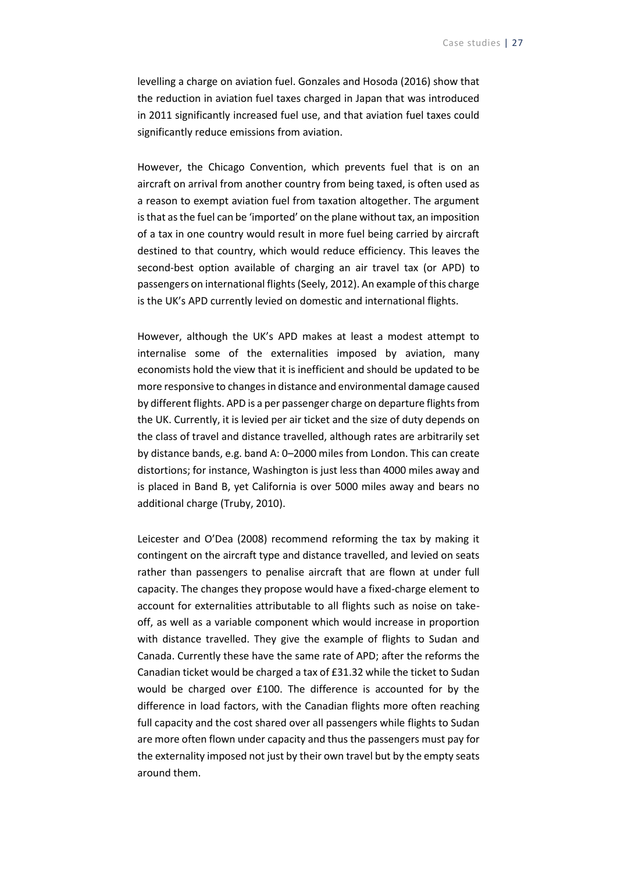levelling a charge on aviation fuel. Gonzales and Hosoda (2016) show that the reduction in aviation fuel taxes charged in Japan that was introduced in 2011 significantly increased fuel use, and that aviation fuel taxes could significantly reduce emissions from aviation.

However, the Chicago Convention, which prevents fuel that is on an aircraft on arrival from another country from being taxed, is often used as a reason to exempt aviation fuel from taxation altogether. The argument is that as the fuel can be 'imported' on the plane without tax, an imposition of a tax in one country would result in more fuel being carried by aircraft destined to that country, which would reduce efficiency. This leaves the second-best option available of charging an air travel tax (or APD) to passengers on international flights (Seely, 2012). An example of this charge is the UK's APD currently levied on domestic and international flights.

However, although the UK's APD makes at least a modest attempt to internalise some of the externalities imposed by aviation, many economists hold the view that it is inefficient and should be updated to be more responsive to changes in distance and environmental damage caused by different flights. APD is a per passenger charge on departure flights from the UK. Currently, it is levied per air ticket and the size of duty depends on the class of travel and distance travelled, although rates are arbitrarily set by distance bands, e.g. band A: 0–2000 miles from London. This can create distortions; for instance, Washington is just less than 4000 miles away and is placed in Band B, yet California is over 5000 miles away and bears no additional charge (Truby, 2010).

Leicester and O'Dea (2008) recommend reforming the tax by making it contingent on the aircraft type and distance travelled, and levied on seats rather than passengers to penalise aircraft that are flown at under full capacity. The changes they propose would have a fixed-charge element to account for externalities attributable to all flights such as noise on takeoff, as well as a variable component which would increase in proportion with distance travelled. They give the example of flights to Sudan and Canada. Currently these have the same rate of APD; after the reforms the Canadian ticket would be charged a tax of £31.32 while the ticket to Sudan would be charged over £100. The difference is accounted for by the difference in load factors, with the Canadian flights more often reaching full capacity and the cost shared over all passengers while flights to Sudan are more often flown under capacity and thus the passengers must pay for the externality imposed not just by their own travel but by the empty seats around them.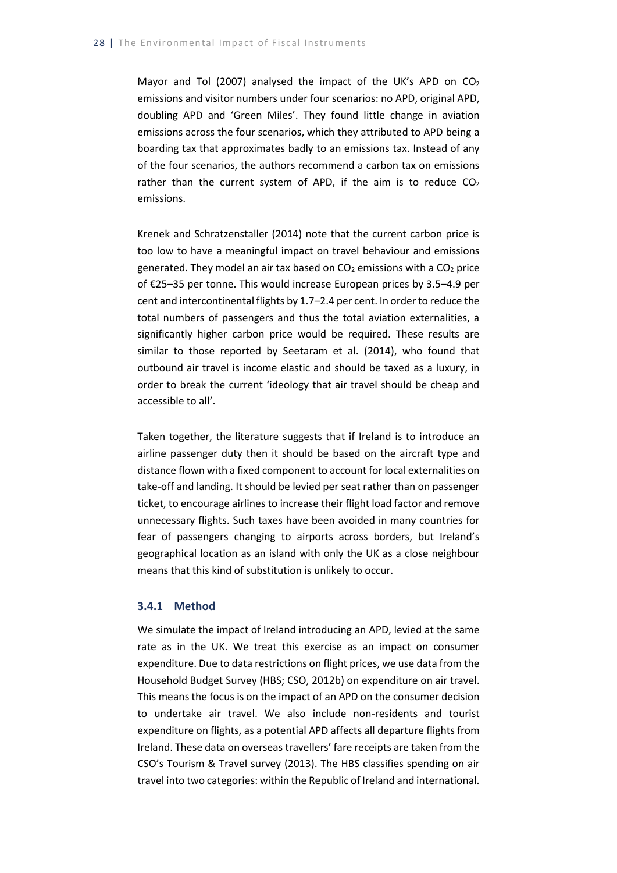Mayor and Tol (2007) analysed the impact of the UK's APD on  $CO<sub>2</sub>$ emissions and visitor numbers under four scenarios: no APD, original APD, doubling APD and 'Green Miles'. They found little change in aviation emissions across the four scenarios, which they attributed to APD being a boarding tax that approximates badly to an emissions tax. Instead of any of the four scenarios, the authors recommend a carbon tax on emissions rather than the current system of APD, if the aim is to reduce  $CO<sub>2</sub>$ emissions.

Krenek and Schratzenstaller (2014) note that the current carbon price is too low to have a meaningful impact on travel behaviour and emissions generated. They model an air tax based on  $CO<sub>2</sub>$  emissions with a  $CO<sub>2</sub>$  price of €25–35 per tonne. This would increase European prices by 3.5–4.9 per cent and intercontinental flights by 1.7–2.4 per cent. In order to reduce the total numbers of passengers and thus the total aviation externalities, a significantly higher carbon price would be required. These results are similar to those reported by Seetaram et al. (2014), who found that outbound air travel is income elastic and should be taxed as a luxury, in order to break the current 'ideology that air travel should be cheap and accessible to all'.

Taken together, the literature suggests that if Ireland is to introduce an airline passenger duty then it should be based on the aircraft type and distance flown with a fixed component to account for local externalities on take-off and landing. It should be levied per seat rather than on passenger ticket, to encourage airlines to increase their flight load factor and remove unnecessary flights. Such taxes have been avoided in many countries for fear of passengers changing to airports across borders, but Ireland's geographical location as an island with only the UK as a close neighbour means that this kind of substitution is unlikely to occur.

#### **3.4.1 Method**

We simulate the impact of Ireland introducing an APD, levied at the same rate as in the UK. We treat this exercise as an impact on consumer expenditure. Due to data restrictions on flight prices, we use data from the Household Budget Survey (HBS; CSO, 2012b) on expenditure on air travel. This means the focus is on the impact of an APD on the consumer decision to undertake air travel. We also include non-residents and tourist expenditure on flights, as a potential APD affects all departure flights from Ireland. These data on overseas travellers' fare receipts are taken from the CSO's Tourism & Travel survey (2013). The HBS classifies spending on air travel into two categories: within the Republic of Ireland and international.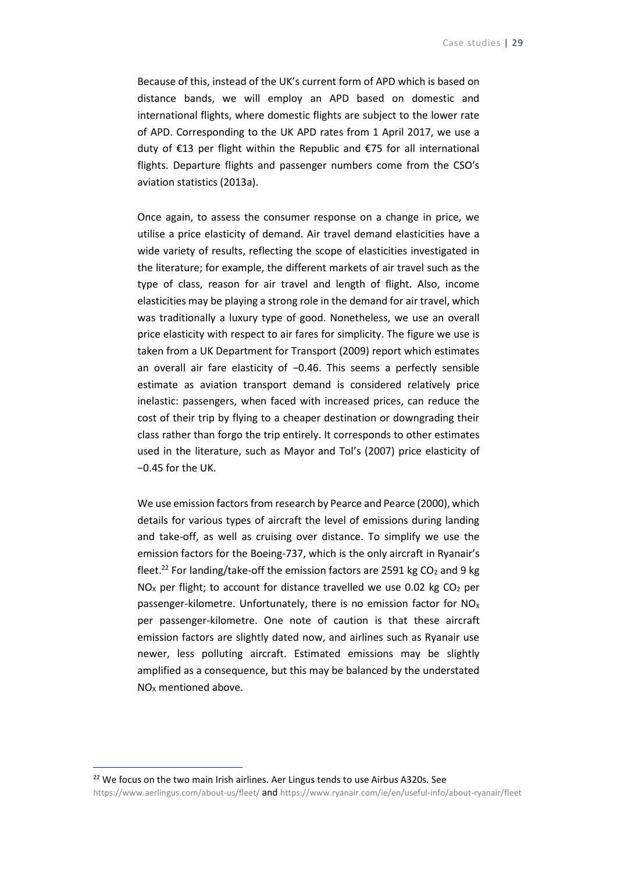Because of this, instead of the UK's current form of APD which is based on distance bands, we will employ an APD based on domestic and international flights, where domestic flights are subject to the lower rate of APD. Corresponding to the UK APD rates from 1 April 2017, we use a duty of €13 per flight within the Republic and €75 for all international flights. Departure flights and passenger numbers come from the CSO's aviation statistics (2013a).

Once again, to assess the consumer response on a change in price, we utilise a price elasticity of demand. Air travel demand elasticities have a wide variety of results, reflecting the scope of elasticities investigated in the literature; for example, the different markets of air travel such as the type of class, reason for air travel and length of flight. Also, income elasticities may be playing a strong role in the demand for air travel, which was traditionally a luxury type of good. Nonetheless, we use an overall price elasticity with respect to air fares for simplicity. The figure we use is taken from a UK Department for Transport (2009) report which estimates an overall air fare elasticity of −0.46. This seems a perfectly sensible estimate as aviation transport demand is considered relatively price inelastic: passengers, when faced with increased prices, can reduce the cost of their trip by flying to a cheaper destination or downgrading their class rather than forgo the trip entirely. It corresponds to other estimates used in the literature, such as Mayor and Tol's (2007) price elasticity of −0.45 for the UK.

We use emission factors from research by Pearce and Pearce (2000), which details for various types of aircraft the level of emissions during landing and take-off, as well as cruising over distance. To simplify we use the emission factors for the Boeing-737, which is the only aircraft in Ryanair's fleet.<sup>22</sup> For landing/take-off the emission factors are 2591 kg  $CO<sub>2</sub>$  and 9 kg  $NO<sub>x</sub>$  per flight; to account for distance travelled we use 0.02 kg CO<sub>2</sub> per passenger-kilometre. Unfortunately, there is no emission factor for  $NO<sub>X</sub>$ per passenger-kilometre. One note of caution is that these aircraft emission factors are slightly dated now, and airlines such as Ryanair use newer, less polluting aircraft. Estimated emissions may be slightly amplified as a consequence, but this may be balanced by the understated NO<sub>x</sub> mentioned above.

<sup>22</sup> We focus on the two main Irish airlines. Aer Lingus tends to use Airbus A320s. See [https://www.aerlingus.com/about-us/fleet/](https://www.aerlingus.com/about-us/fleet/%20and) and <https://www.ryanair.com/ie/en/useful-info/about-ryanair/fleet>

1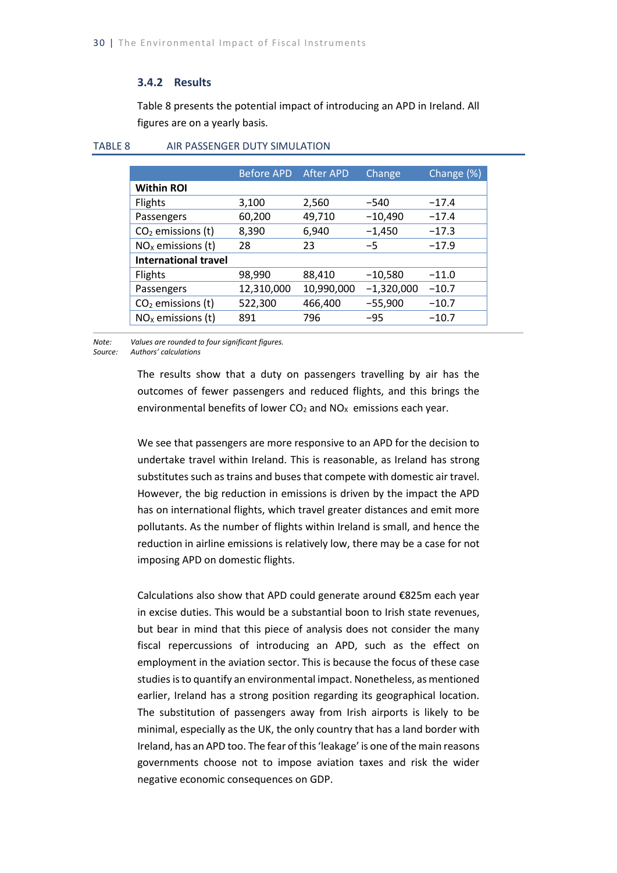#### **3.4.2 Results**

Table 8 presents the potential impact of introducing an APD in Ireland. All figures are on a yearly basis.

|                             | <b>Before APD</b> | <b>After APD</b> | Change       | Change (%) |
|-----------------------------|-------------------|------------------|--------------|------------|
| <b>Within ROI</b>           |                   |                  |              |            |
| Flights                     | 3,100             | 2,560            | -540         | $-17.4$    |
| Passengers                  | 60,200            | 49,710           | $-10,490$    | $-17.4$    |
| $CO2$ emissions (t)         | 8,390             | 6,940            | $-1,450$     | $-17.3$    |
| $NOx$ emissions (t)         | 28                | 23               | $-5$         | $-17.9$    |
| <b>International travel</b> |                   |                  |              |            |
| Flights                     | 98,990            | 88,410           | $-10,580$    | $-11.0$    |
| Passengers                  | 12,310,000        | 10,990,000       | $-1,320,000$ | $-10.7$    |
| $CO2$ emissions (t)         | 522,300           | 466,400          | $-55,900$    | $-10.7$    |
| $NOx$ emissions (t)         | 891               | 796              | $-95$        | $-10.7$    |

#### TABLE 8 AIR PASSENGER DUTY SIMULATION

*Note: Values are rounded to four significant figures.*

*Source: Authors' calculations*

The results show that a duty on passengers travelling by air has the outcomes of fewer passengers and reduced flights, and this brings the environmental benefits of lower  $CO<sub>2</sub>$  and  $NO<sub>X</sub>$  emissions each year.

We see that passengers are more responsive to an APD for the decision to undertake travel within Ireland. This is reasonable, as Ireland has strong substitutes such as trains and buses that compete with domestic air travel. However, the big reduction in emissions is driven by the impact the APD has on international flights, which travel greater distances and emit more pollutants. As the number of flights within Ireland is small, and hence the reduction in airline emissions is relatively low, there may be a case for not imposing APD on domestic flights.

Calculations also show that APD could generate around €825m each year in excise duties. This would be a substantial boon to Irish state revenues, but bear in mind that this piece of analysis does not consider the many fiscal repercussions of introducing an APD, such as the effect on employment in the aviation sector. This is because the focus of these case studies is to quantify an environmental impact. Nonetheless, as mentioned earlier, Ireland has a strong position regarding its geographical location. The substitution of passengers away from Irish airports is likely to be minimal, especially as the UK, the only country that has a land border with Ireland, has an APD too. The fear of this 'leakage' is one of the main reasons governments choose not to impose aviation taxes and risk the wider negative economic consequences on GDP.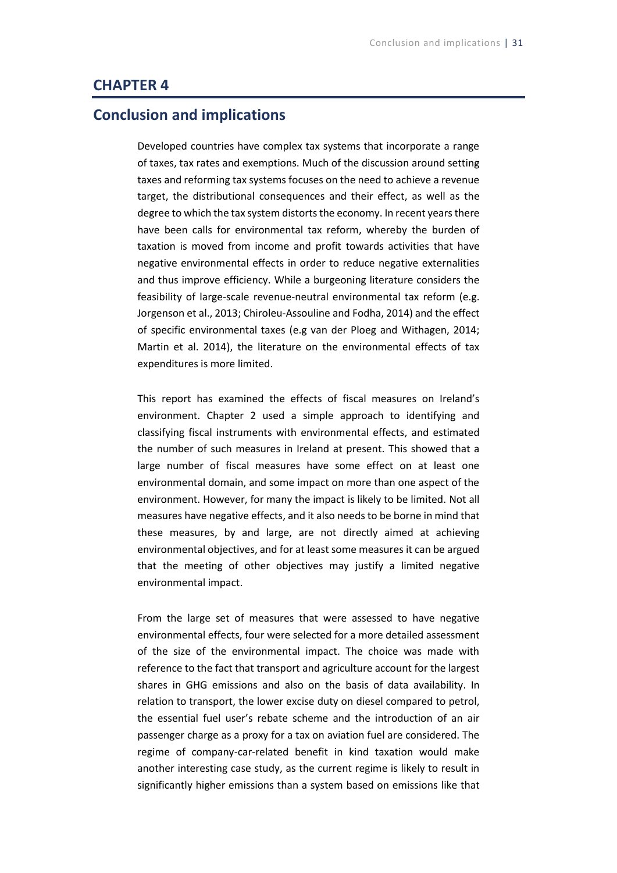### **CHAPTER 4**

## **Conclusion and implications**

Developed countries have complex tax systems that incorporate a range of taxes, tax rates and exemptions. Much of the discussion around setting taxes and reforming tax systems focuses on the need to achieve a revenue target, the distributional consequences and their effect, as well as the degree to which the tax system distorts the economy. In recent years there have been calls for environmental tax reform, whereby the burden of taxation is moved from income and profit towards activities that have negative environmental effects in order to reduce negative externalities and thus improve efficiency. While a burgeoning literature considers the feasibility of large-scale revenue-neutral environmental tax reform (e.g. Jorgenson et al., 2013; Chiroleu-Assouline and Fodha, 2014) and the effect of specific environmental taxes (e.g van der Ploeg and Withagen, 2014; Martin et al. 2014), the literature on the environmental effects of tax expenditures is more limited.

This report has examined the effects of fiscal measures on Ireland's environment. Chapter 2 used a simple approach to identifying and classifying fiscal instruments with environmental effects, and estimated the number of such measures in Ireland at present. This showed that a large number of fiscal measures have some effect on at least one environmental domain, and some impact on more than one aspect of the environment. However, for many the impact is likely to be limited. Not all measures have negative effects, and it also needs to be borne in mind that these measures, by and large, are not directly aimed at achieving environmental objectives, and for at least some measures it can be argued that the meeting of other objectives may justify a limited negative environmental impact.

From the large set of measures that were assessed to have negative environmental effects, four were selected for a more detailed assessment of the size of the environmental impact. The choice was made with reference to the fact that transport and agriculture account for the largest shares in GHG emissions and also on the basis of data availability. In relation to transport, the lower excise duty on diesel compared to petrol, the essential fuel user's rebate scheme and the introduction of an air passenger charge as a proxy for a tax on aviation fuel are considered. The regime of company-car-related benefit in kind taxation would make another interesting case study, as the current regime is likely to result in significantly higher emissions than a system based on emissions like that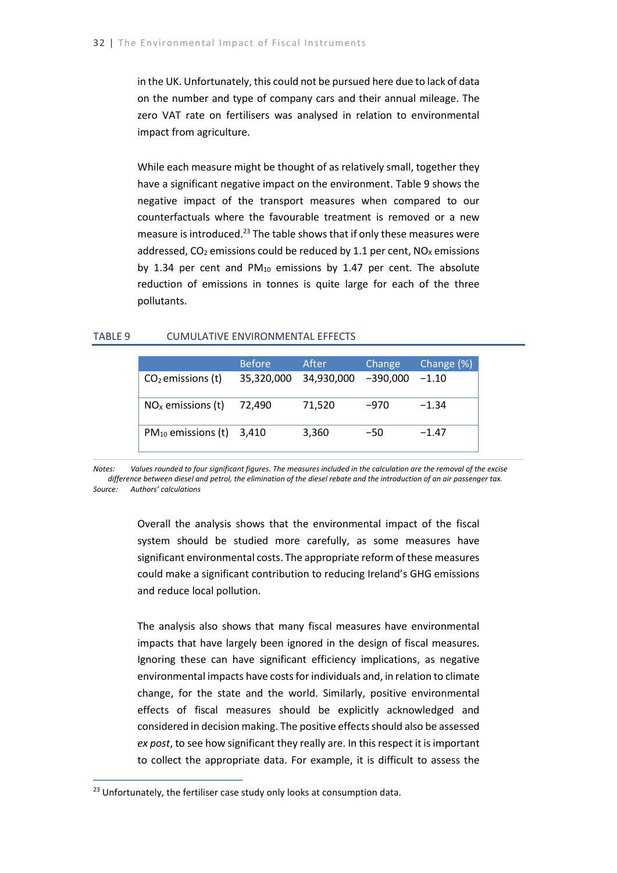in the UK. Unfortunately, this could not be pursued here due to lack of data on the number and type of company cars and their annual mileage. The zero VAT rate on fertilisers was analysed in relation to environmental impact from agriculture.

While each measure might be thought of as relatively small, together they have a significant negative impact on the environment. Table 9 shows the negative impact of the transport measures when compared to our counterfactuals where the favourable treatment is removed or a new measure is introduced.<sup>23</sup> The table shows that if only these measures were addressed,  $CO<sub>2</sub>$  emissions could be reduced by 1.1 per cent,  $NO<sub>X</sub>$  emissions by 1.34 per cent and  $PM_{10}$  emissions by 1.47 per cent. The absolute reduction of emissions in tonnes is quite large for each of the three pollutants.

#### TABLE 9 CUMULATIVE ENVIRONMENTAL EFFECTS

|                               | <b>Before</b> | After      | Change     | Change (%) |
|-------------------------------|---------------|------------|------------|------------|
| $CO2$ emissions (t)           | 35,320,000    | 34,930,000 | $-390,000$ | $-1.10$    |
| $NOx$ emissions (t)           | 72,490        | 71,520     | $-970$     | $-1.34$    |
| $PM_{10}$ emissions (t) 3,410 |               | 3,360      | -50        | $-1.47$    |

*Notes: Values rounded to four significant figures. The measures included in the calculation are the removal of the excise difference between diesel and petrol, the elimination of the diesel rebate and the introduction of an air passenger tax. Source: Authors' calculations*

> Overall the analysis shows that the environmental impact of the fiscal system should be studied more carefully, as some measures have significant environmental costs. The appropriate reform of these measures could make a significant contribution to reducing Ireland's GHG emissions and reduce local pollution.

> The analysis also shows that many fiscal measures have environmental impacts that have largely been ignored in the design of fiscal measures. Ignoring these can have significant efficiency implications, as negative environmental impacts have costs for individuals and, in relation to climate change, for the state and the world. Similarly, positive environmental effects of fiscal measures should be explicitly acknowledged and considered in decision making. The positive effects should also be assessed *ex post*, to see how significant they really are. In this respect it is important to collect the appropriate data. For example, it is difficult to assess the

-

<sup>&</sup>lt;sup>23</sup> Unfortunately, the fertiliser case study only looks at consumption data.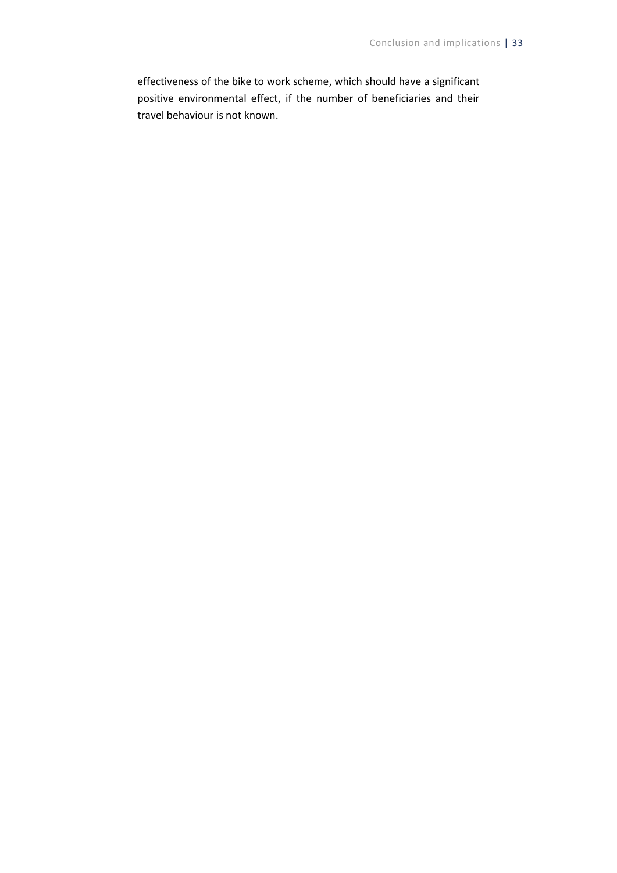effectiveness of the bike to work scheme, which should have a significant positive environmental effect, if the number of beneficiaries and their travel behaviour is not known.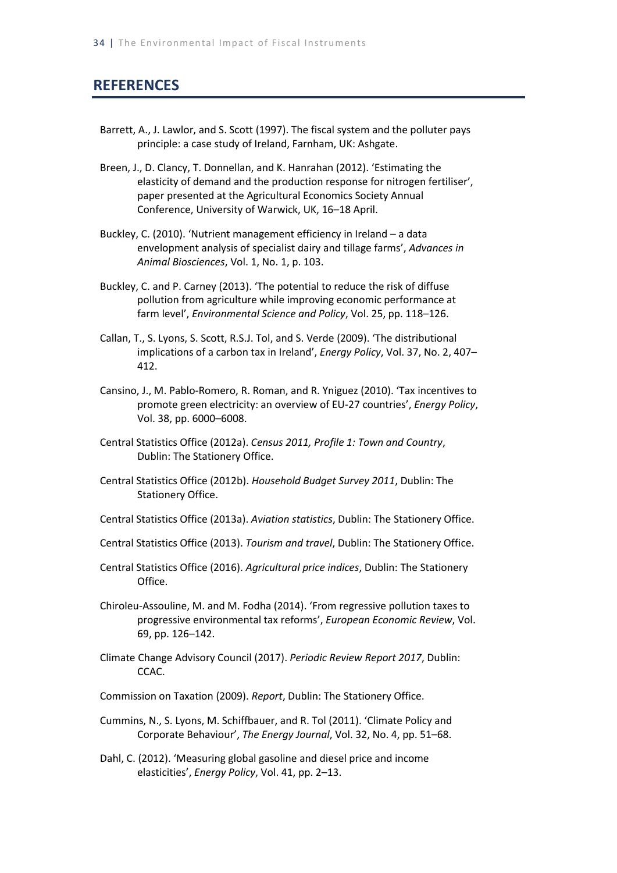## **REFERENCES**

- Barrett, A., J. Lawlor, and S. Scott (1997). The fiscal system and the polluter pays principle: a case study of Ireland, Farnham, UK: Ashgate.
- Breen, J., D. Clancy, T. Donnellan, and K. Hanrahan (2012). 'Estimating the elasticity of demand and the production response for nitrogen fertiliser', paper presented at the Agricultural Economics Society Annual Conference, University of Warwick, UK, 16–18 April.
- Buckley, C. (2010). 'Nutrient management efficiency in Ireland a data envelopment analysis of specialist dairy and tillage farms', *Advances in Animal Biosciences*, Vol. 1, No. 1, p. 103.
- Buckley, C. and P. Carney (2013). 'The potential to reduce the risk of diffuse pollution from agriculture while improving economic performance at farm level', *Environmental Science and Policy*, Vol. 25, pp. 118–126.
- Callan, T., S. Lyons, S. Scott, R.S.J. Tol, and S. Verde (2009). 'The distributional implications of a carbon tax in Ireland', *Energy Policy*, Vol. 37, No. 2, 407– 412.
- Cansino, J., M. Pablo-Romero, R. Roman, and R. Yniguez (2010). 'Tax incentives to promote green electricity: an overview of EU-27 countries', *Energy Policy*, Vol. 38, pp. 6000–6008.
- Central Statistics Office (2012a). *Census 2011, Profile 1: Town and Country*, Dublin: The Stationery Office.
- Central Statistics Office (2012b). *Household Budget Survey 2011*, Dublin: The Stationery Office.
- Central Statistics Office (2013a). *Aviation statistics*, Dublin: The Stationery Office.
- Central Statistics Office (2013). *Tourism and travel*, Dublin: The Stationery Office.
- Central Statistics Office (2016). *Agricultural price indices*, Dublin: The Stationery Office.
- Chiroleu-Assouline, M. and M. Fodha (2014). 'From regressive pollution taxes to progressive environmental tax reforms', *European Economic Review*, Vol. 69, pp. 126–142.
- Climate Change Advisory Council (2017). *Periodic Review Report 2017*, Dublin: CCAC.
- Commission on Taxation (2009). *Report*, Dublin: The Stationery Office.
- Cummins, N., S. Lyons, M. Schiffbauer, and R. Tol (2011). 'Climate Policy and Corporate Behaviour', *The Energy Journal*, Vol. 32, No. 4, pp. 51–68.
- Dahl, C. (2012). 'Measuring global gasoline and diesel price and income elasticities', *Energy Policy*, Vol. 41, pp. 2–13.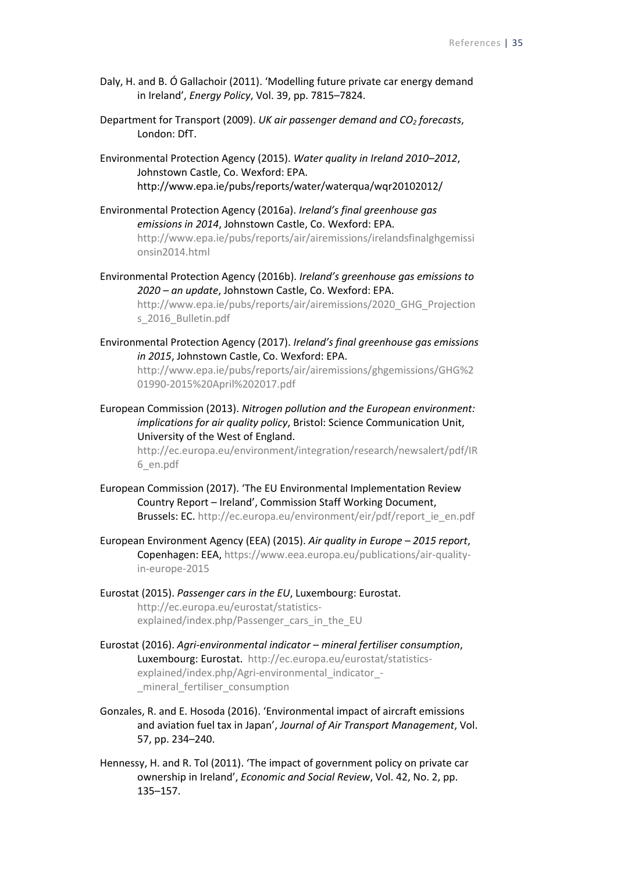- Daly, H. and B. Ó Gallachoir (2011). 'Modelling future private car energy demand in Ireland', *Energy Policy*, Vol. 39, pp. 7815–7824.
- Department for Transport (2009). *UK air passenger demand and CO<sup>2</sup> forecasts*, London: DfT.
- Environmental Protection Agency (2015). *Water quality in Ireland 2010–2012*, Johnstown Castle, Co. Wexford: EPA. http://www.epa.ie/pubs/reports/water/waterqua/wqr20102012/
- Environmental Protection Agency (2016a). *Ireland's final greenhouse gas emissions in 2014*, Johnstown Castle, Co. Wexford: EPA. [http://www.epa.ie/pubs/reports/air/airemissions/irelandsfinalghgemissi](http://www.epa.ie/pubs/reports/air/airemissions/irelandsfinalghgemissionsin2014.html) [onsin2014.html](http://www.epa.ie/pubs/reports/air/airemissions/irelandsfinalghgemissionsin2014.html)
- Environmental Protection Agency (2016b). *Ireland's greenhouse gas emissions to 2020 – an update*, Johnstown Castle, Co. Wexford: EPA. [http://www.epa.ie/pubs/reports/air/airemissions/2020\\_GHG\\_Projection](http://www.epa.ie/pubs/reports/air/airemissions/2020_GHG_Projections_2016_Bulletin.pdf) [s\\_2016\\_Bulletin.pdf](http://www.epa.ie/pubs/reports/air/airemissions/2020_GHG_Projections_2016_Bulletin.pdf)
- Environmental Protection Agency (2017). *Ireland's final greenhouse gas emissions in 2015*, Johnstown Castle, Co. Wexford: EPA.

[http://www.epa.ie/pubs/reports/air/airemissions/ghgemissions/GHG%2](http://www.epa.ie/pubs/reports/air/airemissions/ghgemissions/GHG%201990-2015%20April%202017.pdf) [01990-2015%20April%202017.pdf](http://www.epa.ie/pubs/reports/air/airemissions/ghgemissions/GHG%201990-2015%20April%202017.pdf)

European Commission (2013). *Nitrogen pollution and the European environment: implications for air quality policy*, Bristol: Science Communication Unit, University of the West of England.

> [http://ec.europa.eu/environment/integration/research/newsalert/pdf/IR](http://ec.europa.eu/environment/integration/research/newsalert/pdf/IR6_en.pdf) [6\\_en.pdf](http://ec.europa.eu/environment/integration/research/newsalert/pdf/IR6_en.pdf)

- European Commission (2017). 'The EU Environmental Implementation Review Country Report – Ireland', Commission Staff Working Document, Brussels: EC. [http://ec.europa.eu/environment/eir/pdf/report\\_ie\\_en.pdf](http://ec.europa.eu/environment/eir/pdf/report_ie_en.pdf)
- European Environment Agency (EEA) (2015). *Air quality in Europe – 2015 report*, Copenhagen: EEA, [https://www.eea.europa.eu/publications/air-quality](https://www.eea.europa.eu/publications/air-quality-in-europe-2015)[in-europe-2015](https://www.eea.europa.eu/publications/air-quality-in-europe-2015)
- Eurostat (2015). *Passenger cars in the EU*, Luxembourg: Eurostat. [http://ec.europa.eu/eurostat/statistics](http://ec.europa.eu/eurostat/statistics-explained/index.php/Passenger_cars_in_the_EU)[explained/index.php/Passenger\\_cars\\_in\\_the\\_EU](http://ec.europa.eu/eurostat/statistics-explained/index.php/Passenger_cars_in_the_EU)
- Eurostat (2016). *Agri-environmental indicator – mineral fertiliser consumption*, Luxembourg: Eurostat. [http://ec.europa.eu/eurostat/statistics](http://ec.europa.eu/eurostat/statistics-explained/index.php/Agri-environmental_indicator_-_mineral_fertiliser_consumption)explained/index.php/Agri-environmental indicator -[\\_mineral\\_fertiliser\\_consumption](http://ec.europa.eu/eurostat/statistics-explained/index.php/Agri-environmental_indicator_-_mineral_fertiliser_consumption)
- Gonzales, R. and E. Hosoda (2016). 'Environmental impact of aircraft emissions and aviation fuel tax in Japan', *Journal of Air Transport Management*, Vol. 57, pp. 234–240.
- Hennessy, H. and R. Tol (2011). 'The impact of government policy on private car ownership in Ireland', *Economic and Social Review*, Vol. 42, No. 2, pp. 135–157.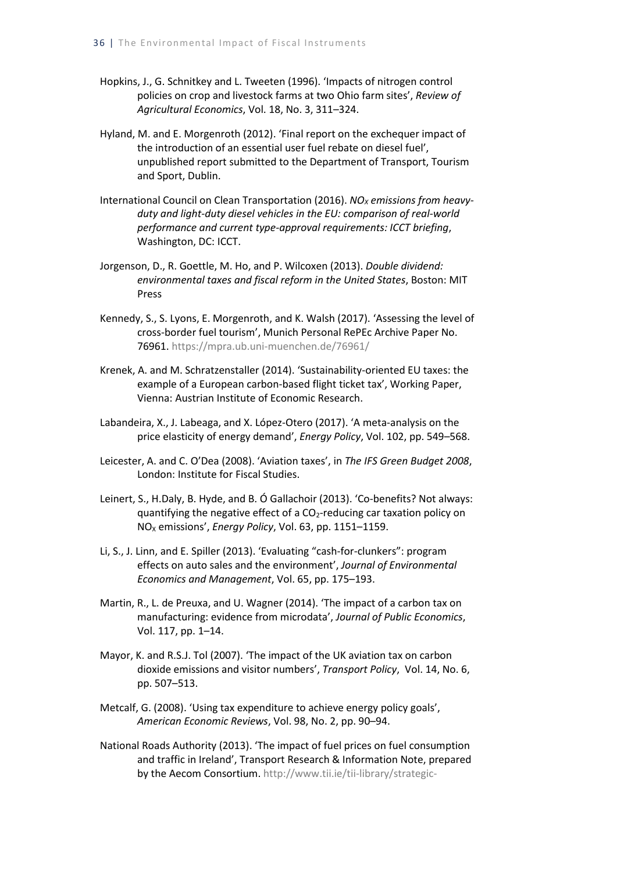- Hopkins, J., G. Schnitkey and L. Tweeten (1996). 'Impacts of nitrogen control policies on crop and livestock farms at two Ohio farm sites', *Review of Agricultural Economics*, Vol. 18, No. 3, 311–324.
- Hyland, M. and E. Morgenroth (2012). 'Final report on the exchequer impact of the introduction of an essential user fuel rebate on diesel fuel', unpublished report submitted to the Department of Transport, Tourism and Sport, Dublin.
- International Council on Clean Transportation (2016). *NO<sub>X</sub>* emissions from heavy*duty and light-duty diesel vehicles in the EU: comparison of real-world performance and current type-approval requirements: ICCT briefing*, Washington, DC: ICCT.
- Jorgenson, D., R. Goettle, M. Ho, and P. Wilcoxen (2013). *Double dividend: environmental taxes and fiscal reform in the United States*, Boston: MIT Press
- Kennedy, S., S. Lyons, E. Morgenroth, and K. Walsh (2017). 'Assessing the level of cross-border fuel tourism', Munich Personal RePEc Archive Paper No. 76961. <https://mpra.ub.uni-muenchen.de/76961/>
- Krenek, A. and M. Schratzenstaller (2014). 'Sustainability-oriented EU taxes: the example of a European carbon-based flight ticket tax', Working Paper, Vienna: Austrian Institute of Economic Research.
- Labandeira, X., J. Labeaga, and X. López-Otero (2017). 'A meta-analysis on the price elasticity of energy demand', *Energy Policy*, Vol. 102, pp. 549–568.
- Leicester, A. and C. O'Dea (2008). 'Aviation taxes', in *The IFS Green Budget 2008*, London: Institute for Fiscal Studies.
- Leinert, S., H.Daly, B. Hyde, and B. Ó Gallachoir (2013). 'Co-benefits? Not always: quantifying the negative effect of a  $CO<sub>2</sub>$ -reducing car taxation policy on NO<sup>X</sup> emissions', *Energy Policy*, Vol. 63, pp. 1151–1159.
- Li, S., J. Linn, and E. Spiller (2013). 'Evaluating "cash-for-clunkers": program effects on auto sales and the environment', *Journal of Environmental Economics and Management*, Vol. 65, pp. 175–193.
- Martin, R., L. de Preuxa, and U. Wagner (2014). 'The impact of a carbon tax on manufacturing: evidence from microdata', *Journal of Public Economics*, Vol. 117, pp. 1–14.
- Mayor, K. and R.S.J. Tol (2007). 'The impact of the UK aviation tax on carbon dioxide emissions and visitor numbers', *Transport Policy*, Vol. 14, No. 6, pp. 507–513.
- Metcalf, G. (2008). 'Using tax expenditure to achieve energy policy goals', *American Economic Reviews*, Vol. 98, No. 2, pp. 90–94.
- National Roads Authority (2013). 'The impact of fuel prices on fuel consumption and traffic in Ireland', Transport Research & Information Note, prepared by the Aecom Consortium. [http://www.tii.ie/tii-library/strategic-](http://www.tii.ie/tii-library/strategic-planning/transport-research-and-information-notes(trins)/The-Impact-of-Fuel-Prices-on-Fuel-Consumption-and-Traffic-in-Ireland-.pdf)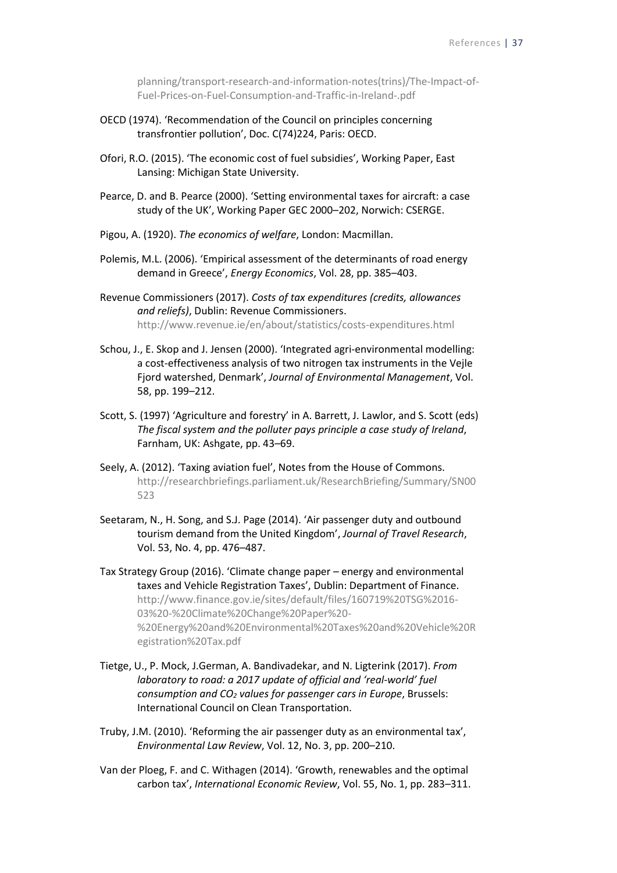[planning/transport-research-and-information-notes\(trins\)/The-Impact-of-](http://www.tii.ie/tii-library/strategic-planning/transport-research-and-information-notes(trins)/The-Impact-of-Fuel-Prices-on-Fuel-Consumption-and-Traffic-in-Ireland-.pdf)[Fuel-Prices-on-Fuel-Consumption-and-Traffic-in-Ireland-.pdf](http://www.tii.ie/tii-library/strategic-planning/transport-research-and-information-notes(trins)/The-Impact-of-Fuel-Prices-on-Fuel-Consumption-and-Traffic-in-Ireland-.pdf)

- OECD (1974). 'Recommendation of the Council on principles concerning transfrontier pollution', Doc. C(74)224, Paris: OECD.
- Ofori, R.O. (2015). 'The economic cost of fuel subsidies', Working Paper, East Lansing: Michigan State University.
- Pearce, D. and B. Pearce (2000). 'Setting environmental taxes for aircraft: a case study of the UK', Working Paper GEC 2000–202, Norwich: CSERGE.
- Pigou, A. (1920). *The economics of welfare*, London: Macmillan.
- Polemis, M.L. (2006). 'Empirical assessment of the determinants of road energy demand in Greece', *Energy Economics*, Vol. 28, pp. 385–403.
- Revenue Commissioners (2017). *Costs of tax expenditures (credits, allowances and reliefs)*, Dublin: Revenue Commissioners. <http://www.revenue.ie/en/about/statistics/costs-expenditures.html>
- Schou, J., E. Skop and J. Jensen (2000). 'Integrated agri-environmental modelling: a cost-effectiveness analysis of two nitrogen tax instruments in the Vejle Fjord watershed, Denmark', *Journal of Environmental Management*, Vol. 58, pp. 199–212.
- Scott, S. (1997) 'Agriculture and forestry' in A. Barrett, J. Lawlor, and S. Scott (eds) *The fiscal system and the polluter pays principle a case study of Ireland*, Farnham, UK: Ashgate, pp. 43–69.
- Seely, A. (2012). 'Taxing aviation fuel', Notes from the House of Commons. [http://researchbriefings.parliament.uk/ResearchBriefing/Summary/SN00](http://researchbriefings.parliament.uk/ResearchBriefing/Summary/SN00523) [523](http://researchbriefings.parliament.uk/ResearchBriefing/Summary/SN00523)
- Seetaram, N., H. Song, and S.J. Page (2014). 'Air passenger duty and outbound tourism demand from the United Kingdom', *Journal of Travel Research*, Vol. 53, No. 4, pp. 476–487.

Tax Strategy Group (2016). 'Climate change paper – energy and environmental taxes and Vehicle Registration Taxes', Dublin: Department of Finance. [http://www.finance.gov.ie/sites/default/files/160719%20TSG%2016-](http://www.finance.gov.ie/sites/default/files/160719%20TSG%2016-03%20-%20Climate%20Change%20Paper%20-%20Energy%20and%20Environmental%20Taxes%20and%20Vehicle%20Registration%20Tax.pdf) [03%20-%20Climate%20Change%20Paper%20-](http://www.finance.gov.ie/sites/default/files/160719%20TSG%2016-03%20-%20Climate%20Change%20Paper%20-%20Energy%20and%20Environmental%20Taxes%20and%20Vehicle%20Registration%20Tax.pdf) [%20Energy%20and%20Environmental%20Taxes%20and%20Vehicle%20R](http://www.finance.gov.ie/sites/default/files/160719%20TSG%2016-03%20-%20Climate%20Change%20Paper%20-%20Energy%20and%20Environmental%20Taxes%20and%20Vehicle%20Registration%20Tax.pdf) [egistration%20Tax.pdf](http://www.finance.gov.ie/sites/default/files/160719%20TSG%2016-03%20-%20Climate%20Change%20Paper%20-%20Energy%20and%20Environmental%20Taxes%20and%20Vehicle%20Registration%20Tax.pdf)

- Tietge, U., P. Mock, J.German, A. Bandivadekar, and N. Ligterink (2017). *From laboratory to road: a 2017 update of official and 'real-world' fuel consumption and CO<sup>2</sup> values for passenger cars in Europe*, Brussels: International Council on Clean Transportation.
- Truby, J.M. (2010). 'Reforming the air passenger duty as an environmental tax', *Environmental Law Review*, Vol. 12, No. 3, pp. 200–210.
- Van der Ploeg, F. and C. Withagen (2014). 'Growth, renewables and the optimal carbon tax', *International Economic Review*, Vol. 55, No. 1, pp. 283–311.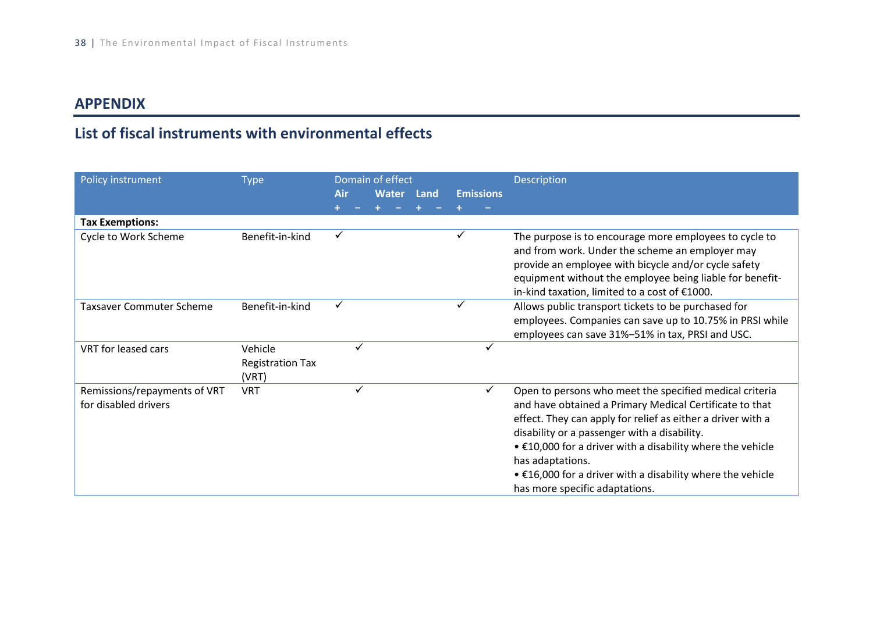## **APPENDIX**

# **List of fiscal instruments with environmental effects**

| Policy instrument                                    | <b>Type</b>                                 |     | Domain of effect |            |                  | <b>Description</b>                                                                                                                                                                                                                                                                                                                                                                                                                  |
|------------------------------------------------------|---------------------------------------------|-----|------------------|------------|------------------|-------------------------------------------------------------------------------------------------------------------------------------------------------------------------------------------------------------------------------------------------------------------------------------------------------------------------------------------------------------------------------------------------------------------------------------|
|                                                      |                                             | Air |                  | Water Land | <b>Emissions</b> |                                                                                                                                                                                                                                                                                                                                                                                                                                     |
|                                                      |                                             |     |                  |            |                  |                                                                                                                                                                                                                                                                                                                                                                                                                                     |
| <b>Tax Exemptions:</b>                               |                                             |     |                  |            |                  |                                                                                                                                                                                                                                                                                                                                                                                                                                     |
| Cycle to Work Scheme                                 | Benefit-in-kind                             | ✓   |                  |            |                  | The purpose is to encourage more employees to cycle to<br>and from work. Under the scheme an employer may<br>provide an employee with bicycle and/or cycle safety<br>equipment without the employee being liable for benefit-<br>in-kind taxation, limited to a cost of €1000.                                                                                                                                                      |
| <b>Taxsaver Commuter Scheme</b>                      | Benefit-in-kind                             | ✓   |                  |            |                  | Allows public transport tickets to be purchased for<br>employees. Companies can save up to 10.75% in PRSI while<br>employees can save 31%-51% in tax, PRSI and USC.                                                                                                                                                                                                                                                                 |
| VRT for leased cars                                  | Vehicle<br><b>Registration Tax</b><br>(VRT) |     | ✓                |            |                  |                                                                                                                                                                                                                                                                                                                                                                                                                                     |
| Remissions/repayments of VRT<br>for disabled drivers | <b>VRT</b>                                  |     | $\checkmark$     |            | ✓                | Open to persons who meet the specified medical criteria<br>and have obtained a Primary Medical Certificate to that<br>effect. They can apply for relief as either a driver with a<br>disability or a passenger with a disability.<br>$\bullet$ £10,000 for a driver with a disability where the vehicle<br>has adaptations.<br>$\bullet$ £16,000 for a driver with a disability where the vehicle<br>has more specific adaptations. |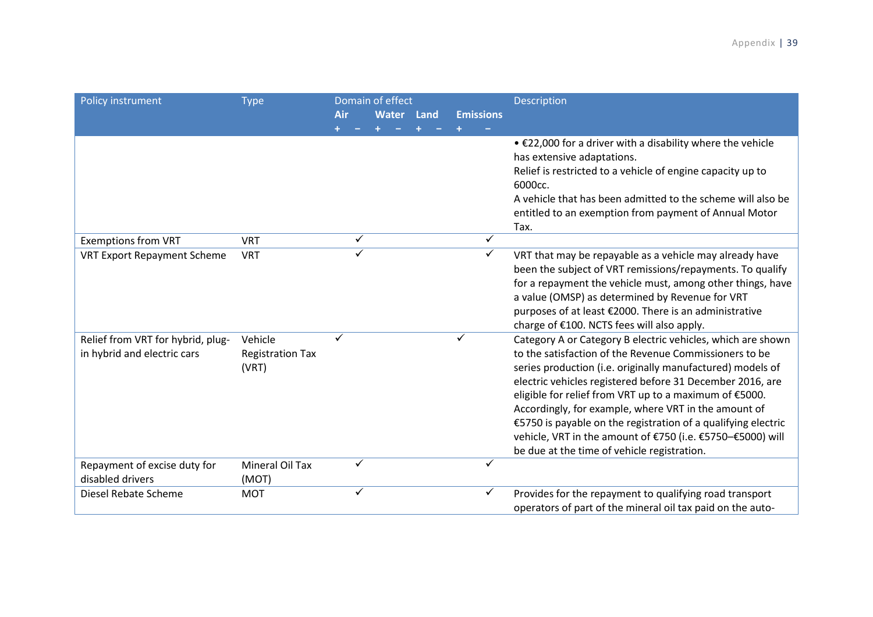| Policy instrument                                                | <b>Type</b>                                 |              | Domain of effect |      |                  | Description                                                                                                                                                                                                                                                                                                                                                                                                                                                                                                                                      |
|------------------------------------------------------------------|---------------------------------------------|--------------|------------------|------|------------------|--------------------------------------------------------------------------------------------------------------------------------------------------------------------------------------------------------------------------------------------------------------------------------------------------------------------------------------------------------------------------------------------------------------------------------------------------------------------------------------------------------------------------------------------------|
|                                                                  |                                             | Air          | <b>Water</b>     | Land | <b>Emissions</b> |                                                                                                                                                                                                                                                                                                                                                                                                                                                                                                                                                  |
|                                                                  |                                             |              |                  |      |                  |                                                                                                                                                                                                                                                                                                                                                                                                                                                                                                                                                  |
|                                                                  |                                             |              |                  |      |                  | • €22,000 for a driver with a disability where the vehicle<br>has extensive adaptations.<br>Relief is restricted to a vehicle of engine capacity up to<br>6000cc.<br>A vehicle that has been admitted to the scheme will also be<br>entitled to an exemption from payment of Annual Motor                                                                                                                                                                                                                                                        |
| <b>Exemptions from VRT</b>                                       | <b>VRT</b>                                  | $\checkmark$ |                  |      | $\checkmark$     | Tax.                                                                                                                                                                                                                                                                                                                                                                                                                                                                                                                                             |
| <b>VRT Export Repayment Scheme</b>                               | <b>VRT</b>                                  | ✓            |                  |      | $\checkmark$     | VRT that may be repayable as a vehicle may already have<br>been the subject of VRT remissions/repayments. To qualify<br>for a repayment the vehicle must, among other things, have<br>a value (OMSP) as determined by Revenue for VRT<br>purposes of at least €2000. There is an administrative<br>charge of €100. NCTS fees will also apply.                                                                                                                                                                                                    |
| Relief from VRT for hybrid, plug-<br>in hybrid and electric cars | Vehicle<br><b>Registration Tax</b><br>(VRT) |              |                  |      | ✓                | Category A or Category B electric vehicles, which are shown<br>to the satisfaction of the Revenue Commissioners to be<br>series production (i.e. originally manufactured) models of<br>electric vehicles registered before 31 December 2016, are<br>eligible for relief from VRT up to a maximum of €5000.<br>Accordingly, for example, where VRT in the amount of<br>€5750 is payable on the registration of a qualifying electric<br>vehicle, VRT in the amount of €750 (i.e. €5750-€5000) will<br>be due at the time of vehicle registration. |
| Repayment of excise duty for<br>disabled drivers                 | <b>Mineral Oil Tax</b><br>(MOT)             | ✓            |                  |      | ✓                |                                                                                                                                                                                                                                                                                                                                                                                                                                                                                                                                                  |
| Diesel Rebate Scheme                                             | <b>MOT</b>                                  | ✓            |                  |      |                  | Provides for the repayment to qualifying road transport<br>operators of part of the mineral oil tax paid on the auto-                                                                                                                                                                                                                                                                                                                                                                                                                            |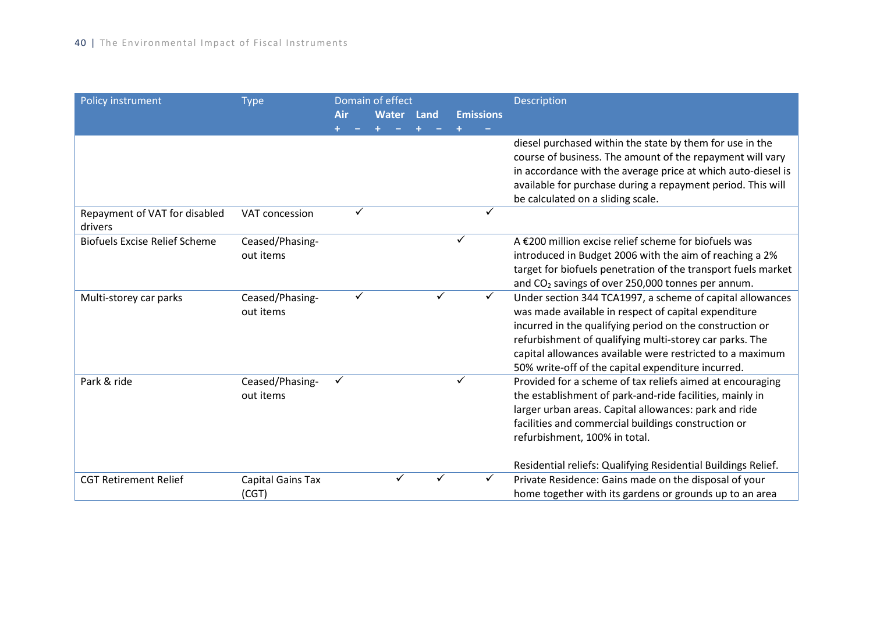| Policy instrument                        | <b>Type</b>                  |              |   | Domain of effect |      |   |                  | Description                                                                                                                                                                                                                                                                                                                                                 |
|------------------------------------------|------------------------------|--------------|---|------------------|------|---|------------------|-------------------------------------------------------------------------------------------------------------------------------------------------------------------------------------------------------------------------------------------------------------------------------------------------------------------------------------------------------------|
|                                          |                              | Air          |   | <b>Water</b>     | Land |   | <b>Emissions</b> |                                                                                                                                                                                                                                                                                                                                                             |
|                                          |                              |              |   |                  |      |   |                  |                                                                                                                                                                                                                                                                                                                                                             |
|                                          |                              |              |   |                  |      |   |                  | diesel purchased within the state by them for use in the<br>course of business. The amount of the repayment will vary<br>in accordance with the average price at which auto-diesel is<br>available for purchase during a repayment period. This will<br>be calculated on a sliding scale.                                                                   |
| Repayment of VAT for disabled<br>drivers | VAT concession               |              | ✓ |                  |      |   | ✓                |                                                                                                                                                                                                                                                                                                                                                             |
| <b>Biofuels Excise Relief Scheme</b>     | Ceased/Phasing-<br>out items |              |   |                  |      |   |                  | A €200 million excise relief scheme for biofuels was<br>introduced in Budget 2006 with the aim of reaching a 2%<br>target for biofuels penetration of the transport fuels market<br>and CO <sub>2</sub> savings of over 250,000 tonnes per annum.                                                                                                           |
| Multi-storey car parks                   | Ceased/Phasing-<br>out items |              | ✓ |                  |      |   | $\checkmark$     | Under section 344 TCA1997, a scheme of capital allowances<br>was made available in respect of capital expenditure<br>incurred in the qualifying period on the construction or<br>refurbishment of qualifying multi-storey car parks. The<br>capital allowances available were restricted to a maximum<br>50% write-off of the capital expenditure incurred. |
| Park & ride                              | Ceased/Phasing-<br>out items | $\checkmark$ |   |                  |      | ✓ |                  | Provided for a scheme of tax reliefs aimed at encouraging<br>the establishment of park-and-ride facilities, mainly in<br>larger urban areas. Capital allowances: park and ride<br>facilities and commercial buildings construction or<br>refurbishment, 100% in total.<br>Residential reliefs: Qualifying Residential Buildings Relief.                     |
| <b>CGT Retirement Relief</b>             | Capital Gains Tax<br>(CGT)   |              |   |                  |      |   |                  | Private Residence: Gains made on the disposal of your<br>home together with its gardens or grounds up to an area                                                                                                                                                                                                                                            |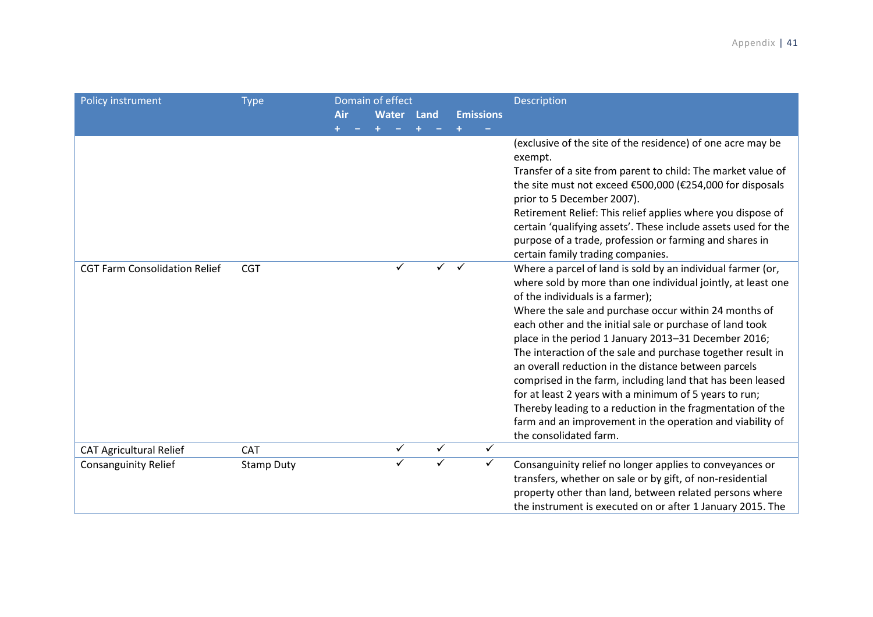| Policy instrument                    | <b>Type</b>       |     |  | Domain of effect |              |              |                  | Description                                                                                                                                                                                                                                                                                                                                                                                                                                                                                                                                                                                                                                                                                                                                                                           |
|--------------------------------------|-------------------|-----|--|------------------|--------------|--------------|------------------|---------------------------------------------------------------------------------------------------------------------------------------------------------------------------------------------------------------------------------------------------------------------------------------------------------------------------------------------------------------------------------------------------------------------------------------------------------------------------------------------------------------------------------------------------------------------------------------------------------------------------------------------------------------------------------------------------------------------------------------------------------------------------------------|
|                                      |                   | Air |  | <b>Water</b>     | Land         |              | <b>Emissions</b> |                                                                                                                                                                                                                                                                                                                                                                                                                                                                                                                                                                                                                                                                                                                                                                                       |
|                                      |                   |     |  |                  |              |              |                  | (exclusive of the site of the residence) of one acre may be<br>exempt.<br>Transfer of a site from parent to child: The market value of<br>the site must not exceed €500,000 (€254,000 for disposals<br>prior to 5 December 2007).<br>Retirement Relief: This relief applies where you dispose of<br>certain 'qualifying assets'. These include assets used for the<br>purpose of a trade, profession or farming and shares in                                                                                                                                                                                                                                                                                                                                                         |
| <b>CGT Farm Consolidation Relief</b> | <b>CGT</b>        |     |  | $\checkmark$     | $\sqrt{ }$   | $\checkmark$ |                  | certain family trading companies.<br>Where a parcel of land is sold by an individual farmer (or,<br>where sold by more than one individual jointly, at least one<br>of the individuals is a farmer);<br>Where the sale and purchase occur within 24 months of<br>each other and the initial sale or purchase of land took<br>place in the period 1 January 2013-31 December 2016;<br>The interaction of the sale and purchase together result in<br>an overall reduction in the distance between parcels<br>comprised in the farm, including land that has been leased<br>for at least 2 years with a minimum of 5 years to run;<br>Thereby leading to a reduction in the fragmentation of the<br>farm and an improvement in the operation and viability of<br>the consolidated farm. |
| <b>CAT Agricultural Relief</b>       | CAT               |     |  | $\checkmark$     | $\checkmark$ |              | ✓                |                                                                                                                                                                                                                                                                                                                                                                                                                                                                                                                                                                                                                                                                                                                                                                                       |
| <b>Consanguinity Relief</b>          | <b>Stamp Duty</b> |     |  | $\checkmark$     | ✓            |              | ✓                | Consanguinity relief no longer applies to conveyances or<br>transfers, whether on sale or by gift, of non-residential<br>property other than land, between related persons where<br>the instrument is executed on or after 1 January 2015. The                                                                                                                                                                                                                                                                                                                                                                                                                                                                                                                                        |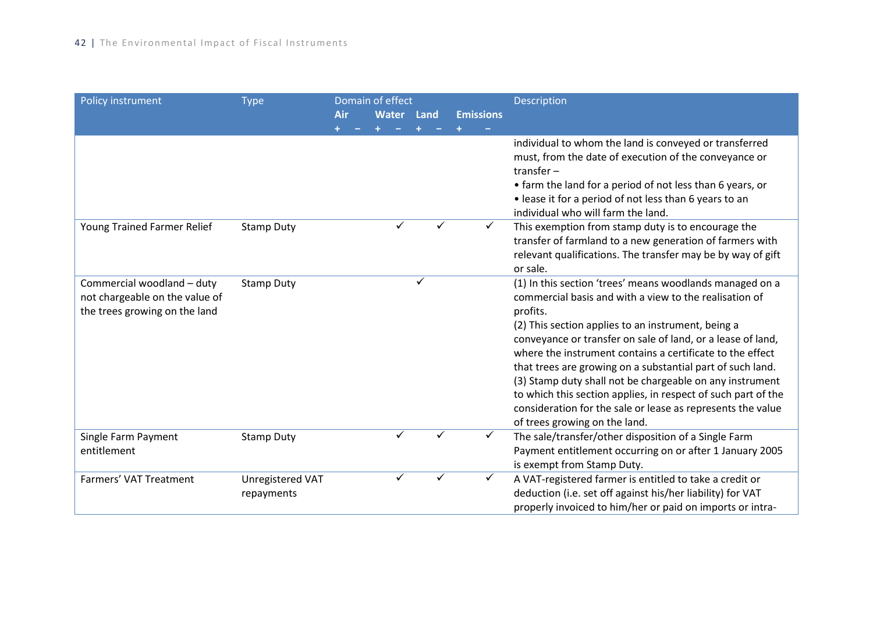| Policy instrument              | <b>Type</b>       |     | Domain of effect |      |                  | Description                                                                                                            |
|--------------------------------|-------------------|-----|------------------|------|------------------|------------------------------------------------------------------------------------------------------------------------|
|                                |                   | Air | <b>Water</b>     | Land | <b>Emissions</b> |                                                                                                                        |
|                                |                   |     |                  |      |                  |                                                                                                                        |
|                                |                   |     |                  |      |                  | individual to whom the land is conveyed or transferred                                                                 |
|                                |                   |     |                  |      |                  | must, from the date of execution of the conveyance or                                                                  |
|                                |                   |     |                  |      |                  | transfer $-$                                                                                                           |
|                                |                   |     |                  |      |                  | • farm the land for a period of not less than 6 years, or                                                              |
|                                |                   |     |                  |      |                  | • lease it for a period of not less than 6 years to an<br>individual who will farm the land.                           |
| Young Trained Farmer Relief    | <b>Stamp Duty</b> |     |                  |      |                  | This exemption from stamp duty is to encourage the                                                                     |
|                                |                   |     |                  |      |                  | transfer of farmland to a new generation of farmers with                                                               |
|                                |                   |     |                  |      |                  | relevant qualifications. The transfer may be by way of gift                                                            |
|                                |                   |     |                  |      |                  | or sale.                                                                                                               |
| Commercial woodland - duty     | <b>Stamp Duty</b> |     |                  |      |                  | (1) In this section 'trees' means woodlands managed on a                                                               |
| not chargeable on the value of |                   |     |                  |      |                  | commercial basis and with a view to the realisation of                                                                 |
| the trees growing on the land  |                   |     |                  |      |                  | profits.                                                                                                               |
|                                |                   |     |                  |      |                  | (2) This section applies to an instrument, being a                                                                     |
|                                |                   |     |                  |      |                  | conveyance or transfer on sale of land, or a lease of land,                                                            |
|                                |                   |     |                  |      |                  | where the instrument contains a certificate to the effect                                                              |
|                                |                   |     |                  |      |                  | that trees are growing on a substantial part of such land.<br>(3) Stamp duty shall not be chargeable on any instrument |
|                                |                   |     |                  |      |                  | to which this section applies, in respect of such part of the                                                          |
|                                |                   |     |                  |      |                  | consideration for the sale or lease as represents the value                                                            |
|                                |                   |     |                  |      |                  | of trees growing on the land.                                                                                          |
| Single Farm Payment            | <b>Stamp Duty</b> |     |                  |      |                  | The sale/transfer/other disposition of a Single Farm                                                                   |
| entitlement                    |                   |     |                  |      |                  | Payment entitlement occurring on or after 1 January 2005                                                               |
|                                |                   |     |                  |      |                  | is exempt from Stamp Duty.                                                                                             |
| Farmers' VAT Treatment         | Unregistered VAT  |     |                  |      | ✓                | A VAT-registered farmer is entitled to take a credit or                                                                |
|                                | repayments        |     |                  |      |                  | deduction (i.e. set off against his/her liability) for VAT                                                             |
|                                |                   |     |                  |      |                  | properly invoiced to him/her or paid on imports or intra-                                                              |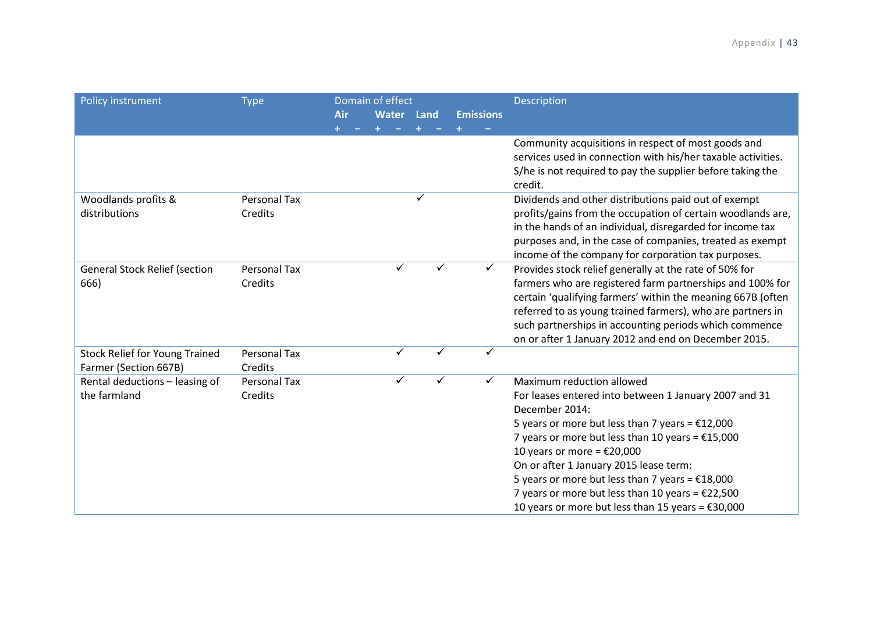| Policy instrument                                              | <b>Type</b>             |     | Domain of effect |             |                  | <b>Description</b>                                                                                                                                                                                                                           |
|----------------------------------------------------------------|-------------------------|-----|------------------|-------------|------------------|----------------------------------------------------------------------------------------------------------------------------------------------------------------------------------------------------------------------------------------------|
|                                                                |                         | Air | <b>Water</b>     | <b>Land</b> | <b>Emissions</b> |                                                                                                                                                                                                                                              |
|                                                                |                         |     |                  |             |                  |                                                                                                                                                                                                                                              |
|                                                                |                         |     |                  |             |                  | Community acquisitions in respect of most goods and<br>services used in connection with his/her taxable activities.<br>S/he is not required to pay the supplier before taking the<br>credit.                                                 |
| Woodlands profits &                                            | Personal Tax            |     |                  | ✓           |                  | Dividends and other distributions paid out of exempt                                                                                                                                                                                         |
| distributions                                                  | Credits                 |     |                  |             |                  | profits/gains from the occupation of certain woodlands are,<br>in the hands of an individual, disregarded for income tax<br>purposes and, in the case of companies, treated as exempt<br>income of the company for corporation tax purposes. |
| <b>General Stock Relief (section</b>                           | Personal Tax            |     | ✓                |             | $\checkmark$     | Provides stock relief generally at the rate of 50% for                                                                                                                                                                                       |
| 666)                                                           | Credits                 |     |                  |             |                  | farmers who are registered farm partnerships and 100% for                                                                                                                                                                                    |
|                                                                |                         |     |                  |             |                  | certain 'qualifying farmers' within the meaning 667B (often                                                                                                                                                                                  |
|                                                                |                         |     |                  |             |                  | referred to as young trained farmers), who are partners in                                                                                                                                                                                   |
|                                                                |                         |     |                  |             |                  | such partnerships in accounting periods which commence                                                                                                                                                                                       |
|                                                                |                         |     | $\checkmark$     |             |                  | on or after 1 January 2012 and end on December 2015.                                                                                                                                                                                         |
| <b>Stock Relief for Young Trained</b><br>Farmer (Section 667B) | Personal Tax<br>Credits |     |                  |             |                  |                                                                                                                                                                                                                                              |
| Rental deductions - leasing of                                 | Personal Tax            |     | ✓                |             |                  | Maximum reduction allowed                                                                                                                                                                                                                    |
| the farmland                                                   | Credits                 |     |                  |             |                  | For leases entered into between 1 January 2007 and 31                                                                                                                                                                                        |
|                                                                |                         |     |                  |             |                  | December 2014:                                                                                                                                                                                                                               |
|                                                                |                         |     |                  |             |                  | 5 years or more but less than 7 years = $£12,000$                                                                                                                                                                                            |
|                                                                |                         |     |                  |             |                  | 7 years or more but less than 10 years = $£15,000$                                                                                                                                                                                           |
|                                                                |                         |     |                  |             |                  | 10 years or more = $£20,000$                                                                                                                                                                                                                 |
|                                                                |                         |     |                  |             |                  | On or after 1 January 2015 lease term:                                                                                                                                                                                                       |
|                                                                |                         |     |                  |             |                  | 5 years or more but less than 7 years = $£18,000$                                                                                                                                                                                            |
|                                                                |                         |     |                  |             |                  | 7 years or more but less than 10 years = $£22,500$                                                                                                                                                                                           |
|                                                                |                         |     |                  |             |                  | 10 years or more but less than 15 years = $£30,000$                                                                                                                                                                                          |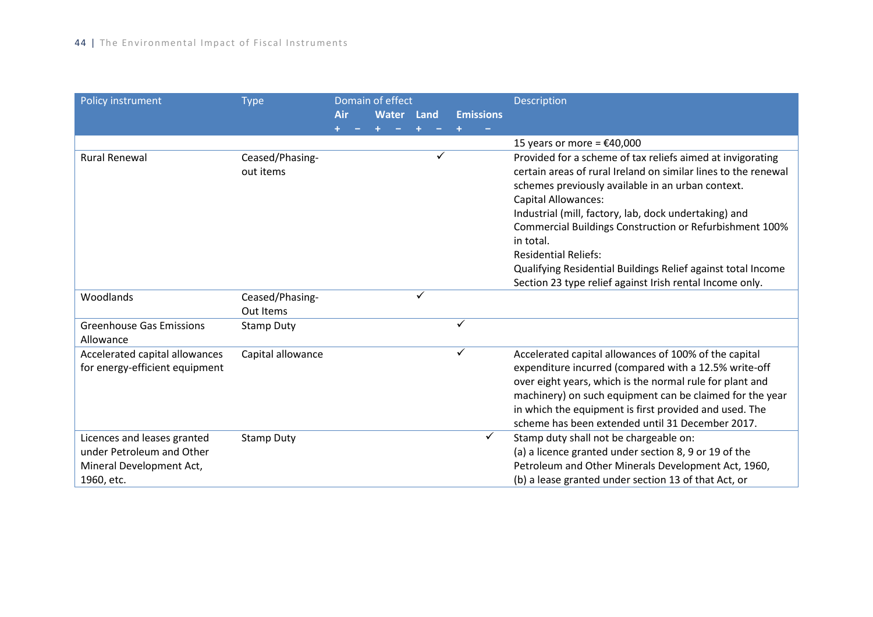| Policy instrument                                                                    | <b>Type</b>                  |     | Domain of effect |      |                  | Description                                                                                                                                                                                                                                                                                                                                          |
|--------------------------------------------------------------------------------------|------------------------------|-----|------------------|------|------------------|------------------------------------------------------------------------------------------------------------------------------------------------------------------------------------------------------------------------------------------------------------------------------------------------------------------------------------------------------|
|                                                                                      |                              | Air | <b>Water</b>     | Land | <b>Emissions</b> |                                                                                                                                                                                                                                                                                                                                                      |
|                                                                                      |                              |     |                  |      |                  |                                                                                                                                                                                                                                                                                                                                                      |
|                                                                                      |                              |     |                  |      |                  | 15 years or more = $£40,000$                                                                                                                                                                                                                                                                                                                         |
| <b>Rural Renewal</b>                                                                 | Ceased/Phasing-<br>out items |     |                  |      |                  | Provided for a scheme of tax reliefs aimed at invigorating<br>certain areas of rural Ireland on similar lines to the renewal<br>schemes previously available in an urban context.<br><b>Capital Allowances:</b><br>Industrial (mill, factory, lab, dock undertaking) and<br>Commercial Buildings Construction or Refurbishment 100%                  |
|                                                                                      |                              |     |                  |      |                  | in total.<br><b>Residential Reliefs:</b>                                                                                                                                                                                                                                                                                                             |
|                                                                                      |                              |     |                  |      |                  | Qualifying Residential Buildings Relief against total Income<br>Section 23 type relief against Irish rental Income only.                                                                                                                                                                                                                             |
| Woodlands                                                                            | Ceased/Phasing-<br>Out Items |     |                  | ✓    |                  |                                                                                                                                                                                                                                                                                                                                                      |
| <b>Greenhouse Gas Emissions</b><br>Allowance                                         | <b>Stamp Duty</b>            |     |                  |      | $\checkmark$     |                                                                                                                                                                                                                                                                                                                                                      |
| Accelerated capital allowances<br>for energy-efficient equipment                     | Capital allowance            |     |                  |      | ✓                | Accelerated capital allowances of 100% of the capital<br>expenditure incurred (compared with a 12.5% write-off<br>over eight years, which is the normal rule for plant and<br>machinery) on such equipment can be claimed for the year<br>in which the equipment is first provided and used. The<br>scheme has been extended until 31 December 2017. |
| Licences and leases granted<br>under Petroleum and Other<br>Mineral Development Act, | <b>Stamp Duty</b>            |     |                  |      | ✓                | Stamp duty shall not be chargeable on:<br>(a) a licence granted under section 8, 9 or 19 of the<br>Petroleum and Other Minerals Development Act, 1960,                                                                                                                                                                                               |
| 1960, etc.                                                                           |                              |     |                  |      |                  | (b) a lease granted under section 13 of that Act, or                                                                                                                                                                                                                                                                                                 |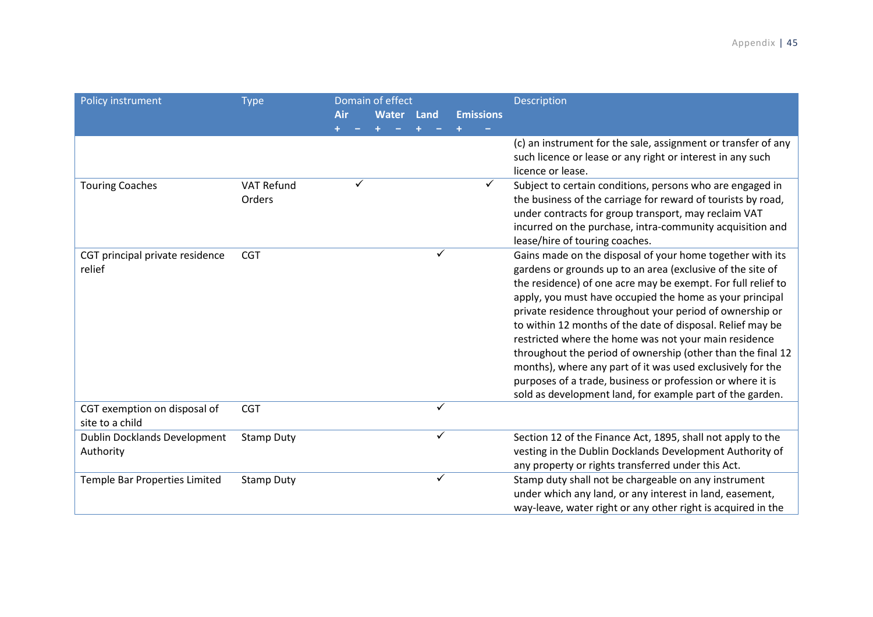| Policy instrument                               | <b>Type</b>                 |     |   | Domain of effect |              |                  | Description                                                                                                                                                                                                                                                                                                                                                                                                                                                                                                                                                                                                                                                                                    |
|-------------------------------------------------|-----------------------------|-----|---|------------------|--------------|------------------|------------------------------------------------------------------------------------------------------------------------------------------------------------------------------------------------------------------------------------------------------------------------------------------------------------------------------------------------------------------------------------------------------------------------------------------------------------------------------------------------------------------------------------------------------------------------------------------------------------------------------------------------------------------------------------------------|
|                                                 |                             | Air |   | <b>Water</b>     | Land         | <b>Emissions</b> |                                                                                                                                                                                                                                                                                                                                                                                                                                                                                                                                                                                                                                                                                                |
|                                                 |                             |     |   |                  |              |                  |                                                                                                                                                                                                                                                                                                                                                                                                                                                                                                                                                                                                                                                                                                |
|                                                 |                             |     |   |                  |              |                  | (c) an instrument for the sale, assignment or transfer of any<br>such licence or lease or any right or interest in any such<br>licence or lease.                                                                                                                                                                                                                                                                                                                                                                                                                                                                                                                                               |
| <b>Touring Coaches</b>                          | <b>VAT Refund</b><br>Orders |     | ✓ |                  |              | $\checkmark$     | Subject to certain conditions, persons who are engaged in<br>the business of the carriage for reward of tourists by road,<br>under contracts for group transport, may reclaim VAT<br>incurred on the purchase, intra-community acquisition and<br>lease/hire of touring coaches.                                                                                                                                                                                                                                                                                                                                                                                                               |
| CGT principal private residence<br>relief       | <b>CGT</b>                  |     |   |                  | ✓            |                  | Gains made on the disposal of your home together with its<br>gardens or grounds up to an area (exclusive of the site of<br>the residence) of one acre may be exempt. For full relief to<br>apply, you must have occupied the home as your principal<br>private residence throughout your period of ownership or<br>to within 12 months of the date of disposal. Relief may be<br>restricted where the home was not your main residence<br>throughout the period of ownership (other than the final 12<br>months), where any part of it was used exclusively for the<br>purposes of a trade, business or profession or where it is<br>sold as development land, for example part of the garden. |
| CGT exemption on disposal of<br>site to a child | <b>CGT</b>                  |     |   |                  | $\checkmark$ |                  |                                                                                                                                                                                                                                                                                                                                                                                                                                                                                                                                                                                                                                                                                                |
| Dublin Docklands Development<br>Authority       | <b>Stamp Duty</b>           |     |   |                  | ✓            |                  | Section 12 of the Finance Act, 1895, shall not apply to the<br>vesting in the Dublin Docklands Development Authority of<br>any property or rights transferred under this Act.                                                                                                                                                                                                                                                                                                                                                                                                                                                                                                                  |
| Temple Bar Properties Limited                   | <b>Stamp Duty</b>           |     |   |                  | ✓            |                  | Stamp duty shall not be chargeable on any instrument<br>under which any land, or any interest in land, easement,<br>way-leave, water right or any other right is acquired in the                                                                                                                                                                                                                                                                                                                                                                                                                                                                                                               |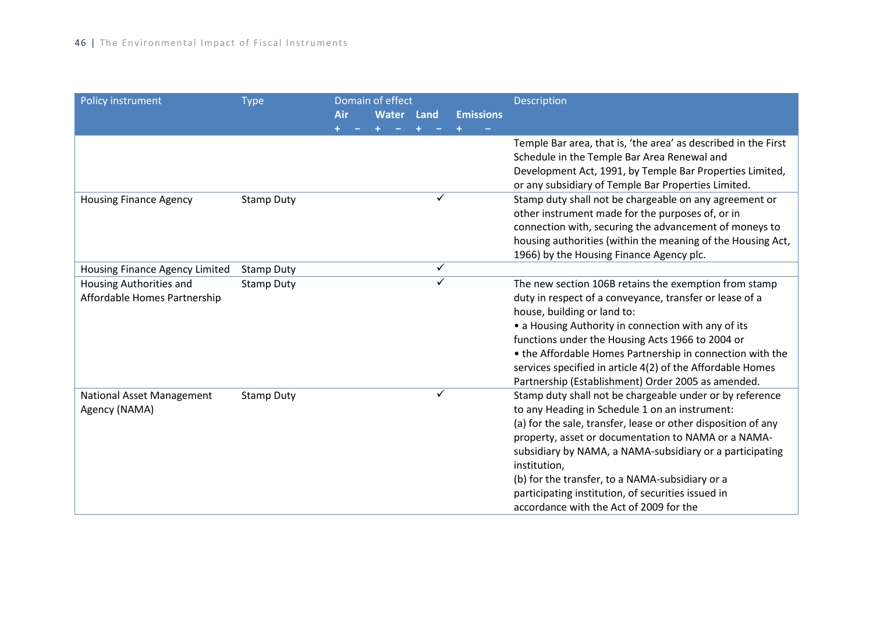| Policy instrument                | <b>Type</b>       |     | Domain of effect |              |                  | Description                                                    |
|----------------------------------|-------------------|-----|------------------|--------------|------------------|----------------------------------------------------------------|
|                                  |                   | Air | <b>Water</b>     | Land         | <b>Emissions</b> |                                                                |
|                                  |                   |     |                  |              |                  |                                                                |
|                                  |                   |     |                  |              |                  | Temple Bar area, that is, 'the area' as described in the First |
|                                  |                   |     |                  |              |                  | Schedule in the Temple Bar Area Renewal and                    |
|                                  |                   |     |                  |              |                  | Development Act, 1991, by Temple Bar Properties Limited,       |
|                                  |                   |     |                  |              |                  | or any subsidiary of Temple Bar Properties Limited.            |
| <b>Housing Finance Agency</b>    | <b>Stamp Duty</b> |     |                  | ✓            |                  | Stamp duty shall not be chargeable on any agreement or         |
|                                  |                   |     |                  |              |                  | other instrument made for the purposes of, or in               |
|                                  |                   |     |                  |              |                  | connection with, securing the advancement of moneys to         |
|                                  |                   |     |                  |              |                  | housing authorities (within the meaning of the Housing Act,    |
|                                  |                   |     |                  |              |                  | 1966) by the Housing Finance Agency plc.                       |
| Housing Finance Agency Limited   | <b>Stamp Duty</b> |     |                  | $\checkmark$ |                  |                                                                |
| Housing Authorities and          | <b>Stamp Duty</b> |     |                  | ✓            |                  | The new section 106B retains the exemption from stamp          |
| Affordable Homes Partnership     |                   |     |                  |              |                  | duty in respect of a conveyance, transfer or lease of a        |
|                                  |                   |     |                  |              |                  | house, building or land to:                                    |
|                                  |                   |     |                  |              |                  | • a Housing Authority in connection with any of its            |
|                                  |                   |     |                  |              |                  | functions under the Housing Acts 1966 to 2004 or               |
|                                  |                   |     |                  |              |                  | • the Affordable Homes Partnership in connection with the      |
|                                  |                   |     |                  |              |                  | services specified in article 4(2) of the Affordable Homes     |
|                                  |                   |     |                  |              |                  | Partnership (Establishment) Order 2005 as amended.             |
| <b>National Asset Management</b> | <b>Stamp Duty</b> |     |                  | ✓            |                  | Stamp duty shall not be chargeable under or by reference       |
| Agency (NAMA)                    |                   |     |                  |              |                  | to any Heading in Schedule 1 on an instrument:                 |
|                                  |                   |     |                  |              |                  | (a) for the sale, transfer, lease or other disposition of any  |
|                                  |                   |     |                  |              |                  | property, asset or documentation to NAMA or a NAMA-            |
|                                  |                   |     |                  |              |                  | subsidiary by NAMA, a NAMA-subsidiary or a participating       |
|                                  |                   |     |                  |              |                  | institution,                                                   |
|                                  |                   |     |                  |              |                  | (b) for the transfer, to a NAMA-subsidiary or a                |
|                                  |                   |     |                  |              |                  | participating institution, of securities issued in             |
|                                  |                   |     |                  |              |                  | accordance with the Act of 2009 for the                        |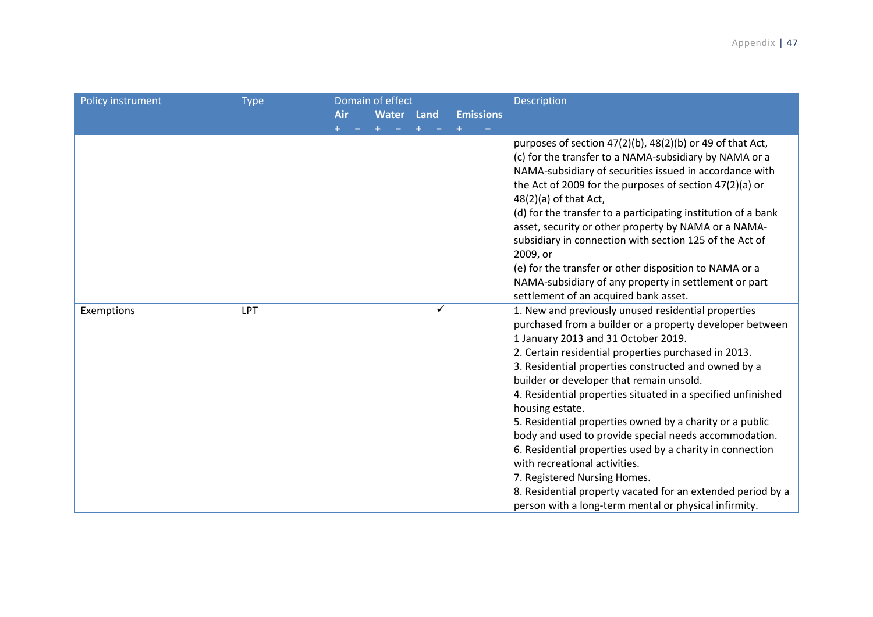| Policy instrument | <b>Type</b> | <b>Air</b> | Domain of effect<br>Water Land |              | <b>Emissions</b> | Description                                                                                                                                                                                                                                                                                                                                                                                                                                                                                                                                                                                                                                                                                                                                                                      |
|-------------------|-------------|------------|--------------------------------|--------------|------------------|----------------------------------------------------------------------------------------------------------------------------------------------------------------------------------------------------------------------------------------------------------------------------------------------------------------------------------------------------------------------------------------------------------------------------------------------------------------------------------------------------------------------------------------------------------------------------------------------------------------------------------------------------------------------------------------------------------------------------------------------------------------------------------|
|                   |             |            |                                |              |                  | purposes of section 47(2)(b), 48(2)(b) or 49 of that Act,<br>(c) for the transfer to a NAMA-subsidiary by NAMA or a<br>NAMA-subsidiary of securities issued in accordance with<br>the Act of 2009 for the purposes of section 47(2)(a) or<br>$48(2)(a)$ of that Act,<br>(d) for the transfer to a participating institution of a bank<br>asset, security or other property by NAMA or a NAMA-<br>subsidiary in connection with section 125 of the Act of<br>2009, or<br>(e) for the transfer or other disposition to NAMA or a<br>NAMA-subsidiary of any property in settlement or part<br>settlement of an acquired bank asset.                                                                                                                                                 |
| Exemptions        | LPT         |            |                                | $\checkmark$ |                  | 1. New and previously unused residential properties<br>purchased from a builder or a property developer between<br>1 January 2013 and 31 October 2019.<br>2. Certain residential properties purchased in 2013.<br>3. Residential properties constructed and owned by a<br>builder or developer that remain unsold.<br>4. Residential properties situated in a specified unfinished<br>housing estate.<br>5. Residential properties owned by a charity or a public<br>body and used to provide special needs accommodation.<br>6. Residential properties used by a charity in connection<br>with recreational activities.<br>7. Registered Nursing Homes.<br>8. Residential property vacated for an extended period by a<br>person with a long-term mental or physical infirmity. |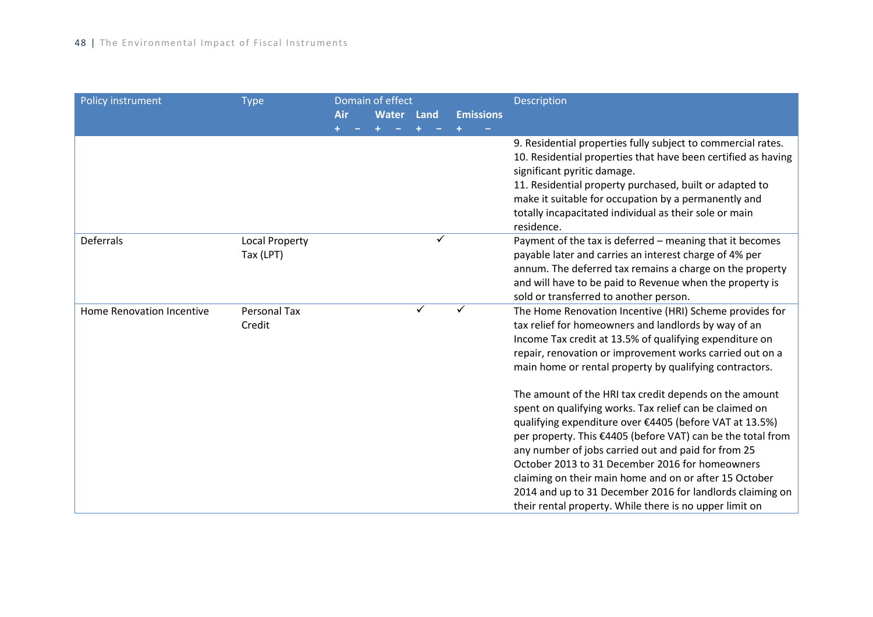| Policy instrument         | <b>Type</b>           |     | Domain of effect |      |                  | Description                                                   |
|---------------------------|-----------------------|-----|------------------|------|------------------|---------------------------------------------------------------|
|                           |                       | Air | <b>Water</b>     | Land | <b>Emissions</b> |                                                               |
|                           |                       |     |                  |      |                  |                                                               |
|                           |                       |     |                  |      |                  | 9. Residential properties fully subject to commercial rates.  |
|                           |                       |     |                  |      |                  | 10. Residential properties that have been certified as having |
|                           |                       |     |                  |      |                  | significant pyritic damage.                                   |
|                           |                       |     |                  |      |                  | 11. Residential property purchased, built or adapted to       |
|                           |                       |     |                  |      |                  | make it suitable for occupation by a permanently and          |
|                           |                       |     |                  |      |                  | totally incapacitated individual as their sole or main        |
|                           |                       |     |                  |      |                  | residence.                                                    |
| Deferrals                 | <b>Local Property</b> |     |                  | ✓    |                  | Payment of the tax is deferred - meaning that it becomes      |
|                           | Tax (LPT)             |     |                  |      |                  | payable later and carries an interest charge of 4% per        |
|                           |                       |     |                  |      |                  | annum. The deferred tax remains a charge on the property      |
|                           |                       |     |                  |      |                  | and will have to be paid to Revenue when the property is      |
|                           |                       |     |                  |      |                  | sold or transferred to another person.                        |
| Home Renovation Incentive | Personal Tax          |     |                  | ✓    | ✓                | The Home Renovation Incentive (HRI) Scheme provides for       |
|                           | Credit                |     |                  |      |                  | tax relief for homeowners and landlords by way of an          |
|                           |                       |     |                  |      |                  | Income Tax credit at 13.5% of qualifying expenditure on       |
|                           |                       |     |                  |      |                  | repair, renovation or improvement works carried out on a      |
|                           |                       |     |                  |      |                  | main home or rental property by qualifying contractors.       |
|                           |                       |     |                  |      |                  | The amount of the HRI tax credit depends on the amount        |
|                           |                       |     |                  |      |                  | spent on qualifying works. Tax relief can be claimed on       |
|                           |                       |     |                  |      |                  | qualifying expenditure over €4405 (before VAT at 13.5%)       |
|                           |                       |     |                  |      |                  | per property. This €4405 (before VAT) can be the total from   |
|                           |                       |     |                  |      |                  | any number of jobs carried out and paid for from 25           |
|                           |                       |     |                  |      |                  | October 2013 to 31 December 2016 for homeowners               |
|                           |                       |     |                  |      |                  | claiming on their main home and on or after 15 October        |
|                           |                       |     |                  |      |                  | 2014 and up to 31 December 2016 for landlords claiming on     |
|                           |                       |     |                  |      |                  | their rental property. While there is no upper limit on       |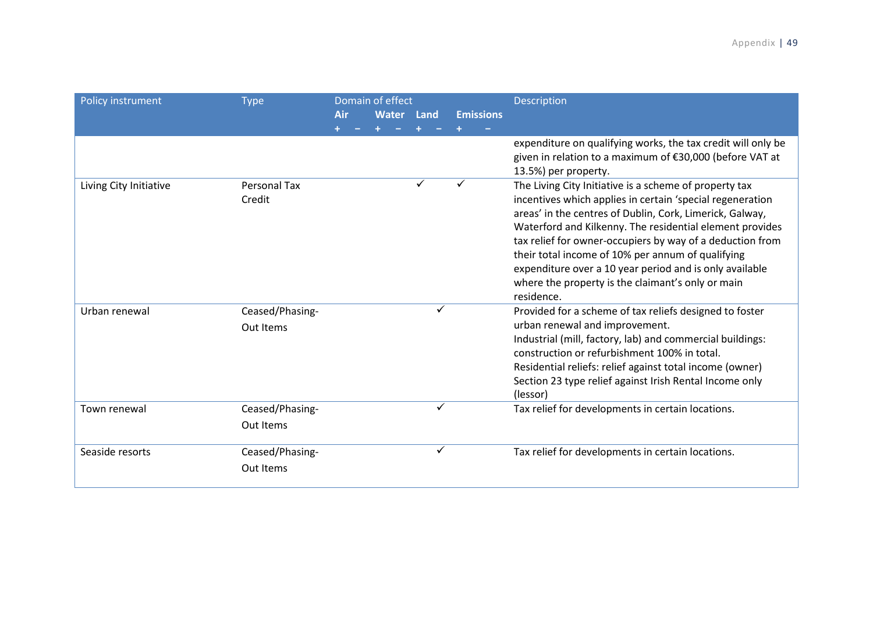| Policy instrument      | <b>Type</b>                   | Air | Domain of effect<br><b>Water</b> | Land | <b>Emissions</b> | <b>Description</b>                                                                                                                                                                                                                                                                                                                                                                                                                                                                          |
|------------------------|-------------------------------|-----|----------------------------------|------|------------------|---------------------------------------------------------------------------------------------------------------------------------------------------------------------------------------------------------------------------------------------------------------------------------------------------------------------------------------------------------------------------------------------------------------------------------------------------------------------------------------------|
|                        |                               |     |                                  |      |                  | expenditure on qualifying works, the tax credit will only be<br>given in relation to a maximum of €30,000 (before VAT at<br>13.5%) per property.                                                                                                                                                                                                                                                                                                                                            |
| Living City Initiative | <b>Personal Tax</b><br>Credit |     |                                  | ✓    |                  | The Living City Initiative is a scheme of property tax<br>incentives which applies in certain 'special regeneration<br>areas' in the centres of Dublin, Cork, Limerick, Galway,<br>Waterford and Kilkenny. The residential element provides<br>tax relief for owner-occupiers by way of a deduction from<br>their total income of 10% per annum of qualifying<br>expenditure over a 10 year period and is only available<br>where the property is the claimant's only or main<br>residence. |
| Urban renewal          | Ceased/Phasing-<br>Out Items  |     |                                  |      |                  | Provided for a scheme of tax reliefs designed to foster<br>urban renewal and improvement.<br>Industrial (mill, factory, lab) and commercial buildings:<br>construction or refurbishment 100% in total.<br>Residential reliefs: relief against total income (owner)<br>Section 23 type relief against Irish Rental Income only<br>(lessor)                                                                                                                                                   |
| Town renewal           | Ceased/Phasing-<br>Out Items  |     |                                  |      |                  | Tax relief for developments in certain locations.                                                                                                                                                                                                                                                                                                                                                                                                                                           |
| Seaside resorts        | Ceased/Phasing-<br>Out Items  |     |                                  |      |                  | Tax relief for developments in certain locations.                                                                                                                                                                                                                                                                                                                                                                                                                                           |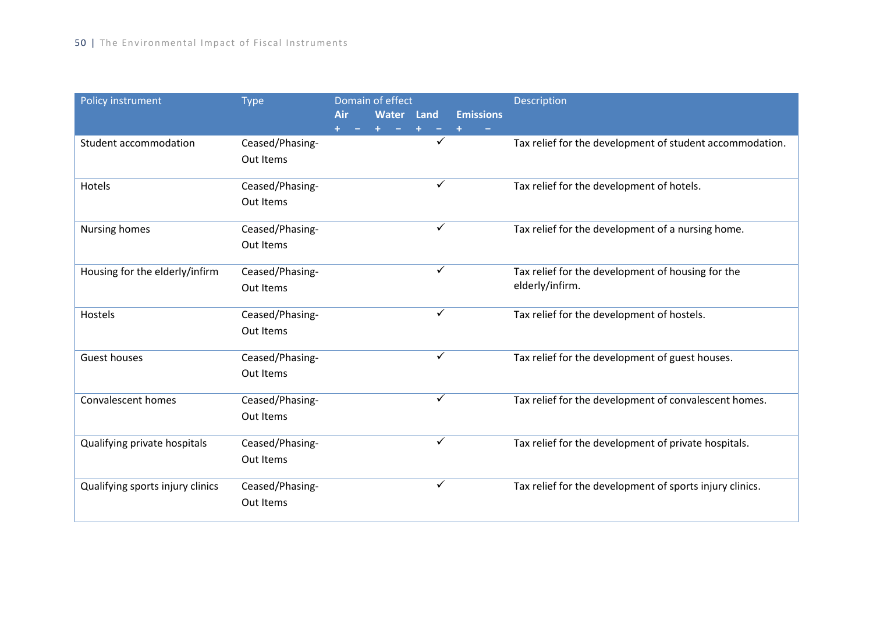| Policy instrument                | <b>Type</b>     |            | Domain of effect |      |                  | Description                                              |
|----------------------------------|-----------------|------------|------------------|------|------------------|----------------------------------------------------------|
|                                  |                 | <b>Air</b> | Water            | Land | <b>Emissions</b> |                                                          |
|                                  |                 |            |                  |      |                  |                                                          |
| Student accommodation            | Ceased/Phasing- |            |                  | ✓    |                  | Tax relief for the development of student accommodation. |
|                                  | Out Items       |            |                  |      |                  |                                                          |
|                                  |                 |            |                  |      |                  |                                                          |
| Hotels                           | Ceased/Phasing- |            |                  | ✓    |                  | Tax relief for the development of hotels.                |
|                                  | Out Items       |            |                  |      |                  |                                                          |
|                                  |                 |            |                  |      |                  |                                                          |
| <b>Nursing homes</b>             | Ceased/Phasing- |            |                  | ✓    |                  | Tax relief for the development of a nursing home.        |
|                                  | Out Items       |            |                  |      |                  |                                                          |
|                                  |                 |            |                  |      |                  |                                                          |
| Housing for the elderly/infirm   | Ceased/Phasing- |            |                  | ✓    |                  | Tax relief for the development of housing for the        |
|                                  | Out Items       |            |                  |      |                  | elderly/infirm.                                          |
|                                  |                 |            |                  | ✓    |                  |                                                          |
| Hostels                          | Ceased/Phasing- |            |                  |      |                  | Tax relief for the development of hostels.               |
|                                  | Out Items       |            |                  |      |                  |                                                          |
| <b>Guest houses</b>              | Ceased/Phasing- |            |                  | ✓    |                  | Tax relief for the development of guest houses.          |
|                                  | Out Items       |            |                  |      |                  |                                                          |
|                                  |                 |            |                  |      |                  |                                                          |
| Convalescent homes               | Ceased/Phasing- |            |                  | ✓    |                  | Tax relief for the development of convalescent homes.    |
|                                  | Out Items       |            |                  |      |                  |                                                          |
|                                  |                 |            |                  |      |                  |                                                          |
| Qualifying private hospitals     | Ceased/Phasing- |            |                  | ✓    |                  | Tax relief for the development of private hospitals.     |
|                                  | Out Items       |            |                  |      |                  |                                                          |
|                                  |                 |            |                  |      |                  |                                                          |
| Qualifying sports injury clinics | Ceased/Phasing- |            |                  | ✓    |                  | Tax relief for the development of sports injury clinics. |
|                                  | Out Items       |            |                  |      |                  |                                                          |
|                                  |                 |            |                  |      |                  |                                                          |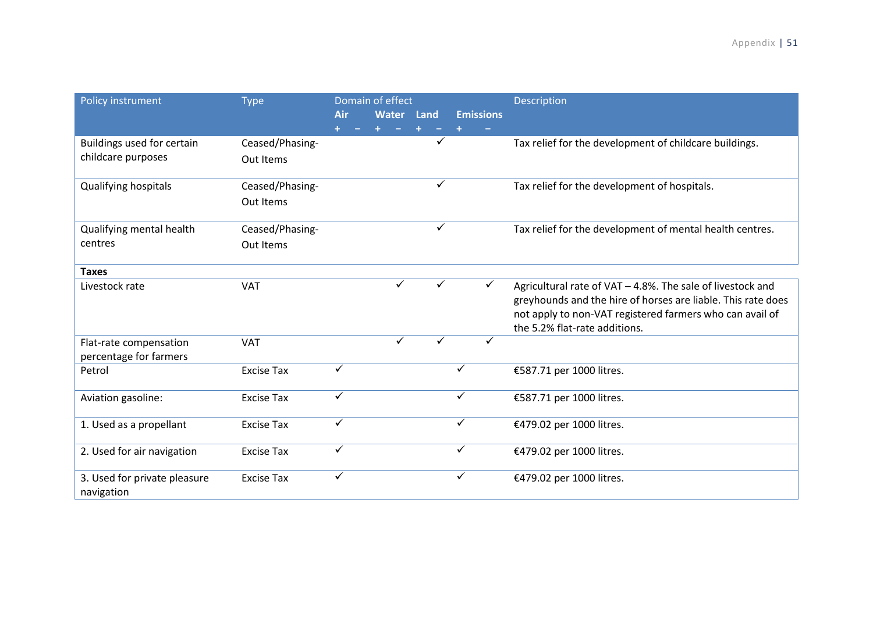| Policy instrument                                | <b>Type</b>                  | Air          | Domain of effect<br>Water Land |              | <b>Emissions</b> | <b>Description</b>                                                                                                                                                                                                      |
|--------------------------------------------------|------------------------------|--------------|--------------------------------|--------------|------------------|-------------------------------------------------------------------------------------------------------------------------------------------------------------------------------------------------------------------------|
| Buildings used for certain<br>childcare purposes | Ceased/Phasing-<br>Out Items |              |                                |              |                  | Tax relief for the development of childcare buildings.                                                                                                                                                                  |
| Qualifying hospitals                             | Ceased/Phasing-<br>Out Items |              |                                | ✓            |                  | Tax relief for the development of hospitals.                                                                                                                                                                            |
| Qualifying mental health<br>centres              | Ceased/Phasing-<br>Out Items |              |                                | $\checkmark$ |                  | Tax relief for the development of mental health centres.                                                                                                                                                                |
| <b>Taxes</b>                                     |                              |              |                                |              |                  |                                                                                                                                                                                                                         |
| Livestock rate                                   | <b>VAT</b>                   |              | ✓                              | ✓            | ✓                | Agricultural rate of VAT - 4.8%. The sale of livestock and<br>greyhounds and the hire of horses are liable. This rate does<br>not apply to non-VAT registered farmers who can avail of<br>the 5.2% flat-rate additions. |
| Flat-rate compensation<br>percentage for farmers | <b>VAT</b>                   |              | ✓                              |              |                  |                                                                                                                                                                                                                         |
| Petrol                                           | <b>Excise Tax</b>            | ✓            |                                |              |                  | €587.71 per 1000 litres.                                                                                                                                                                                                |
| Aviation gasoline:                               | <b>Excise Tax</b>            | ✓            |                                |              | ✓                | €587.71 per 1000 litres.                                                                                                                                                                                                |
| 1. Used as a propellant                          | <b>Excise Tax</b>            | $\checkmark$ |                                |              | ✓                | €479.02 per 1000 litres.                                                                                                                                                                                                |
| 2. Used for air navigation                       | <b>Excise Tax</b>            | ✓            |                                |              | $\checkmark$     | €479.02 per 1000 litres.                                                                                                                                                                                                |
| 3. Used for private pleasure<br>navigation       | <b>Excise Tax</b>            |              |                                |              |                  | €479.02 per 1000 litres.                                                                                                                                                                                                |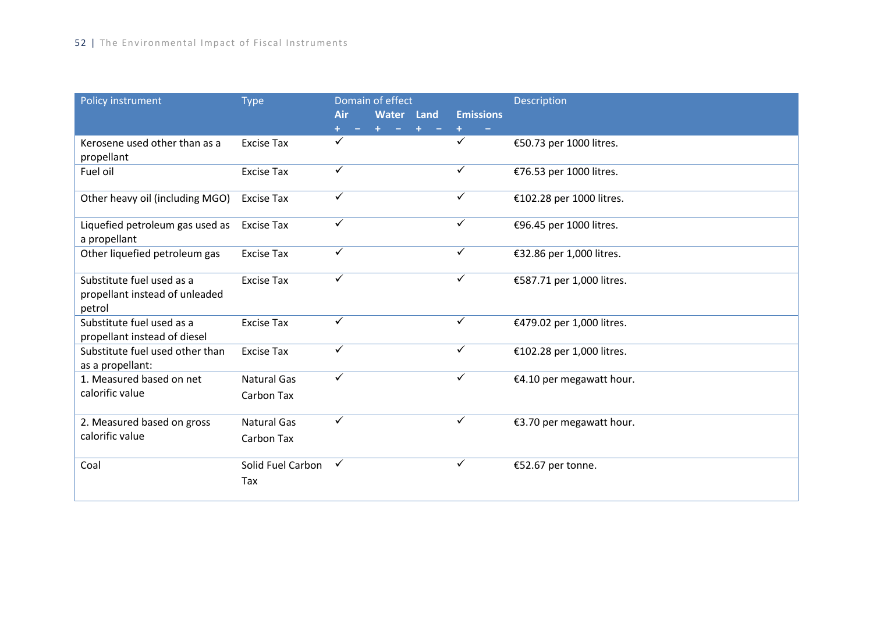| Policy instrument                                                     | <b>Type</b>                      | Domain of effect |            |  |                  | Description               |
|-----------------------------------------------------------------------|----------------------------------|------------------|------------|--|------------------|---------------------------|
|                                                                       |                                  | <b>Air</b>       | Water Land |  | <b>Emissions</b> |                           |
|                                                                       |                                  |                  |            |  |                  |                           |
| Kerosene used other than as a<br>propellant                           | <b>Excise Tax</b>                | ✓                |            |  | ✓                | €50.73 per 1000 litres.   |
| Fuel oil                                                              | <b>Excise Tax</b>                | $\checkmark$     |            |  | $\checkmark$     | €76.53 per 1000 litres.   |
| Other heavy oil (including MGO)                                       | <b>Excise Tax</b>                | $\checkmark$     |            |  | $\checkmark$     | €102.28 per 1000 litres.  |
| Liquefied petroleum gas used as<br>a propellant                       | <b>Excise Tax</b>                | $\checkmark$     |            |  | $\checkmark$     | €96.45 per 1000 litres.   |
| Other liquefied petroleum gas                                         | <b>Excise Tax</b>                | $\checkmark$     |            |  | ✓                | €32.86 per 1,000 litres.  |
| Substitute fuel used as a<br>propellant instead of unleaded<br>petrol | <b>Excise Tax</b>                | $\checkmark$     |            |  | $\checkmark$     | €587.71 per 1,000 litres. |
| Substitute fuel used as a<br>propellant instead of diesel             | <b>Excise Tax</b>                | $\checkmark$     |            |  | $\checkmark$     | €479.02 per 1,000 litres. |
| Substitute fuel used other than<br>as a propellant:                   | <b>Excise Tax</b>                | $\checkmark$     |            |  | ✓                | €102.28 per 1,000 litres. |
| 1. Measured based on net<br>calorific value                           | <b>Natural Gas</b><br>Carbon Tax | $\checkmark$     |            |  | $\checkmark$     | €4.10 per megawatt hour.  |
| 2. Measured based on gross<br>calorific value                         | <b>Natural Gas</b><br>Carbon Tax | $\checkmark$     |            |  | $\checkmark$     | €3.70 per megawatt hour.  |
| Coal                                                                  | Solid Fuel Carbon<br>Tax         | $\checkmark$     |            |  | $\checkmark$     | €52.67 per tonne.         |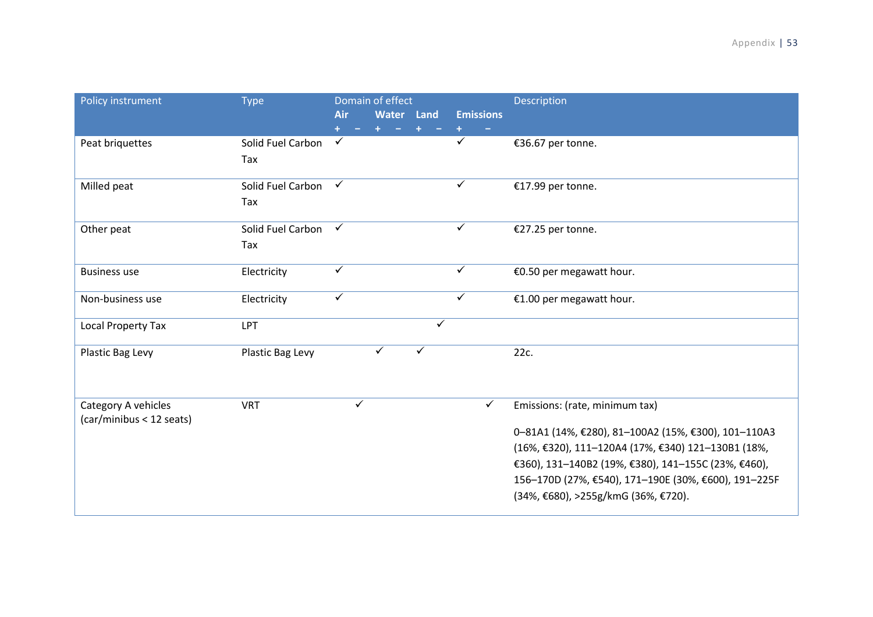| Policy instrument                               | <b>Type</b>              | Air          | Domain of effect<br>Water Land |   | <b>Emissions</b> | Description                                                                                                                                                                                                                                                     |
|-------------------------------------------------|--------------------------|--------------|--------------------------------|---|------------------|-----------------------------------------------------------------------------------------------------------------------------------------------------------------------------------------------------------------------------------------------------------------|
| Peat briquettes                                 | Solid Fuel Carbon<br>Tax | $\checkmark$ |                                |   |                  | €36.67 per tonne.                                                                                                                                                                                                                                               |
| Milled peat                                     | Solid Fuel Carbon<br>Tax | $\checkmark$ |                                |   | ✓                | €17.99 per tonne.                                                                                                                                                                                                                                               |
| Other peat                                      | Solid Fuel Carbon<br>Tax | $\checkmark$ |                                |   | $\checkmark$     | €27.25 per tonne.                                                                                                                                                                                                                                               |
| <b>Business use</b>                             | Electricity              | ✓            |                                |   | ✓                | €0.50 per megawatt hour.                                                                                                                                                                                                                                        |
| Non-business use                                | Electricity              | ✓            |                                |   | ✓                | €1.00 per megawatt hour.                                                                                                                                                                                                                                        |
| <b>Local Property Tax</b>                       | LPT                      |              |                                | ✓ |                  |                                                                                                                                                                                                                                                                 |
| Plastic Bag Levy                                | Plastic Bag Levy         |              | $\checkmark$                   | ✓ |                  | 22c.                                                                                                                                                                                                                                                            |
| Category A vehicles<br>(car/minibus < 12 seats) | <b>VRT</b>               | ✓            |                                |   | ✓                | Emissions: (rate, minimum tax)                                                                                                                                                                                                                                  |
|                                                 |                          |              |                                |   |                  | 0-81A1 (14%, €280), 81-100A2 (15%, €300), 101-110A3<br>(16%, €320), 111-120A4 (17%, €340) 121-130B1 (18%,<br>€360), 131-140B2 (19%, €380), 141-155C (23%, €460),<br>156-170D (27%, €540), 171-190E (30%, €600), 191-225F<br>(34%, €680), >255g/kmG (36%, €720). |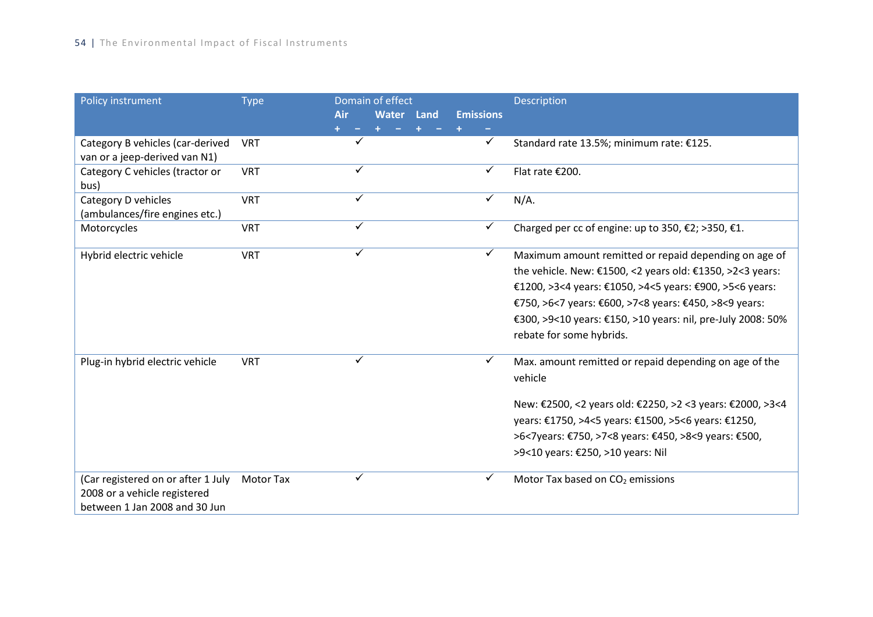| Policy instrument                  | <b>Type</b>      |              | Domain of effect |      |                  | <b>Description</b>                                          |
|------------------------------------|------------------|--------------|------------------|------|------------------|-------------------------------------------------------------|
|                                    |                  | Air          | Water            | Land | <b>Emissions</b> |                                                             |
|                                    |                  |              |                  |      |                  |                                                             |
| Category B vehicles (car-derived   | <b>VRT</b>       | ✓            |                  |      | $\checkmark$     | Standard rate 13.5%; minimum rate: €125.                    |
| van or a jeep-derived van N1)      |                  |              |                  |      |                  |                                                             |
| Category C vehicles (tractor or    | <b>VRT</b>       | ✓            |                  |      | ✓                | Flat rate €200.                                             |
| bus)                               |                  | ✓            |                  |      |                  |                                                             |
| Category D vehicles                | <b>VRT</b>       |              |                  |      | $\checkmark$     | $N/A$ .                                                     |
| (ambulances/fire engines etc.)     |                  | ✓            |                  |      | ✓                |                                                             |
| Motorcycles                        | <b>VRT</b>       |              |                  |      |                  | Charged per cc of engine: up to 350, €2; >350, €1.          |
| Hybrid electric vehicle            | <b>VRT</b>       | $\checkmark$ |                  |      | $\checkmark$     | Maximum amount remitted or repaid depending on age of       |
|                                    |                  |              |                  |      |                  | the vehicle. New: €1500, <2 years old: €1350, >2<3 years:   |
|                                    |                  |              |                  |      |                  | €1200, >3<4 years: €1050, >4<5 years: €900, >5<6 years:     |
|                                    |                  |              |                  |      |                  | €750, >6<7 years: €600, >7<8 years: €450, >8<9 years:       |
|                                    |                  |              |                  |      |                  | €300, >9<10 years: €150, >10 years: nil, pre-July 2008: 50% |
|                                    |                  |              |                  |      |                  | rebate for some hybrids.                                    |
|                                    |                  |              |                  |      |                  |                                                             |
| Plug-in hybrid electric vehicle    | <b>VRT</b>       | ✓            |                  |      |                  | Max. amount remitted or repaid depending on age of the      |
|                                    |                  |              |                  |      |                  | vehicle                                                     |
|                                    |                  |              |                  |      |                  | New: €2500, <2 years old: €2250, >2 <3 years: €2000, >3<4   |
|                                    |                  |              |                  |      |                  | years: €1750, >4<5 years: €1500, >5<6 years: €1250,         |
|                                    |                  |              |                  |      |                  | >6<7years: €750, >7<8 years: €450, >8<9 years: €500,        |
|                                    |                  |              |                  |      |                  | >9<10 years: €250, >10 years: Nil                           |
|                                    |                  |              |                  |      |                  |                                                             |
| (Car registered on or after 1 July | <b>Motor Tax</b> | ✓            |                  |      | ✓                | Motor Tax based on CO <sub>2</sub> emissions                |
| 2008 or a vehicle registered       |                  |              |                  |      |                  |                                                             |
| between 1 Jan 2008 and 30 Jun      |                  |              |                  |      |                  |                                                             |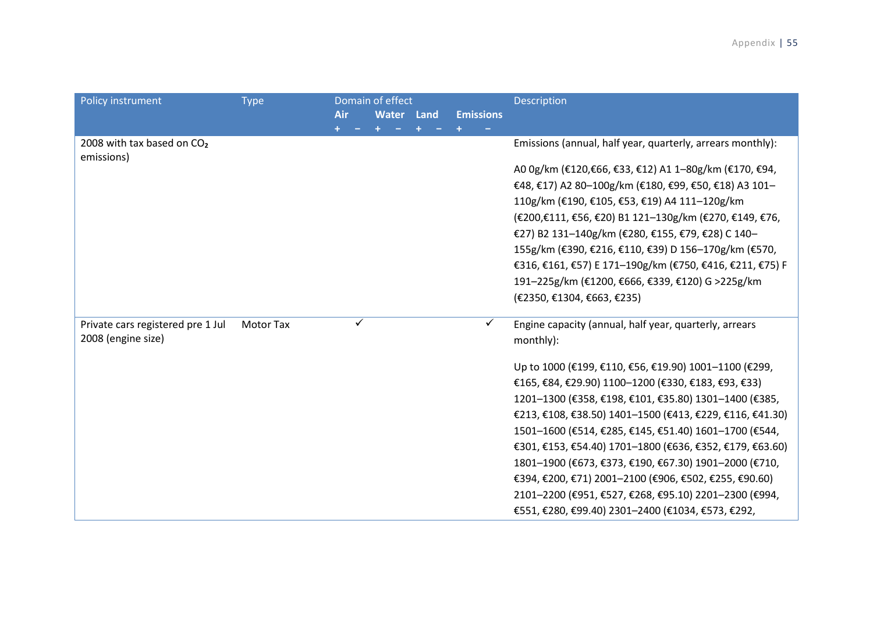| Policy instrument                                    | <b>Type</b> |     |   | Domain of effect  |                  | Description                                                |
|------------------------------------------------------|-------------|-----|---|-------------------|------------------|------------------------------------------------------------|
|                                                      |             | Air |   | <b>Water Land</b> | <b>Emissions</b> |                                                            |
|                                                      |             |     |   |                   |                  |                                                            |
| 2008 with tax based on CO <sub>2</sub><br>emissions) |             |     |   |                   |                  | Emissions (annual, half year, quarterly, arrears monthly): |
|                                                      |             |     |   |                   |                  | A0 0g/km (€120,€66, €33, €12) A1 1-80g/km (€170, €94,      |
|                                                      |             |     |   |                   |                  | €48, €17) A2 80-100g/km (€180, €99, €50, €18) A3 101-      |
|                                                      |             |     |   |                   |                  | 110g/km (€190, €105, €53, €19) A4 111-120g/km              |
|                                                      |             |     |   |                   |                  | (€200,€111, €56, €20) B1 121-130g/km (€270, €149, €76,     |
|                                                      |             |     |   |                   |                  | €27) B2 131-140g/km (€280, €155, €79, €28) C 140-          |
|                                                      |             |     |   |                   |                  | 155g/km (€390, €216, €110, €39) D 156-170g/km (€570,       |
|                                                      |             |     |   |                   |                  | €316, €161, €57) E 171-190g/km (€750, €416, €211, €75) F   |
|                                                      |             |     |   |                   |                  | 191-225g/km (€1200, €666, €339, €120) G >225g/km           |
|                                                      |             |     |   |                   |                  | (€2350, €1304, €663, €235)                                 |
| Private cars registered pre 1 Jul                    | Motor Tax   |     | ✓ |                   | ✓                | Engine capacity (annual, half year, quarterly, arrears     |
| 2008 (engine size)                                   |             |     |   |                   |                  | monthly):                                                  |
|                                                      |             |     |   |                   |                  | Up to 1000 (€199, €110, €56, €19.90) 1001-1100 (€299,      |
|                                                      |             |     |   |                   |                  | €165, €84, €29.90) 1100-1200 (€330, €183, €93, €33)        |
|                                                      |             |     |   |                   |                  | 1201-1300 (€358, €198, €101, €35.80) 1301-1400 (€385,      |
|                                                      |             |     |   |                   |                  | €213, €108, €38.50) 1401-1500 (€413, €229, €116, €41.30)   |
|                                                      |             |     |   |                   |                  | 1501-1600 (€514, €285, €145, €51.40) 1601-1700 (€544,      |
|                                                      |             |     |   |                   |                  | €301, €153, €54.40) 1701-1800 (€636, €352, €179, €63.60)   |
|                                                      |             |     |   |                   |                  | 1801-1900 (€673, €373, €190, €67.30) 1901-2000 (€710,      |
|                                                      |             |     |   |                   |                  | €394, €200, €71) 2001-2100 (€906, €502, €255, €90.60)      |
|                                                      |             |     |   |                   |                  | 2101-2200 (€951, €527, €268, €95.10) 2201-2300 (€994,      |
|                                                      |             |     |   |                   |                  | €551, €280, €99.40) 2301-2400 (€1034, €573, €292,          |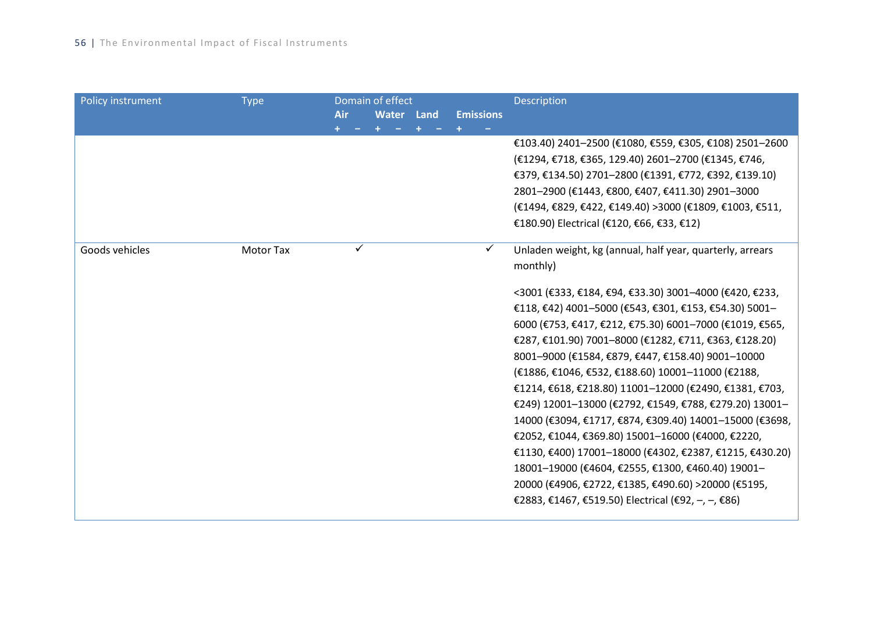| <b>Policy instrument</b> | <b>Type</b>      | Air | Domain of effect<br>Water Land | <b>Emissions</b> | Description                                               |
|--------------------------|------------------|-----|--------------------------------|------------------|-----------------------------------------------------------|
|                          |                  |     |                                |                  |                                                           |
|                          |                  |     |                                |                  | €103.40) 2401-2500 (€1080, €559, €305, €108) 2501-2600    |
|                          |                  |     |                                |                  | (€1294, €718, €365, 129.40) 2601-2700 (€1345, €746,       |
|                          |                  |     |                                |                  | €379, €134.50) 2701-2800 (€1391, €772, €392, €139.10)     |
|                          |                  |     |                                |                  | 2801-2900 (€1443, €800, €407, €411.30) 2901-3000          |
|                          |                  |     |                                |                  | (€1494, €829, €422, €149.40) >3000 (€1809, €1003, €511,   |
|                          |                  |     |                                |                  | €180.90) Electrical (€120, €66, €33, €12)                 |
| Goods vehicles           | <b>Motor Tax</b> | ✓   |                                | ✓                | Unladen weight, kg (annual, half year, quarterly, arrears |
|                          |                  |     |                                |                  | monthly)                                                  |
|                          |                  |     |                                |                  | <3001 (€333, €184, €94, €33.30) 3001-4000 (€420, €233,    |
|                          |                  |     |                                |                  | €118, €42) 4001-5000 (€543, €301, €153, €54.30) 5001-     |
|                          |                  |     |                                |                  | 6000 (€753, €417, €212, €75.30) 6001-7000 (€1019, €565,   |
|                          |                  |     |                                |                  | €287, €101.90) 7001-8000 (€1282, €711, €363, €128.20)     |
|                          |                  |     |                                |                  | 8001-9000 (€1584, €879, €447, €158.40) 9001-10000         |
|                          |                  |     |                                |                  | (€1886, €1046, €532, €188.60) 10001-11000 (€2188,         |
|                          |                  |     |                                |                  | €1214, €618, €218.80) 11001-12000 (€2490, €1381, €703,    |
|                          |                  |     |                                |                  | €249) 12001-13000 (€2792, €1549, €788, €279.20) 13001-    |
|                          |                  |     |                                |                  | 14000 (€3094, €1717, €874, €309.40) 14001-15000 (€3698,   |
|                          |                  |     |                                |                  | €2052, €1044, €369.80) 15001-16000 (€4000, €2220,         |
|                          |                  |     |                                |                  | €1130, €400) 17001-18000 (€4302, €2387, €1215, €430.20)   |
|                          |                  |     |                                |                  | 18001-19000 (€4604, €2555, €1300, €460.40) 19001-         |
|                          |                  |     |                                |                  | 20000 (€4906, €2722, €1385, €490.60) >20000 (€5195,       |
|                          |                  |     |                                |                  | €2883, €1467, €519.50) Electrical (€92, -, -, €86)        |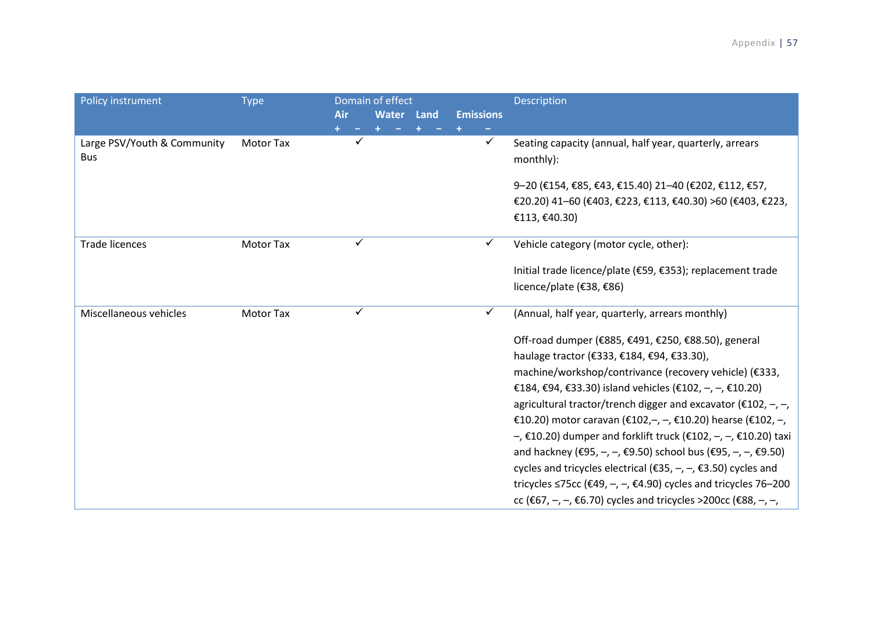| <b>Policy instrument</b>                  | <b>Type</b>      | Domain of effect<br>Air | <b>Water</b> | Land | <b>Emissions</b> | <b>Description</b>                                                                                                                                                                                                                                                                                                                                                                                                                                                                                                                                                                                                                                                                                                                 |
|-------------------------------------------|------------------|-------------------------|--------------|------|------------------|------------------------------------------------------------------------------------------------------------------------------------------------------------------------------------------------------------------------------------------------------------------------------------------------------------------------------------------------------------------------------------------------------------------------------------------------------------------------------------------------------------------------------------------------------------------------------------------------------------------------------------------------------------------------------------------------------------------------------------|
| Large PSV/Youth & Community<br><b>Bus</b> | <b>Motor Tax</b> |                         |              |      | $\checkmark$     | Seating capacity (annual, half year, quarterly, arrears<br>monthly):                                                                                                                                                                                                                                                                                                                                                                                                                                                                                                                                                                                                                                                               |
|                                           |                  |                         |              |      |                  | 9-20 (€154, €85, €43, €15.40) 21-40 (€202, €112, €57,<br>€20.20) 41-60 (€403, €223, €113, €40.30) >60 (€403, €223,                                                                                                                                                                                                                                                                                                                                                                                                                                                                                                                                                                                                                 |
|                                           |                  |                         |              |      |                  | €113, €40.30)                                                                                                                                                                                                                                                                                                                                                                                                                                                                                                                                                                                                                                                                                                                      |
| <b>Trade licences</b>                     | <b>Motor Tax</b> | ✓                       |              |      |                  | Vehicle category (motor cycle, other):                                                                                                                                                                                                                                                                                                                                                                                                                                                                                                                                                                                                                                                                                             |
|                                           |                  |                         |              |      |                  | Initial trade licence/plate (€59, €353); replacement trade<br>licence/plate (€38, €86)                                                                                                                                                                                                                                                                                                                                                                                                                                                                                                                                                                                                                                             |
| Miscellaneous vehicles                    | <b>Motor Tax</b> | ✓                       |              |      | ✓                | (Annual, half year, quarterly, arrears monthly)                                                                                                                                                                                                                                                                                                                                                                                                                                                                                                                                                                                                                                                                                    |
|                                           |                  |                         |              |      |                  | Off-road dumper (€885, €491, €250, €88.50), general<br>haulage tractor (€333, €184, €94, €33.30),<br>machine/workshop/contrivance (recovery vehicle) (€333,<br>€184, €94, €33.30) island vehicles (€102, $-$ , $-$ , €10.20)<br>agricultural tractor/trench digger and excavator ( $\epsilon$ 102, -, -,<br>€10.20) motor caravan (€102, -, -, €10.20) hearse (€102, -,<br>-, €10.20) dumper and forklift truck (€102, -, -, €10.20) taxi<br>and hackney (€95, -, -, €9.50) school bus (€95, -, -, €9.50)<br>cycles and tricycles electrical ( $\epsilon$ 35, -, -, $\epsilon$ 3.50) cycles and<br>tricycles ≤75cc (€49, -, -, €4.90) cycles and tricycles 76-200<br>cc (€67, -, -, €6.70) cycles and tricycles >200cc (€88, -, -, |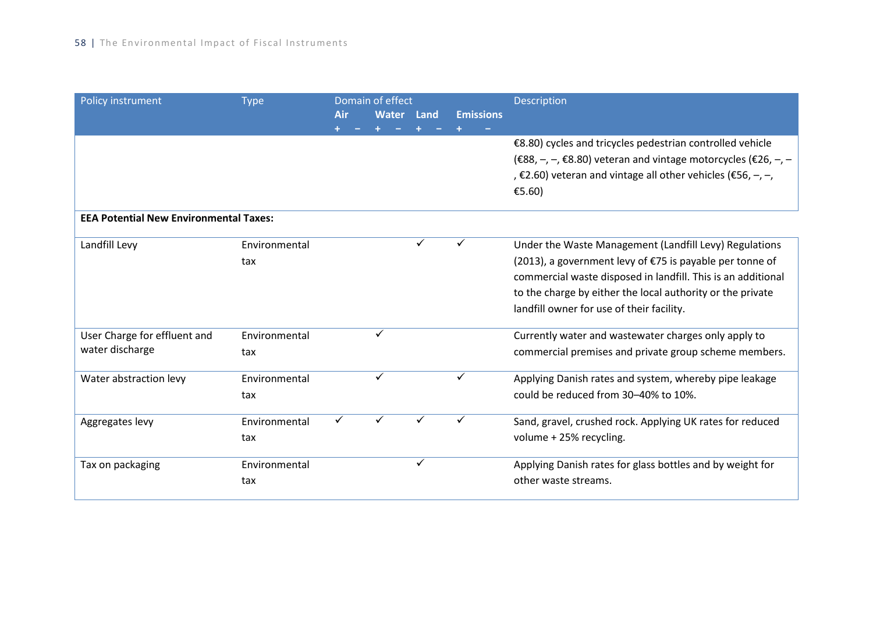| <b>Policy instrument</b>                        | <b>Type</b>          |     | Domain of effect |      |                  | Description                                                                                                                                                                                                                                                                                   |
|-------------------------------------------------|----------------------|-----|------------------|------|------------------|-----------------------------------------------------------------------------------------------------------------------------------------------------------------------------------------------------------------------------------------------------------------------------------------------|
|                                                 |                      | Air | Water            | Land | <b>Emissions</b> |                                                                                                                                                                                                                                                                                               |
|                                                 |                      |     |                  |      |                  | €8.80) cycles and tricycles pedestrian controlled vehicle<br>(€88, -, -, €8.80) veteran and vintage motorcycles (€26, -, -<br>, €2.60) veteran and vintage all other vehicles (€56, $-$ , $-$ ,<br>£5.60)                                                                                     |
| <b>EEA Potential New Environmental Taxes:</b>   |                      |     |                  |      |                  |                                                                                                                                                                                                                                                                                               |
| Landfill Levy                                   | Environmental<br>tax |     |                  | ✓    |                  | Under the Waste Management (Landfill Levy) Regulations<br>(2013), a government levy of €75 is payable per tonne of<br>commercial waste disposed in landfill. This is an additional<br>to the charge by either the local authority or the private<br>landfill owner for use of their facility. |
| User Charge for effluent and<br>water discharge | Environmental<br>tax |     | ✓                |      |                  | Currently water and wastewater charges only apply to<br>commercial premises and private group scheme members.                                                                                                                                                                                 |
| Water abstraction levy                          | Environmental<br>tax |     | ✓                |      | ✓                | Applying Danish rates and system, whereby pipe leakage<br>could be reduced from 30-40% to 10%.                                                                                                                                                                                                |
| Aggregates levy                                 | Environmental<br>tax | ✓   | ✓                | ✓    | ✓                | Sand, gravel, crushed rock. Applying UK rates for reduced<br>volume + 25% recycling.                                                                                                                                                                                                          |
| Tax on packaging                                | Environmental<br>tax |     |                  | ✓    |                  | Applying Danish rates for glass bottles and by weight for<br>other waste streams.                                                                                                                                                                                                             |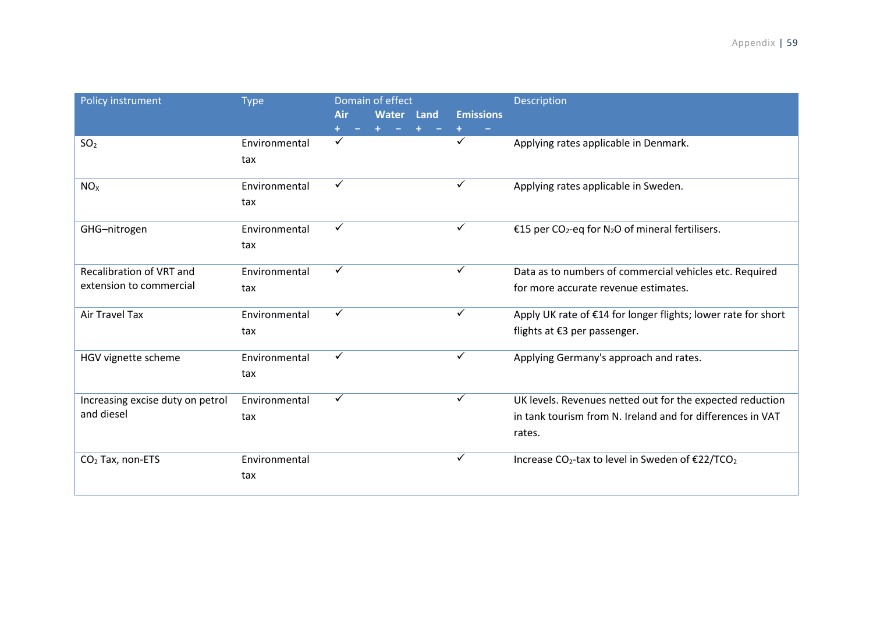| Policy instrument                                   | <b>Type</b>          | Domain of effect<br>Air | <b>Water</b> Land | <b>Emissions</b> | Description                                                                                                                       |
|-----------------------------------------------------|----------------------|-------------------------|-------------------|------------------|-----------------------------------------------------------------------------------------------------------------------------------|
| SO <sub>2</sub>                                     | Environmental<br>tax | ✓                       |                   |                  | Applying rates applicable in Denmark.                                                                                             |
| NO <sub>x</sub>                                     | Environmental<br>tax | $\checkmark$            |                   | $\checkmark$     | Applying rates applicable in Sweden.                                                                                              |
| GHG-nitrogen                                        | Environmental<br>tax | ✓                       |                   | ✓                | €15 per CO <sub>2</sub> -eq for N <sub>2</sub> O of mineral fertilisers.                                                          |
| Recalibration of VRT and<br>extension to commercial | Environmental<br>tax | ✓                       |                   | ✓                | Data as to numbers of commercial vehicles etc. Required<br>for more accurate revenue estimates.                                   |
| Air Travel Tax                                      | Environmental<br>tax | $\checkmark$            |                   | ✓                | Apply UK rate of €14 for longer flights; lower rate for short<br>flights at €3 per passenger.                                     |
| HGV vignette scheme                                 | Environmental<br>tax | ✓                       |                   | ✓                | Applying Germany's approach and rates.                                                                                            |
| Increasing excise duty on petrol<br>and diesel      | Environmental<br>tax | ✓                       |                   | ✓                | UK levels. Revenues netted out for the expected reduction<br>in tank tourism from N. Ireland and for differences in VAT<br>rates. |
| $CO2$ Tax, non-ETS                                  | Environmental<br>tax |                         |                   | ✓                | Increase CO <sub>2</sub> -tax to level in Sweden of €22/TCO <sub>2</sub>                                                          |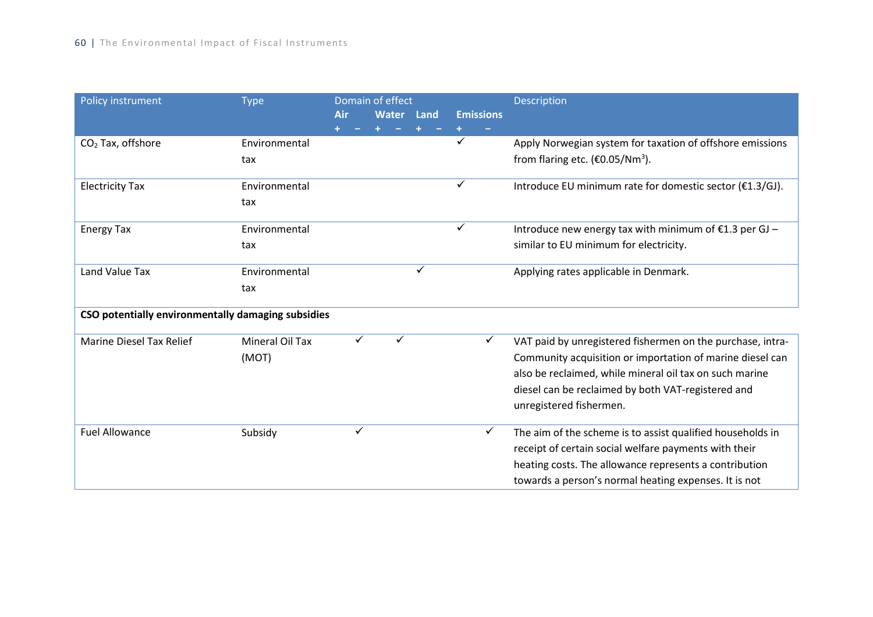| Policy instrument                                  | <b>Type</b>     | Domain of effect |            |   |                  | Description                                                  |
|----------------------------------------------------|-----------------|------------------|------------|---|------------------|--------------------------------------------------------------|
|                                                    |                 | Air              | Water Land |   | <b>Emissions</b> |                                                              |
|                                                    |                 |                  |            |   |                  |                                                              |
| $CO2$ Tax, offshore                                | Environmental   |                  |            |   | ✓                | Apply Norwegian system for taxation of offshore emissions    |
|                                                    | tax             |                  |            |   |                  | from flaring etc. $(\text{\textsterling}0.05/\text{Nm}^3)$ . |
|                                                    |                 |                  |            |   |                  |                                                              |
| <b>Electricity Tax</b>                             | Environmental   |                  |            |   | ✓                | Introduce EU minimum rate for domestic sector (€1.3/GJ).     |
|                                                    | tax             |                  |            |   |                  |                                                              |
|                                                    |                 |                  |            |   |                  |                                                              |
| <b>Energy Tax</b>                                  | Environmental   |                  |            |   | ✓                | Introduce new energy tax with minimum of €1.3 per GJ -       |
|                                                    | tax             |                  |            |   |                  | similar to EU minimum for electricity.                       |
|                                                    |                 |                  |            |   |                  |                                                              |
| Land Value Tax                                     | Environmental   |                  |            | ✓ |                  | Applying rates applicable in Denmark.                        |
|                                                    | tax             |                  |            |   |                  |                                                              |
|                                                    |                 |                  |            |   |                  |                                                              |
| CSO potentially environmentally damaging subsidies |                 |                  |            |   |                  |                                                              |
| <b>Marine Diesel Tax Relief</b>                    | Mineral Oil Tax |                  |            |   | ✓                | VAT paid by unregistered fishermen on the purchase, intra-   |
|                                                    | (MOT)           |                  |            |   |                  | Community acquisition or importation of marine diesel can    |
|                                                    |                 |                  |            |   |                  | also be reclaimed, while mineral oil tax on such marine      |
|                                                    |                 |                  |            |   |                  | diesel can be reclaimed by both VAT-registered and           |
|                                                    |                 |                  |            |   |                  | unregistered fishermen.                                      |
|                                                    |                 |                  |            |   |                  |                                                              |
| <b>Fuel Allowance</b>                              | Subsidy         | ✓                |            |   | ✓                | The aim of the scheme is to assist qualified households in   |
|                                                    |                 |                  |            |   |                  | receipt of certain social welfare payments with their        |
|                                                    |                 |                  |            |   |                  | heating costs. The allowance represents a contribution       |
|                                                    |                 |                  |            |   |                  | towards a person's normal heating expenses. It is not        |
|                                                    |                 |                  |            |   |                  |                                                              |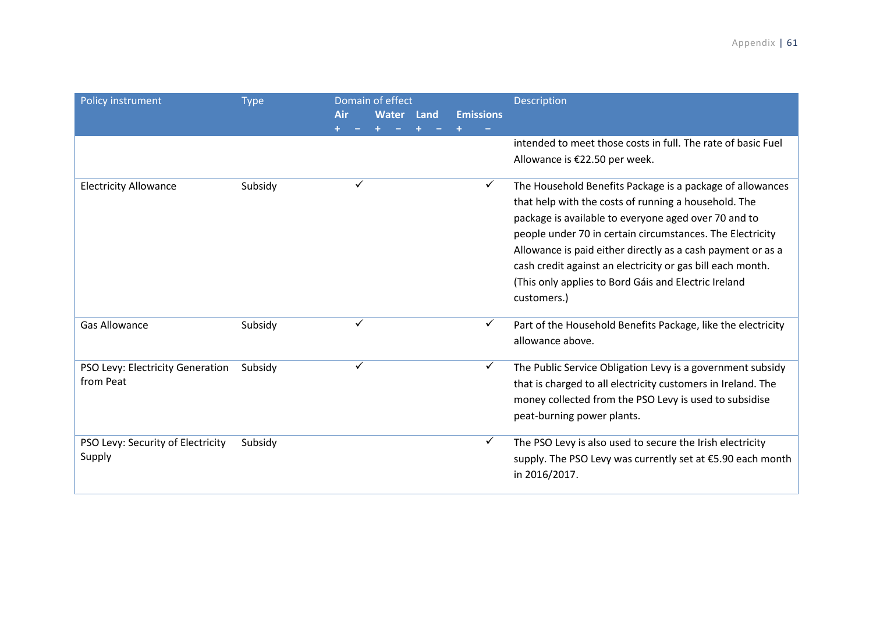|                                   |             | Domain of effect |   |              |                    |                  |                                                              |
|-----------------------------------|-------------|------------------|---|--------------|--------------------|------------------|--------------------------------------------------------------|
| Policy instrument                 | <b>Type</b> |                  |   |              | <b>Description</b> |                  |                                                              |
|                                   |             | Air              |   | <b>Water</b> | Land               | <b>Emissions</b> |                                                              |
|                                   |             |                  |   |              |                    |                  | intended to meet those costs in full. The rate of basic Fuel |
|                                   |             |                  |   |              |                    |                  | Allowance is €22.50 per week.                                |
|                                   |             |                  |   |              |                    |                  |                                                              |
| <b>Electricity Allowance</b>      | Subsidy     |                  | ✓ |              |                    | ✓                | The Household Benefits Package is a package of allowances    |
|                                   |             |                  |   |              |                    |                  | that help with the costs of running a household. The         |
|                                   |             |                  |   |              |                    |                  | package is available to everyone aged over 70 and to         |
|                                   |             |                  |   |              |                    |                  | people under 70 in certain circumstances. The Electricity    |
|                                   |             |                  |   |              |                    |                  | Allowance is paid either directly as a cash payment or as a  |
|                                   |             |                  |   |              |                    |                  | cash credit against an electricity or gas bill each month.   |
|                                   |             |                  |   |              |                    |                  | (This only applies to Bord Gáis and Electric Ireland         |
|                                   |             |                  |   |              |                    |                  | customers.)                                                  |
|                                   |             |                  |   |              |                    |                  |                                                              |
| <b>Gas Allowance</b>              | Subsidy     |                  | ✓ |              |                    | ✓                | Part of the Household Benefits Package, like the electricity |
|                                   |             |                  |   |              |                    |                  | allowance above.                                             |
| PSO Levy: Electricity Generation  | Subsidy     |                  | ✓ |              |                    | ✓                | The Public Service Obligation Levy is a government subsidy   |
| from Peat                         |             |                  |   |              |                    |                  | that is charged to all electricity customers in Ireland. The |
|                                   |             |                  |   |              |                    |                  | money collected from the PSO Levy is used to subsidise       |
|                                   |             |                  |   |              |                    |                  |                                                              |
|                                   |             |                  |   |              |                    |                  | peat-burning power plants.                                   |
| PSO Levy: Security of Electricity | Subsidy     |                  |   |              |                    | ✓                | The PSO Levy is also used to secure the Irish electricity    |
| Supply                            |             |                  |   |              |                    |                  | supply. The PSO Levy was currently set at €5.90 each month   |
|                                   |             |                  |   |              |                    |                  | in 2016/2017.                                                |
|                                   |             |                  |   |              |                    |                  |                                                              |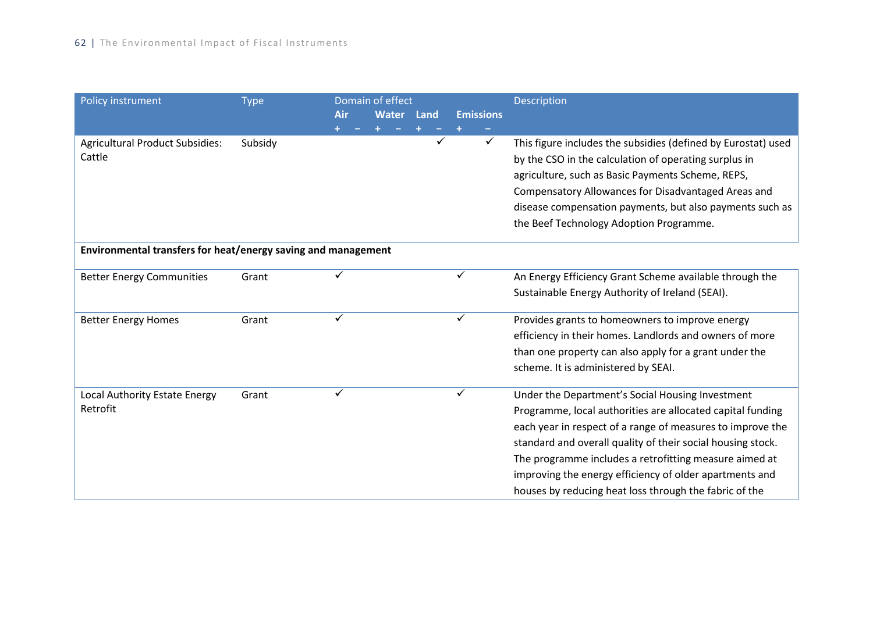| Policy instrument                                             | <b>Type</b> | Domain of effect |              |      |   |                  | <b>Description</b>                                            |
|---------------------------------------------------------------|-------------|------------------|--------------|------|---|------------------|---------------------------------------------------------------|
|                                                               |             | Air              | <b>Water</b> | Land |   | <b>Emissions</b> |                                                               |
|                                                               |             |                  |              |      |   |                  |                                                               |
| <b>Agricultural Product Subsidies:</b>                        | Subsidy     |                  |              |      | ✓ | ✓                | This figure includes the subsidies (defined by Eurostat) used |
| Cattle                                                        |             |                  |              |      |   |                  | by the CSO in the calculation of operating surplus in         |
|                                                               |             |                  |              |      |   |                  | agriculture, such as Basic Payments Scheme, REPS,             |
|                                                               |             |                  |              |      |   |                  | Compensatory Allowances for Disadvantaged Areas and           |
|                                                               |             |                  |              |      |   |                  | disease compensation payments, but also payments such as      |
|                                                               |             |                  |              |      |   |                  | the Beef Technology Adoption Programme.                       |
| Environmental transfers for heat/energy saving and management |             |                  |              |      |   |                  |                                                               |
| <b>Better Energy Communities</b>                              | Grant       |                  |              |      |   |                  | An Energy Efficiency Grant Scheme available through the       |
|                                                               |             |                  |              |      |   |                  | Sustainable Energy Authority of Ireland (SEAI).               |
| <b>Better Energy Homes</b>                                    | Grant       | ✓                |              |      |   | ✓                | Provides grants to homeowners to improve energy               |
|                                                               |             |                  |              |      |   |                  | efficiency in their homes. Landlords and owners of more       |
|                                                               |             |                  |              |      |   |                  | than one property can also apply for a grant under the        |
|                                                               |             |                  |              |      |   |                  | scheme. It is administered by SEAI.                           |
| Local Authority Estate Energy                                 | Grant       |                  |              |      |   |                  | Under the Department's Social Housing Investment              |
| Retrofit                                                      |             |                  |              |      |   |                  | Programme, local authorities are allocated capital funding    |
|                                                               |             |                  |              |      |   |                  | each year in respect of a range of measures to improve the    |
|                                                               |             |                  |              |      |   |                  | standard and overall quality of their social housing stock.   |
|                                                               |             |                  |              |      |   |                  | The programme includes a retrofitting measure aimed at        |
|                                                               |             |                  |              |      |   |                  | improving the energy efficiency of older apartments and       |
|                                                               |             |                  |              |      |   |                  | houses by reducing heat loss through the fabric of the        |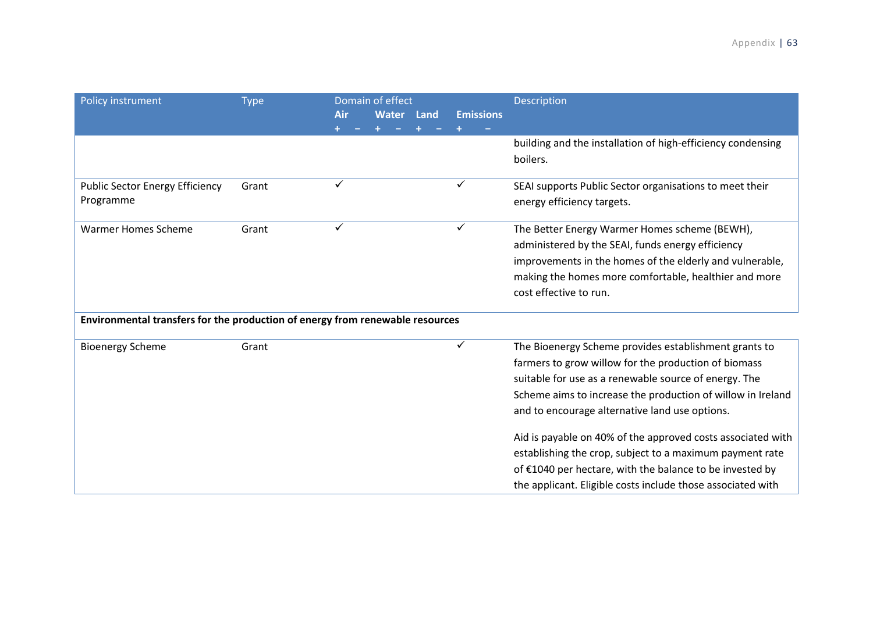| Policy instrument                                                             | <b>Type</b> | Domain of effect |              |      |                  | Description                                                 |
|-------------------------------------------------------------------------------|-------------|------------------|--------------|------|------------------|-------------------------------------------------------------|
|                                                                               |             | Air              | <b>Water</b> | Land | <b>Emissions</b> |                                                             |
|                                                                               |             |                  |              |      |                  |                                                             |
|                                                                               |             |                  |              |      |                  | building and the installation of high-efficiency condensing |
|                                                                               |             |                  |              |      |                  | boilers.                                                    |
|                                                                               |             |                  |              |      |                  |                                                             |
| <b>Public Sector Energy Efficiency</b>                                        | Grant       | $\checkmark$     |              |      |                  | SEAI supports Public Sector organisations to meet their     |
| Programme                                                                     |             |                  |              |      |                  | energy efficiency targets.                                  |
| <b>Warmer Homes Scheme</b>                                                    | Grant       | $\checkmark$     |              |      | ✓                | The Better Energy Warmer Homes scheme (BEWH),               |
|                                                                               |             |                  |              |      |                  | administered by the SEAI, funds energy efficiency           |
|                                                                               |             |                  |              |      |                  | improvements in the homes of the elderly and vulnerable,    |
|                                                                               |             |                  |              |      |                  | making the homes more comfortable, healthier and more       |
|                                                                               |             |                  |              |      |                  | cost effective to run.                                      |
| Environmental transfers for the production of energy from renewable resources |             |                  |              |      |                  |                                                             |
| <b>Bioenergy Scheme</b>                                                       | Grant       |                  |              |      | ✓                | The Bioenergy Scheme provides establishment grants to       |
|                                                                               |             |                  |              |      |                  | farmers to grow willow for the production of biomass        |
|                                                                               |             |                  |              |      |                  | suitable for use as a renewable source of energy. The       |
|                                                                               |             |                  |              |      |                  | Scheme aims to increase the production of willow in Ireland |
|                                                                               |             |                  |              |      |                  | and to encourage alternative land use options.              |
|                                                                               |             |                  |              |      |                  | Aid is payable on 40% of the approved costs associated with |
|                                                                               |             |                  |              |      |                  | establishing the crop, subject to a maximum payment rate    |
|                                                                               |             |                  |              |      |                  | of €1040 per hectare, with the balance to be invested by    |
|                                                                               |             |                  |              |      |                  | the applicant. Eligible costs include those associated with |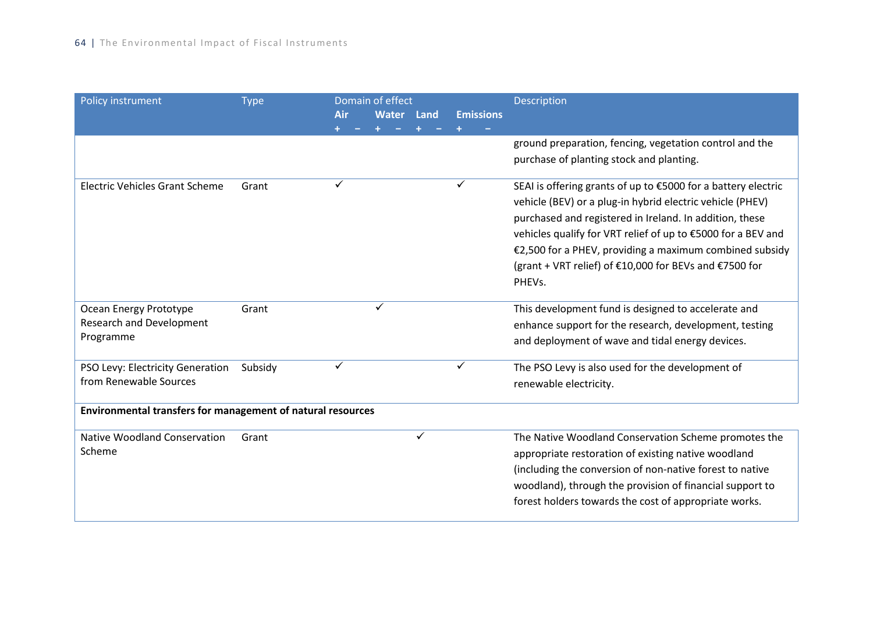| Policy instrument                                           | <b>Type</b> | Domain of effect |              |              | Description      |                                                               |  |
|-------------------------------------------------------------|-------------|------------------|--------------|--------------|------------------|---------------------------------------------------------------|--|
|                                                             |             | <b>Air</b>       | <b>Water</b> | Land         | <b>Emissions</b> |                                                               |  |
|                                                             |             |                  |              |              |                  | ground preparation, fencing, vegetation control and the       |  |
|                                                             |             |                  |              |              |                  | purchase of planting stock and planting.                      |  |
| <b>Electric Vehicles Grant Scheme</b>                       | Grant       | ✓                |              |              | ✓                | SEAI is offering grants of up to €5000 for a battery electric |  |
|                                                             |             |                  |              |              |                  | vehicle (BEV) or a plug-in hybrid electric vehicle (PHEV)     |  |
|                                                             |             |                  |              |              |                  | purchased and registered in Ireland. In addition, these       |  |
|                                                             |             |                  |              |              |                  | vehicles qualify for VRT relief of up to €5000 for a BEV and  |  |
|                                                             |             |                  |              |              |                  | €2,500 for a PHEV, providing a maximum combined subsidy       |  |
|                                                             |             |                  |              |              |                  | (grant + VRT relief) of €10,000 for BEVs and €7500 for        |  |
|                                                             |             |                  |              |              |                  | PHEVs.                                                        |  |
| Ocean Energy Prototype                                      | Grant       |                  | ✓            |              |                  | This development fund is designed to accelerate and           |  |
| <b>Research and Development</b>                             |             |                  |              |              |                  | enhance support for the research, development, testing        |  |
| Programme                                                   |             |                  |              |              |                  | and deployment of wave and tidal energy devices.              |  |
| PSO Levy: Electricity Generation                            | Subsidy     | ✓                |              |              | ✓                | The PSO Levy is also used for the development of              |  |
| from Renewable Sources                                      |             |                  |              |              |                  | renewable electricity.                                        |  |
| Environmental transfers for management of natural resources |             |                  |              |              |                  |                                                               |  |
| <b>Native Woodland Conservation</b>                         | Grant       |                  |              | $\checkmark$ |                  | The Native Woodland Conservation Scheme promotes the          |  |
| Scheme                                                      |             |                  |              |              |                  | appropriate restoration of existing native woodland           |  |
|                                                             |             |                  |              |              |                  | (including the conversion of non-native forest to native      |  |
|                                                             |             |                  |              |              |                  | woodland), through the provision of financial support to      |  |
|                                                             |             |                  |              |              |                  | forest holders towards the cost of appropriate works.         |  |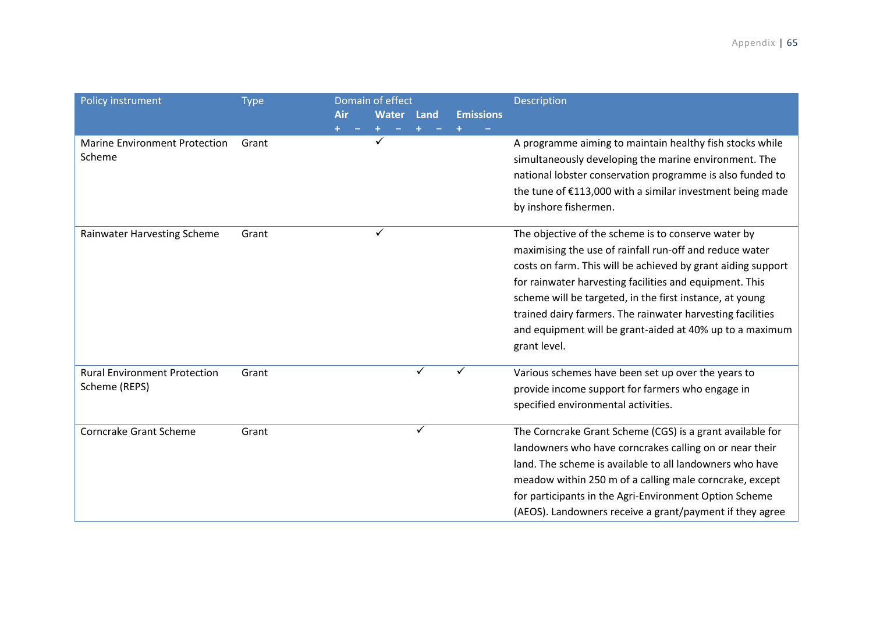| Policy instrument                                    | <b>Type</b> | Air | Domain of effect<br><b>Water</b> | Land         | <b>Emissions</b> | Description                                                                                                                                                                                                                                                                                                                                                                                                                                     |
|------------------------------------------------------|-------------|-----|----------------------------------|--------------|------------------|-------------------------------------------------------------------------------------------------------------------------------------------------------------------------------------------------------------------------------------------------------------------------------------------------------------------------------------------------------------------------------------------------------------------------------------------------|
| <b>Marine Environment Protection</b><br>Scheme       | Grant       |     |                                  |              |                  | A programme aiming to maintain healthy fish stocks while<br>simultaneously developing the marine environment. The<br>national lobster conservation programme is also funded to<br>the tune of €113,000 with a similar investment being made<br>by inshore fishermen.                                                                                                                                                                            |
| Rainwater Harvesting Scheme                          | Grant       |     | ✓                                |              |                  | The objective of the scheme is to conserve water by<br>maximising the use of rainfall run-off and reduce water<br>costs on farm. This will be achieved by grant aiding support<br>for rainwater harvesting facilities and equipment. This<br>scheme will be targeted, in the first instance, at young<br>trained dairy farmers. The rainwater harvesting facilities<br>and equipment will be grant-aided at 40% up to a maximum<br>grant level. |
| <b>Rural Environment Protection</b><br>Scheme (REPS) | Grant       |     |                                  | ✓            |                  | Various schemes have been set up over the years to<br>provide income support for farmers who engage in<br>specified environmental activities.                                                                                                                                                                                                                                                                                                   |
| <b>Corncrake Grant Scheme</b>                        | Grant       |     |                                  | $\checkmark$ |                  | The Corncrake Grant Scheme (CGS) is a grant available for<br>landowners who have corncrakes calling on or near their<br>land. The scheme is available to all landowners who have<br>meadow within 250 m of a calling male corncrake, except<br>for participants in the Agri-Environment Option Scheme<br>(AEOS). Landowners receive a grant/payment if they agree                                                                               |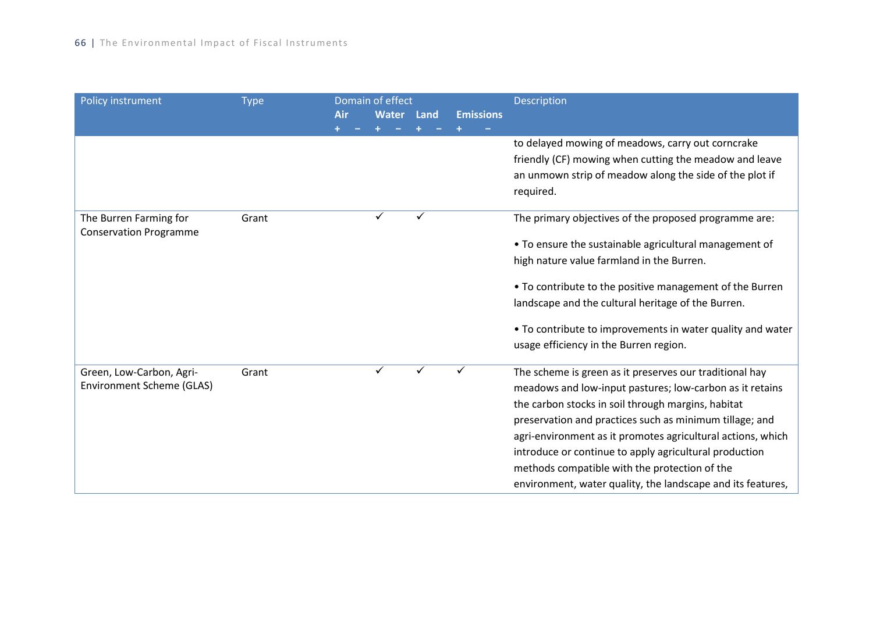| Policy instrument             | <b>Type</b> | Domain of effect |              |      | Description      |                                                             |
|-------------------------------|-------------|------------------|--------------|------|------------------|-------------------------------------------------------------|
|                               |             | Air              | <b>Water</b> | Land | <b>Emissions</b> |                                                             |
|                               |             |                  |              |      |                  | to delayed mowing of meadows, carry out corncrake           |
|                               |             |                  |              |      |                  | friendly (CF) mowing when cutting the meadow and leave      |
|                               |             |                  |              |      |                  | an unmown strip of meadow along the side of the plot if     |
|                               |             |                  |              |      |                  | required.                                                   |
| The Burren Farming for        | Grant       |                  | ✓            |      |                  | The primary objectives of the proposed programme are:       |
| <b>Conservation Programme</b> |             |                  |              |      |                  | • To ensure the sustainable agricultural management of      |
|                               |             |                  |              |      |                  | high nature value farmland in the Burren.                   |
|                               |             |                  |              |      |                  | • To contribute to the positive management of the Burren    |
|                               |             |                  |              |      |                  | landscape and the cultural heritage of the Burren.          |
|                               |             |                  |              |      |                  | • To contribute to improvements in water quality and water  |
|                               |             |                  |              |      |                  | usage efficiency in the Burren region.                      |
| Green, Low-Carbon, Agri-      | Grant       |                  | ✓            |      |                  | The scheme is green as it preserves our traditional hay     |
| Environment Scheme (GLAS)     |             |                  |              |      |                  | meadows and low-input pastures; low-carbon as it retains    |
|                               |             |                  |              |      |                  | the carbon stocks in soil through margins, habitat          |
|                               |             |                  |              |      |                  | preservation and practices such as minimum tillage; and     |
|                               |             |                  |              |      |                  | agri-environment as it promotes agricultural actions, which |
|                               |             |                  |              |      |                  | introduce or continue to apply agricultural production      |
|                               |             |                  |              |      |                  | methods compatible with the protection of the               |
|                               |             |                  |              |      |                  | environment, water quality, the landscape and its features, |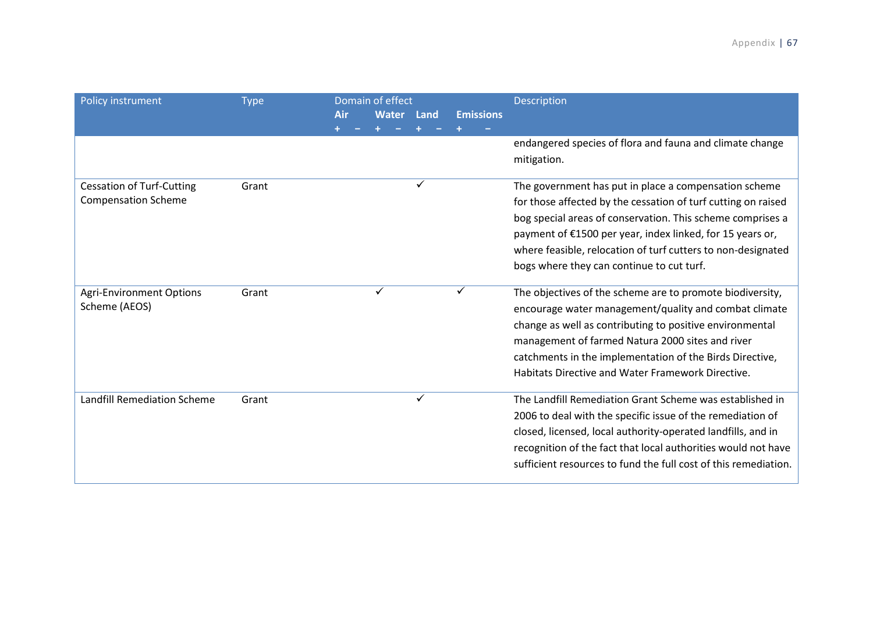| Policy instrument                | <b>Type</b> |     | Domain of effect |      |                  | Description                                                             |
|----------------------------------|-------------|-----|------------------|------|------------------|-------------------------------------------------------------------------|
|                                  |             | Air | <b>Water</b>     | Land | <b>Emissions</b> |                                                                         |
|                                  |             |     |                  |      |                  |                                                                         |
|                                  |             |     |                  |      |                  | endangered species of flora and fauna and climate change<br>mitigation. |
| <b>Cessation of Turf-Cutting</b> | Grant       |     |                  |      |                  | The government has put in place a compensation scheme                   |
| <b>Compensation Scheme</b>       |             |     |                  |      |                  | for those affected by the cessation of turf cutting on raised           |
|                                  |             |     |                  |      |                  | bog special areas of conservation. This scheme comprises a              |
|                                  |             |     |                  |      |                  | payment of €1500 per year, index linked, for 15 years or,               |
|                                  |             |     |                  |      |                  | where feasible, relocation of turf cutters to non-designated            |
|                                  |             |     |                  |      |                  | bogs where they can continue to cut turf.                               |
| <b>Agri-Environment Options</b>  | Grant       |     | ✓                |      | ✓                | The objectives of the scheme are to promote biodiversity,               |
| Scheme (AEOS)                    |             |     |                  |      |                  | encourage water management/quality and combat climate                   |
|                                  |             |     |                  |      |                  | change as well as contributing to positive environmental                |
|                                  |             |     |                  |      |                  | management of farmed Natura 2000 sites and river                        |
|                                  |             |     |                  |      |                  | catchments in the implementation of the Birds Directive,                |
|                                  |             |     |                  |      |                  | Habitats Directive and Water Framework Directive.                       |
| Landfill Remediation Scheme      | Grant       |     |                  | ✓    |                  | The Landfill Remediation Grant Scheme was established in                |
|                                  |             |     |                  |      |                  | 2006 to deal with the specific issue of the remediation of              |
|                                  |             |     |                  |      |                  | closed, licensed, local authority-operated landfills, and in            |
|                                  |             |     |                  |      |                  | recognition of the fact that local authorities would not have           |
|                                  |             |     |                  |      |                  | sufficient resources to fund the full cost of this remediation.         |
|                                  |             |     |                  |      |                  |                                                                         |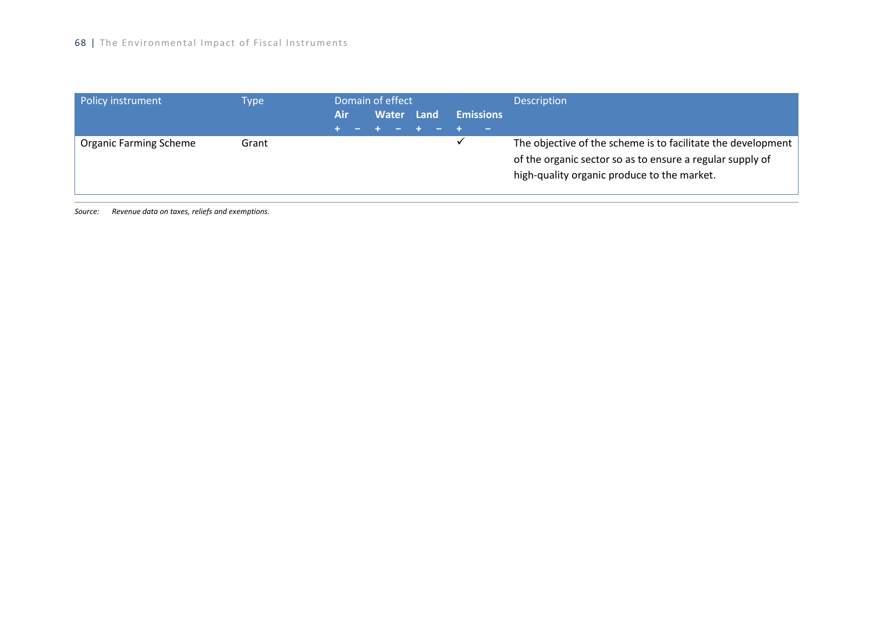| Policy instrument             | Type  | Domain of effect |            |  |                  | <b>Description</b>                                                                                                                                                       |
|-------------------------------|-------|------------------|------------|--|------------------|--------------------------------------------------------------------------------------------------------------------------------------------------------------------------|
|                               |       | Air              | Water Land |  | <b>Emissions</b> |                                                                                                                                                                          |
| <b>Organic Farming Scheme</b> | Grant |                  |            |  |                  | The objective of the scheme is to facilitate the development<br>of the organic sector so as to ensure a regular supply of<br>high-quality organic produce to the market. |

*Source: Revenue data on taxes, reliefs and exemptions.*